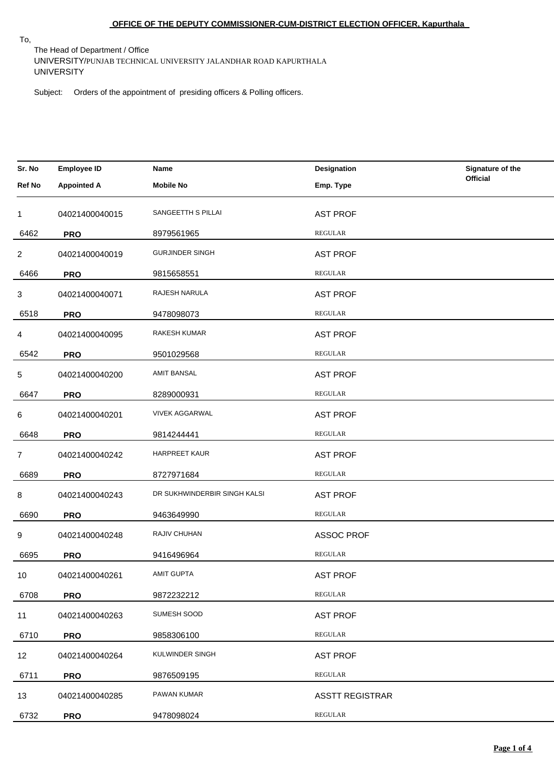# **OFFICE OF THE DEPUTY COMMISSIONER-CUM-DISTRICT ELECTION OFFICER, Kapurthala**

To,

The Head of Department / Office UNIVERSITY/PUNJAB TECHNICAL UNIVERSITY JALANDHAR ROAD KAPURTHALA UNIVERSITY

Subject: Orders of the appointment of presiding officers & Polling officers.

| Sr. No            | <b>Employee ID</b> | Name                         | Designation            | Signature of the |
|-------------------|--------------------|------------------------------|------------------------|------------------|
| Ref No            | <b>Appointed A</b> | <b>Mobile No</b>             | Emp. Type              | <b>Official</b>  |
| 1                 | 04021400040015     | SANGEETTH S PILLAI           | <b>AST PROF</b>        |                  |
| 6462              | <b>PRO</b>         | 8979561965                   | <b>REGULAR</b>         |                  |
| $\overline{2}$    | 04021400040019     | <b>GURJINDER SINGH</b>       | <b>AST PROF</b>        |                  |
| 6466              | <b>PRO</b>         | 9815658551                   | <b>REGULAR</b>         |                  |
| 3                 | 04021400040071     | RAJESH NARULA                | <b>AST PROF</b>        |                  |
| 6518              | <b>PRO</b>         | 9478098073                   | <b>REGULAR</b>         |                  |
| 4                 | 04021400040095     | RAKESH KUMAR                 | <b>AST PROF</b>        |                  |
| 6542              | <b>PRO</b>         | 9501029568                   | <b>REGULAR</b>         |                  |
| 5                 | 04021400040200     | <b>AMIT BANSAL</b>           | <b>AST PROF</b>        |                  |
| 6647              | <b>PRO</b>         | 8289000931                   | <b>REGULAR</b>         |                  |
| 6                 | 04021400040201     | <b>VIVEK AGGARWAL</b>        | <b>AST PROF</b>        |                  |
| 6648              | <b>PRO</b>         | 9814244441                   | <b>REGULAR</b>         |                  |
| $\overline{7}$    | 04021400040242     | <b>HARPREET KAUR</b>         | <b>AST PROF</b>        |                  |
| 6689              | <b>PRO</b>         | 8727971684                   | REGULAR                |                  |
| 8                 | 04021400040243     | DR SUKHWINDERBIR SINGH KALSI | <b>AST PROF</b>        |                  |
| 6690              | <b>PRO</b>         | 9463649990                   | REGULAR                |                  |
| 9                 | 04021400040248     | RAJIV CHUHAN                 | <b>ASSOC PROF</b>      |                  |
| 6695              | <b>PRO</b>         | 9416496964                   | <b>REGULAR</b>         |                  |
| 10                | 04021400040261     | <b>AMIT GUPTA</b>            | <b>AST PROF</b>        |                  |
| 6708              | <b>PRO</b>         | 9872232212                   | <b>REGULAR</b>         |                  |
| 11                | 04021400040263     | SUMESH SOOD                  | <b>AST PROF</b>        |                  |
| 6710              | <b>PRO</b>         | 9858306100                   | <b>REGULAR</b>         |                  |
| $12 \overline{ }$ | 04021400040264     | KULWINDER SINGH              | <b>AST PROF</b>        |                  |
| 6711              | <b>PRO</b>         | 9876509195                   | <b>REGULAR</b>         |                  |
| 13                | 04021400040285     | PAWAN KUMAR                  | <b>ASSTT REGISTRAR</b> |                  |
| 6732              | <b>PRO</b>         | 9478098024                   | REGULAR                |                  |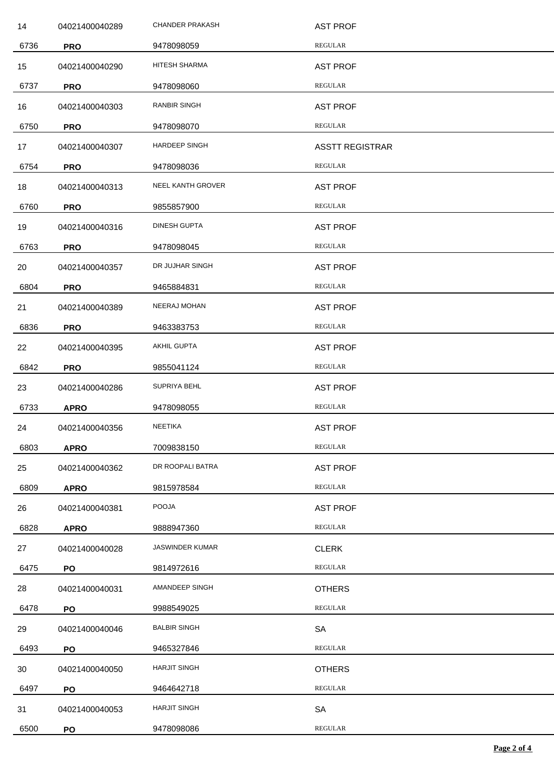| 14   | 04021400040289 | <b>CHANDER PRAKASH</b> | <b>AST PROF</b>        |
|------|----------------|------------------------|------------------------|
| 6736 | <b>PRO</b>     | 9478098059             | <b>REGULAR</b>         |
| 15   | 04021400040290 | HITESH SHARMA          | <b>AST PROF</b>        |
| 6737 | <b>PRO</b>     | 9478098060             | <b>REGULAR</b>         |
| 16   | 04021400040303 | RANBIR SINGH           | <b>AST PROF</b>        |
| 6750 | <b>PRO</b>     | 9478098070             | <b>REGULAR</b>         |
| 17   | 04021400040307 | <b>HARDEEP SINGH</b>   | <b>ASSTT REGISTRAR</b> |
| 6754 | <b>PRO</b>     | 9478098036             | REGULAR                |
| 18   | 04021400040313 | NEEL KANTH GROVER      | <b>AST PROF</b>        |
| 6760 | <b>PRO</b>     | 9855857900             | REGULAR                |
| 19   | 04021400040316 | DINESH GUPTA           | <b>AST PROF</b>        |
| 6763 | <b>PRO</b>     | 9478098045             | <b>REGULAR</b>         |
| 20   | 04021400040357 | DR JUJHAR SINGH        | <b>AST PROF</b>        |
| 6804 | <b>PRO</b>     | 9465884831             | REGULAR                |
| 21   | 04021400040389 | NEERAJ MOHAN           | <b>AST PROF</b>        |
| 6836 | <b>PRO</b>     | 9463383753             | REGULAR                |
| 22   | 04021400040395 | AKHIL GUPTA            | <b>AST PROF</b>        |
| 6842 | <b>PRO</b>     | 9855041124             | REGULAR                |
| 23   | 04021400040286 | SUPRIYA BEHL           | <b>AST PROF</b>        |
| 6733 | <b>APRO</b>    | 9478098055             | REGULAR                |
| 24   | 04021400040356 | <b>NEETIKA</b>         | <b>AST PROF</b>        |
| 6803 | <b>APRO</b>    | 7009838150             | <b>REGULAR</b>         |
| 25   | 04021400040362 | DR ROOPALI BATRA       | <b>AST PROF</b>        |
| 6809 | <b>APRO</b>    | 9815978584             | REGULAR                |
| 26   | 04021400040381 | <b>POOJA</b>           | <b>AST PROF</b>        |
| 6828 | <b>APRO</b>    | 9888947360             | REGULAR                |
| 27   | 04021400040028 | <b>JASWINDER KUMAR</b> | <b>CLERK</b>           |
| 6475 | PO             | 9814972616             | REGULAR                |
| 28   | 04021400040031 | AMANDEEP SINGH         | <b>OTHERS</b>          |
| 6478 | PO             | 9988549025             | REGULAR                |
| 29   | 04021400040046 | <b>BALBIR SINGH</b>    | SA                     |
| 6493 | PO             | 9465327846             | REGULAR                |
| 30   | 04021400040050 | <b>HARJIT SINGH</b>    | <b>OTHERS</b>          |
| 6497 | PO             | 9464642718             | REGULAR                |
| 31   | 04021400040053 | <b>HARJIT SINGH</b>    | <b>SA</b>              |
| 6500 | PO             | 9478098086             | REGULAR                |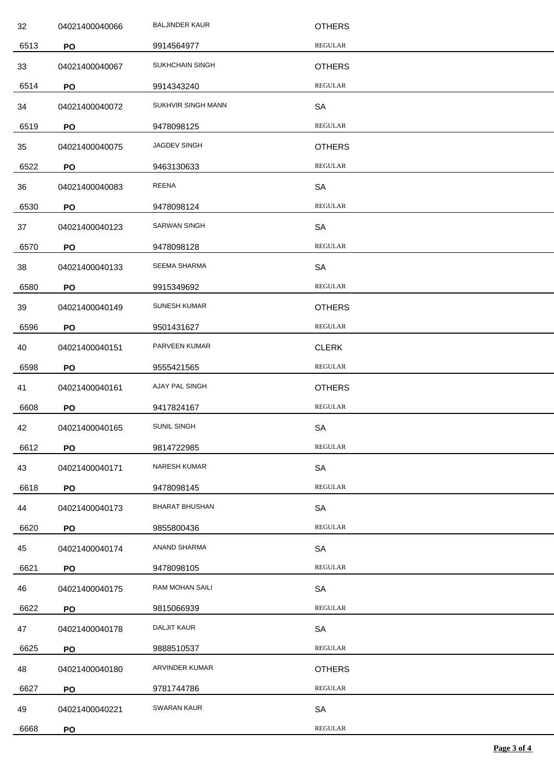| 32   | 04021400040066 | <b>BALJINDER KAUR</b> | <b>OTHERS</b>  |
|------|----------------|-----------------------|----------------|
| 6513 | PO             | 9914564977            | <b>REGULAR</b> |
| 33   | 04021400040067 | SUKHCHAIN SINGH       | <b>OTHERS</b>  |
| 6514 | PO             | 9914343240            | <b>REGULAR</b> |
| 34   | 04021400040072 | SUKHVIR SINGH MANN    | SA             |
| 6519 | PO             | 9478098125            | <b>REGULAR</b> |
| 35   | 04021400040075 | JAGDEV SINGH          | <b>OTHERS</b>  |
| 6522 | PO             | 9463130633            | <b>REGULAR</b> |
| 36   | 04021400040083 | REENA                 | SA             |
| 6530 | PO             | 9478098124            | <b>REGULAR</b> |
| 37   | 04021400040123 | <b>SARWAN SINGH</b>   | <b>SA</b>      |
| 6570 | PO             | 9478098128            | <b>REGULAR</b> |
| 38   | 04021400040133 | <b>SEEMA SHARMA</b>   | SA             |
| 6580 | PO             | 9915349692            | <b>REGULAR</b> |
| 39   | 04021400040149 | <b>SUNESH KUMAR</b>   | <b>OTHERS</b>  |
| 6596 | PO             | 9501431627            | <b>REGULAR</b> |
| 40   | 04021400040151 | PARVEEN KUMAR         | <b>CLERK</b>   |
| 6598 | PO             | 9555421565            | <b>REGULAR</b> |
| 41   | 04021400040161 | AJAY PAL SINGH        | <b>OTHERS</b>  |
| 6608 | PO             | 9417824167            | <b>REGULAR</b> |
| 42   | 04021400040165 | SUNIL SINGH           | <b>SA</b>      |
| 6612 | PO             | 9814722985            | <b>REGULAR</b> |
| 43   | 04021400040171 | <b>NARESH KUMAR</b>   | SA             |
| 6618 | PO             | 9478098145            | <b>REGULAR</b> |
| 44   | 04021400040173 | <b>BHARAT BHUSHAN</b> | SA             |
| 6620 | PO             | 9855800436            | <b>REGULAR</b> |
| 45   | 04021400040174 | ANAND SHARMA          | SA             |
| 6621 | PO             | 9478098105            | <b>REGULAR</b> |
| 46   | 04021400040175 | RAM MOHAN SAILI       | SA             |
| 6622 | PO             | 9815066939            | <b>REGULAR</b> |
| 47   | 04021400040178 | <b>DALJIT KAUR</b>    | SA             |
| 6625 | PO             | 9888510537            | <b>REGULAR</b> |
| 48   | 04021400040180 | ARVINDER KUMAR        | <b>OTHERS</b>  |
| 6627 | PO             | 9781744786            | <b>REGULAR</b> |
| 49   | 04021400040221 | SWARAN KAUR           | <b>SA</b>      |
| 6668 | PO             |                       | REGULAR        |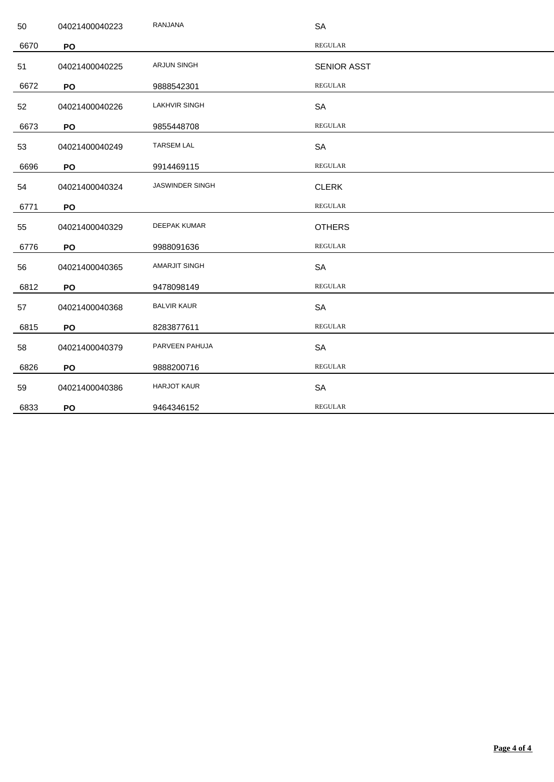| 50   | 04021400040223 | RANJANA                | <b>SA</b>          |
|------|----------------|------------------------|--------------------|
| 6670 | PO             |                        | <b>REGULAR</b>     |
| 51   | 04021400040225 | <b>ARJUN SINGH</b>     | <b>SENIOR ASST</b> |
| 6672 | PO             | 9888542301             | <b>REGULAR</b>     |
| 52   | 04021400040226 | <b>LAKHVIR SINGH</b>   | SA                 |
| 6673 | PO             | 9855448708             | <b>REGULAR</b>     |
| 53   | 04021400040249 | <b>TARSEM LAL</b>      | SA                 |
| 6696 | PO             | 9914469115             | <b>REGULAR</b>     |
| 54   | 04021400040324 | <b>JASWINDER SINGH</b> | <b>CLERK</b>       |
| 6771 | PO             |                        | <b>REGULAR</b>     |
| 55   | 04021400040329 | <b>DEEPAK KUMAR</b>    | <b>OTHERS</b>      |
| 6776 | PO             | 9988091636             | <b>REGULAR</b>     |
| 56   | 04021400040365 | <b>AMARJIT SINGH</b>   | <b>SA</b>          |
| 6812 | PO             | 9478098149             | <b>REGULAR</b>     |
| 57   | 04021400040368 | <b>BALVIR KAUR</b>     | <b>SA</b>          |
| 6815 | PO             | 8283877611             | <b>REGULAR</b>     |
| 58   | 04021400040379 | PARVEEN PAHUJA         | SA                 |
| 6826 | PO             | 9888200716             | <b>REGULAR</b>     |
| 59   | 04021400040386 | <b>HARJOT KAUR</b>     | SA                 |
| 6833 | PO             | 9464346152             | <b>REGULAR</b>     |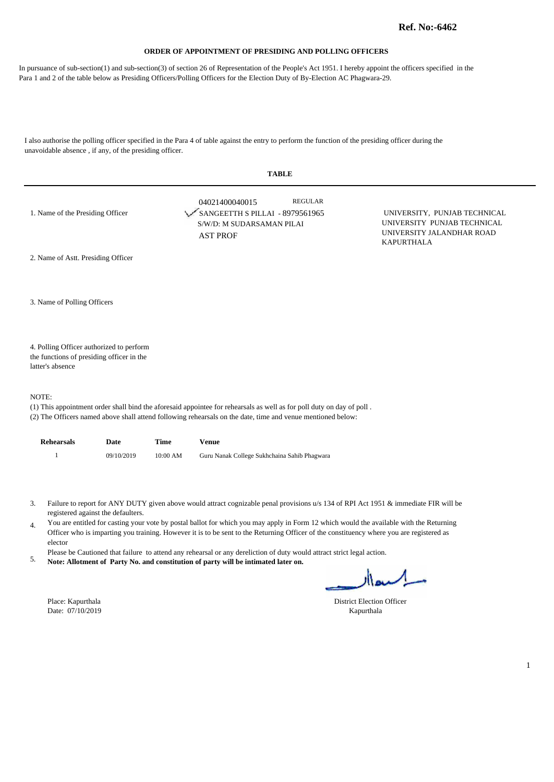In pursuance of sub-section(1) and sub-section(3) of section 26 of Representation of the People's Act 1951. I hereby appoint the officers specified in the Para 1 and 2 of the table below as Presiding Officers/Polling Officers for the Election Duty of By-Election AC Phagwara-29.

I also authorise the polling officer specified in the Para 4 of table against the entry to perform the function of the presiding officer during the unavoidable absence , if any, of the presiding officer.

|                                                                                                           | TABLE                                                                                                               |                                                                                                               |
|-----------------------------------------------------------------------------------------------------------|---------------------------------------------------------------------------------------------------------------------|---------------------------------------------------------------------------------------------------------------|
| 1. Name of the Presiding Officer                                                                          | <b>REGULAR</b><br>04021400040015<br>SANGEETTH S PILLAI - 8979561965<br>S/W/D: M SUDARSAMAN PILAI<br><b>AST PROF</b> | UNIVERSITY, PUNJAB TECHNICAL<br>UNIVERSITY PUNJAB TECHNICAL<br>UNIVERSITY JALANDHAR ROAD<br><b>KAPURTHALA</b> |
| 2. Name of Astt. Presiding Officer                                                                        |                                                                                                                     |                                                                                                               |
| 3. Name of Polling Officers                                                                               |                                                                                                                     |                                                                                                               |
| 4. Polling Officer authorized to perform<br>the functions of presiding officer in the<br>latter's absence |                                                                                                                     |                                                                                                               |
| NOTE:                                                                                                     |                                                                                                                     |                                                                                                               |

**TABLE** 

(1) This appointment order shall bind the aforesaid appointee for rehearsals as well as for poll duty on day of poll .

(2) The Officers named above shall attend following rehearsals on the date, time and venue mentioned below:

| Rehearsals | Date       | Time                | Venue                                        |
|------------|------------|---------------------|----------------------------------------------|
|            | 09/10/2019 | $10:00~\mathrm{AM}$ | Guru Nanak College Sukhchaina Sahib Phagwara |

Failure to report for ANY DUTY given above would attract cognizable penal provisions u/s 134 of RPI Act 1951 & immediate FIR will be 3. registered against the defaulters.

You are entitled for casting your vote by postal ballot for which you may apply in Form 12 which would the available with the Returning 4. Officer who is imparting you training. However it is to be sent to the Returning Officer of the constituency where you are registered as elector

Please be Cautioned that failure to attend any rehearsal or any dereliction of duty would attract strict legal action.

**Note: Allotment of Party No. and constitution of party will be intimated later on.** 5.

Date: 07/10/2019 Kapurthala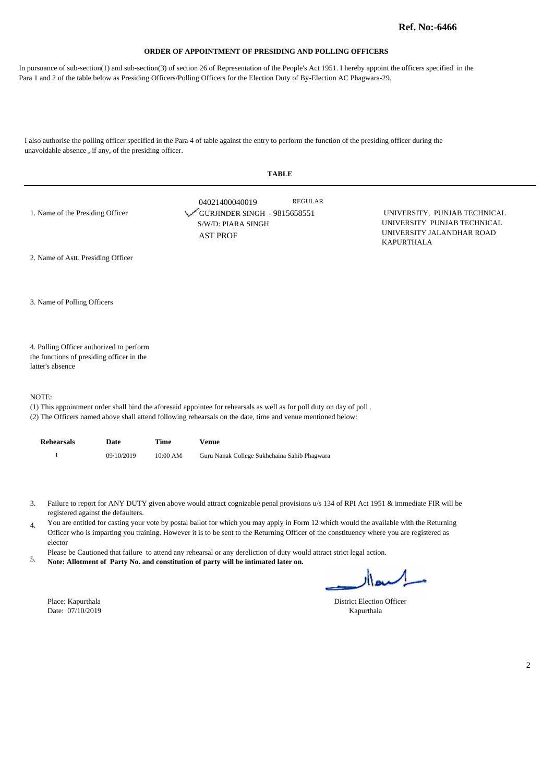In pursuance of sub-section(1) and sub-section(3) of section 26 of Representation of the People's Act 1951. I hereby appoint the officers specified in the Para 1 and 2 of the table below as Presiding Officers/Polling Officers for the Election Duty of By-Election AC Phagwara-29.

I also authorise the polling officer specified in the Para 4 of table against the entry to perform the function of the presiding officer during the unavoidable absence , if any, of the presiding officer.

|                                                                                                                                                                                                                                               | <b>TABLE</b>                                                                                              |                                                                                                               |  |  |  |
|-----------------------------------------------------------------------------------------------------------------------------------------------------------------------------------------------------------------------------------------------|-----------------------------------------------------------------------------------------------------------|---------------------------------------------------------------------------------------------------------------|--|--|--|
| 1. Name of the Presiding Officer                                                                                                                                                                                                              | <b>REGULAR</b><br>04021400040019<br>GURJINDER SINGH - 9815658551<br>S/W/D: PIARA SINGH<br><b>AST PROF</b> | UNIVERSITY, PUNJAB TECHNICAL<br>UNIVERSITY PUNJAB TECHNICAL<br>UNIVERSITY JALANDHAR ROAD<br><b>KAPURTHALA</b> |  |  |  |
| 2. Name of Astt. Presiding Officer                                                                                                                                                                                                            |                                                                                                           |                                                                                                               |  |  |  |
| 3. Name of Polling Officers                                                                                                                                                                                                                   |                                                                                                           |                                                                                                               |  |  |  |
| 4. Polling Officer authorized to perform                                                                                                                                                                                                      |                                                                                                           |                                                                                                               |  |  |  |
| the functions of presiding officer in the                                                                                                                                                                                                     |                                                                                                           |                                                                                                               |  |  |  |
| latter's absence                                                                                                                                                                                                                              |                                                                                                           |                                                                                                               |  |  |  |
| NOTE:<br>(1) This appointment order shall bind the aforesaid appointee for rehearsals as well as for poll duty on day of poll.<br>(2) The Officers named above shall attend following rehearsals on the date, time and venue mentioned below: |                                                                                                           |                                                                                                               |  |  |  |

| <b>Rehearsals</b> | Date       | Time       | Venue                                        |
|-------------------|------------|------------|----------------------------------------------|
|                   | 09/10/2019 | $10:00$ AM | Guru Nanak College Sukhchaina Sahib Phagwara |

- Failure to report for ANY DUTY given above would attract cognizable penal provisions u/s 134 of RPI Act 1951 & immediate FIR will be 3. registered against the defaulters.
- You are entitled for casting your vote by postal ballot for which you may apply in Form 12 which would the available with the Returning 4. Officer who is imparting you training. However it is to be sent to the Returning Officer of the constituency where you are registered as elector
- Please be Cautioned that failure to attend any rehearsal or any dereliction of duty would attract strict legal action.
- **Note: Allotment of Party No. and constitution of party will be intimated later on.** 5.

Date:  $07/10/2019$ 

Place: Kapurthala District Election Officer<br>
Date: 07/10/2019 Kapurthala District Election Officer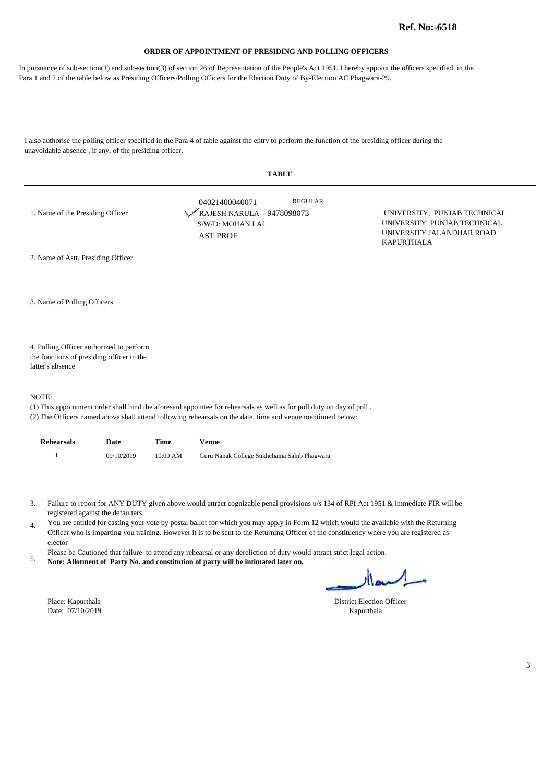In pursuance of sub-section(1) and sub-section(3) of section 26 of Representation of the People's Act 1951. I hereby appoint the officers specified in the Para 1 and 2 of the table below as Presiding Officers/Polling Officers for the Election Duty of By-Election AC Phagwara-29.

I also authorise the polling officer specified in the Para 4 of table against the entry to perform the function of the presiding officer during the unavoidable absence , if any, of the presiding officer.

| <b>TABLE</b>                                                                                                                   |                                                                                     |                |                                                                                                               |  |  |
|--------------------------------------------------------------------------------------------------------------------------------|-------------------------------------------------------------------------------------|----------------|---------------------------------------------------------------------------------------------------------------|--|--|
| 1. Name of the Presiding Officer                                                                                               | 04021400040071<br>RAJESH NARULA - 9478098073<br>S/W/D: MOHAN LAL<br><b>AST PROF</b> | <b>REGULAR</b> | UNIVERSITY, PUNJAB TECHNICAL<br>UNIVERSITY PUNJAB TECHNICAL<br>UNIVERSITY JALANDHAR ROAD<br><b>KAPURTHALA</b> |  |  |
| 2. Name of Astt. Presiding Officer                                                                                             |                                                                                     |                |                                                                                                               |  |  |
| 3. Name of Polling Officers                                                                                                    |                                                                                     |                |                                                                                                               |  |  |
| 4. Polling Officer authorized to perform<br>the functions of presiding officer in the<br>latter's absence                      |                                                                                     |                |                                                                                                               |  |  |
| NOTE:<br>(1) This appointment order shall bind the aforesaid appointee for rehearsals as well as for poll duty on day of poll. |                                                                                     |                |                                                                                                               |  |  |

(2) The Officers named above shall attend following rehearsals on the date, time and venue mentioned below:

| Rehearsals | Date       | Time                | Venue                                        |
|------------|------------|---------------------|----------------------------------------------|
|            | 09/10/2019 | $10:00~\mathrm{AM}$ | Guru Nanak College Sukhchaina Sahib Phagwara |

Failure to report for ANY DUTY given above would attract cognizable penal provisions u/s 134 of RPI Act 1951 & immediate FIR will be 3. registered against the defaulters.

You are entitled for casting your vote by postal ballot for which you may apply in Form 12 which would the available with the Returning 4. Officer who is imparting you training. However it is to be sent to the Returning Officer of the constituency where you are registered as elector

Please be Cautioned that failure to attend any rehearsal or any dereliction of duty would attract strict legal action.

**Note: Allotment of Party No. and constitution of party will be intimated later on.** 5.

Date: 07/10/2019 Kapurthala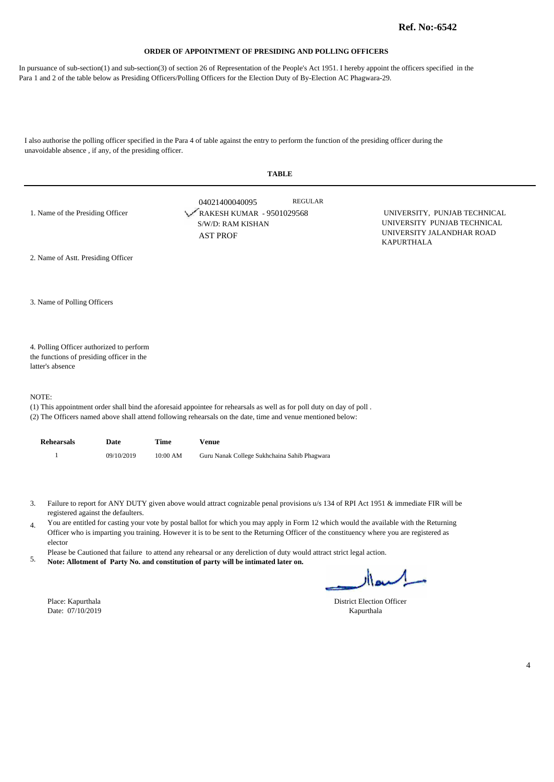In pursuance of sub-section(1) and sub-section(3) of section 26 of Representation of the People's Act 1951. I hereby appoint the officers specified in the Para 1 and 2 of the table below as Presiding Officers/Polling Officers for the Election Duty of By-Election AC Phagwara-29.

I also authorise the polling officer specified in the Para 4 of table against the entry to perform the function of the presiding officer during the unavoidable absence , if any, of the presiding officer.

|                                                                                                           | <b>TABLE</b>                                                                                                                                                                                                                         |                                                                                                               |  |  |  |
|-----------------------------------------------------------------------------------------------------------|--------------------------------------------------------------------------------------------------------------------------------------------------------------------------------------------------------------------------------------|---------------------------------------------------------------------------------------------------------------|--|--|--|
| 1. Name of the Presiding Officer                                                                          | <b>REGULAR</b><br>04021400040095<br>RAKESH KUMAR - 9501029568<br>S/W/D: RAM KISHAN<br><b>AST PROF</b>                                                                                                                                | UNIVERSITY, PUNJAB TECHNICAL<br>UNIVERSITY PUNJAB TECHNICAL<br>UNIVERSITY JALANDHAR ROAD<br><b>KAPURTHALA</b> |  |  |  |
| 2. Name of Astt. Presiding Officer                                                                        |                                                                                                                                                                                                                                      |                                                                                                               |  |  |  |
| 3. Name of Polling Officers                                                                               |                                                                                                                                                                                                                                      |                                                                                                               |  |  |  |
| 4. Polling Officer authorized to perform<br>the functions of presiding officer in the<br>latter's absence |                                                                                                                                                                                                                                      |                                                                                                               |  |  |  |
| NOTE:                                                                                                     | (1) This appointment order shall bind the aforesaid appointee for rehearsals as well as for poll duty on day of poll.<br>(2) The Officers named above shall attend following rehearsals on the date, time and venue mentioned below: |                                                                                                               |  |  |  |

| <b>Rehearsals</b> | Date       | Time       | Venue                                        |
|-------------------|------------|------------|----------------------------------------------|
|                   | 09/10/2019 | $10:00$ AM | Guru Nanak College Sukhchaina Sahib Phagwara |

- Failure to report for ANY DUTY given above would attract cognizable penal provisions u/s 134 of RPI Act 1951 & immediate FIR will be 3. registered against the defaulters.
- You are entitled for casting your vote by postal ballot for which you may apply in Form 12 which would the available with the Returning 4. Officer who is imparting you training. However it is to be sent to the Returning Officer of the constituency where you are registered as elector
- Please be Cautioned that failure to attend any rehearsal or any dereliction of duty would attract strict legal action.
- **Note: Allotment of Party No. and constitution of party will be intimated later on.** 5.

Date:  $07/10/2019$ 

Place: Kapurthala District Election Officer<br>
Date: 07/10/2019 Kapurthala District Election Officer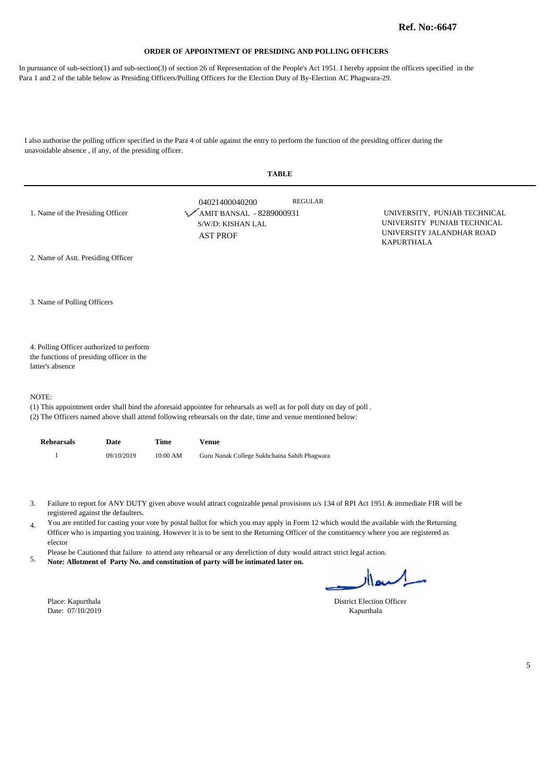In pursuance of sub-section(1) and sub-section(3) of section 26 of Representation of the People's Act 1951. I hereby appoint the officers specified in the Para 1 and 2 of the table below as Presiding Officers/Polling Officers for the Election Duty of By-Election AC Phagwara-29.

I also authorise the polling officer specified in the Para 4 of table against the entry to perform the function of the presiding officer during the unavoidable absence , if any, of the presiding officer.

| <b>TABLE</b>                                                                                                                                                                                                                                  |                                                                                    |                |                                                                                                               |  |
|-----------------------------------------------------------------------------------------------------------------------------------------------------------------------------------------------------------------------------------------------|------------------------------------------------------------------------------------|----------------|---------------------------------------------------------------------------------------------------------------|--|
| 1. Name of the Presiding Officer                                                                                                                                                                                                              | 04021400040200<br>AMIT BANSAL - 8289000931<br>S/W/D: KISHAN LAL<br><b>AST PROF</b> | <b>REGULAR</b> | UNIVERSITY, PUNJAB TECHNICAL<br>UNIVERSITY PUNJAB TECHNICAL<br>UNIVERSITY JALANDHAR ROAD<br><b>KAPURTHALA</b> |  |
| 2. Name of Astt. Presiding Officer                                                                                                                                                                                                            |                                                                                    |                |                                                                                                               |  |
| 3. Name of Polling Officers                                                                                                                                                                                                                   |                                                                                    |                |                                                                                                               |  |
| 4. Polling Officer authorized to perform<br>the functions of presiding officer in the<br>latter's absence                                                                                                                                     |                                                                                    |                |                                                                                                               |  |
| NOTE:<br>(1) This appointment order shall bind the aforesaid appointee for rehearsals as well as for poll duty on day of poll.<br>(2) The Officers named above shall attend following rehearsals on the date, time and venue mentioned below: |                                                                                    |                |                                                                                                               |  |

| <b>Rehearsals</b> | Date       | Time     | Venue                                        |
|-------------------|------------|----------|----------------------------------------------|
|                   | 09/10/2019 | 10:00 AM | Guru Nanak College Sukhchaina Sahib Phagwara |

- Failure to report for ANY DUTY given above would attract cognizable penal provisions u/s 134 of RPI Act 1951 & immediate FIR will be 3. registered against the defaulters.
- You are entitled for casting your vote by postal ballot for which you may apply in Form 12 which would the available with the Returning 4. Officer who is imparting you training. However it is to be sent to the Returning Officer of the constituency where you are registered as elector
- Please be Cautioned that failure to attend any rehearsal or any dereliction of duty would attract strict legal action.
- **Note: Allotment of Party No. and constitution of party will be intimated later on.** 5.

Place: Kapurthala District Election Officer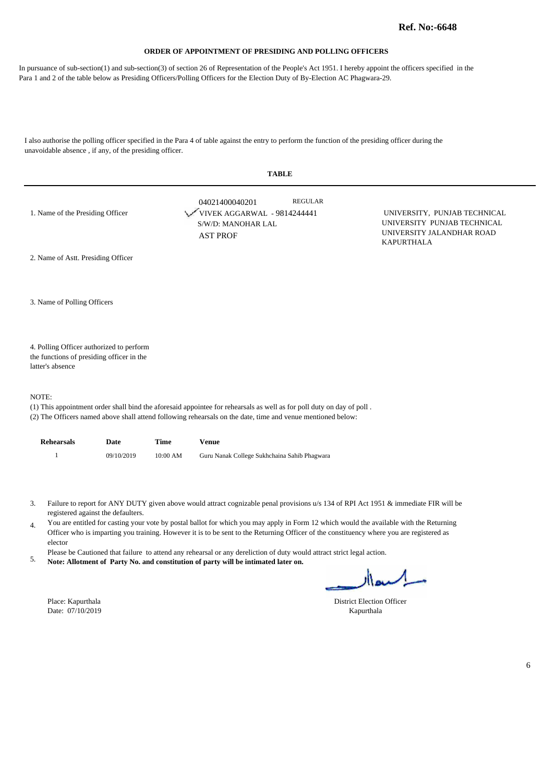In pursuance of sub-section(1) and sub-section(3) of section 26 of Representation of the People's Act 1951. I hereby appoint the officers specified in the Para 1 and 2 of the table below as Presiding Officers/Polling Officers for the Election Duty of By-Election AC Phagwara-29.

I also authorise the polling officer specified in the Para 4 of table against the entry to perform the function of the presiding officer during the unavoidable absence , if any, of the presiding officer.

| <b>TABLE</b>                                                  |                                                                                                                       |                                                                                                               |  |  |  |
|---------------------------------------------------------------|-----------------------------------------------------------------------------------------------------------------------|---------------------------------------------------------------------------------------------------------------|--|--|--|
| 1. Name of the Presiding Officer                              | <b>REGULAR</b><br>04021400040201<br>VIVEK AGGARWAL - 9814244441<br>S/W/D: MANOHAR LAL<br><b>AST PROF</b>              | UNIVERSITY, PUNJAB TECHNICAL<br>UNIVERSITY PUNJAB TECHNICAL<br>UNIVERSITY JALANDHAR ROAD<br><b>KAPURTHALA</b> |  |  |  |
| 2. Name of Astt. Presiding Officer                            |                                                                                                                       |                                                                                                               |  |  |  |
| 3. Name of Polling Officers                                   |                                                                                                                       |                                                                                                               |  |  |  |
| 4. Polling Officer authorized to perform                      |                                                                                                                       |                                                                                                               |  |  |  |
| the functions of presiding officer in the<br>latter's absence |                                                                                                                       |                                                                                                               |  |  |  |
| NOTE:                                                         |                                                                                                                       |                                                                                                               |  |  |  |
|                                                               | (1) This appointment order shall bind the aforesaid appointee for rehearsals as well as for poll duty on day of poll. |                                                                                                               |  |  |  |

(2) The Officers named above shall attend following rehearsals on the date, time and venue mentioned below:

| <b>Rehearsals</b> | Date       | Time       | Venue                                        |
|-------------------|------------|------------|----------------------------------------------|
|                   | 09/10/2019 | $10:00$ AM | Guru Nanak College Sukhchaina Sahib Phagwara |

Failure to report for ANY DUTY given above would attract cognizable penal provisions u/s 134 of RPI Act 1951 & immediate FIR will be 3. registered against the defaulters.

You are entitled for casting your vote by postal ballot for which you may apply in Form 12 which would the available with the Returning 4. Officer who is imparting you training. However it is to be sent to the Returning Officer of the constituency where you are registered as elector

Please be Cautioned that failure to attend any rehearsal or any dereliction of duty would attract strict legal action.

**Note: Allotment of Party No. and constitution of party will be intimated later on.** 5.

Date: 07/10/2019 Kapurthala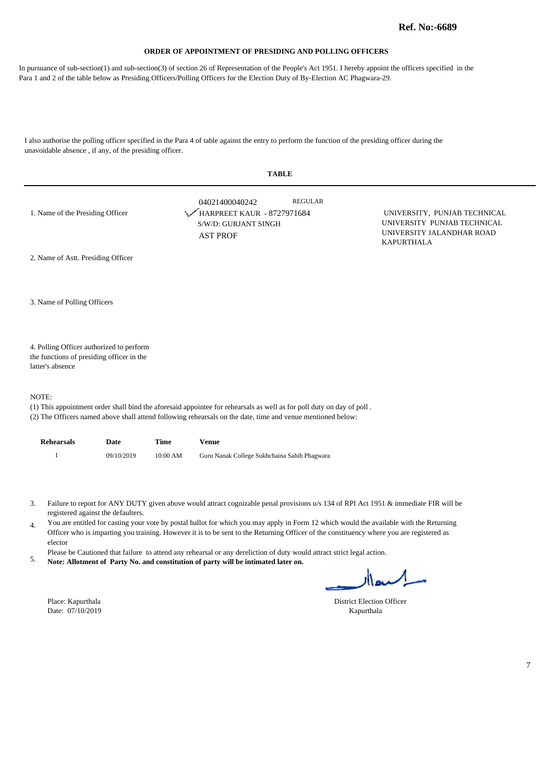In pursuance of sub-section(1) and sub-section(3) of section 26 of Representation of the People's Act 1951. I hereby appoint the officers specified in the Para 1 and 2 of the table below as Presiding Officers/Polling Officers for the Election Duty of By-Election AC Phagwara-29.

I also authorise the polling officer specified in the Para 4 of table against the entry to perform the function of the presiding officer during the unavoidable absence , if any, of the presiding officer.

| <b>TABLE</b>                              |                                                                                                                       |                                                                                                               |  |  |  |
|-------------------------------------------|-----------------------------------------------------------------------------------------------------------------------|---------------------------------------------------------------------------------------------------------------|--|--|--|
| 1. Name of the Presiding Officer          | <b>REGULAR</b><br>04021400040242<br>HARPREET KAUR - 8727971684<br>S/W/D: GURJANT SINGH<br><b>AST PROF</b>             | UNIVERSITY, PUNJAB TECHNICAL<br>UNIVERSITY PUNJAB TECHNICAL<br>UNIVERSITY JALANDHAR ROAD<br><b>KAPURTHALA</b> |  |  |  |
| 2. Name of Astt. Presiding Officer        |                                                                                                                       |                                                                                                               |  |  |  |
| 3. Name of Polling Officers               |                                                                                                                       |                                                                                                               |  |  |  |
| 4. Polling Officer authorized to perform  |                                                                                                                       |                                                                                                               |  |  |  |
| the functions of presiding officer in the |                                                                                                                       |                                                                                                               |  |  |  |
| latter's absence                          |                                                                                                                       |                                                                                                               |  |  |  |
| NOTE:                                     |                                                                                                                       |                                                                                                               |  |  |  |
|                                           | (1) This appointment order shall bind the aforesaid appointee for rehearsals as well as for poll duty on day of poll. |                                                                                                               |  |  |  |

(2) The Officers named above shall attend following rehearsals on the date, time and venue mentioned below:

| <b>Rehearsals</b> | Date       | Time       | Venue                                        |
|-------------------|------------|------------|----------------------------------------------|
|                   | 09/10/2019 | $10:00$ AM | Guru Nanak College Sukhchaina Sahib Phagwara |

- Failure to report for ANY DUTY given above would attract cognizable penal provisions u/s 134 of RPI Act 1951 & immediate FIR will be 3. registered against the defaulters.
- You are entitled for casting your vote by postal ballot for which you may apply in Form 12 which would the available with the Returning 4. Officer who is imparting you training. However it is to be sent to the Returning Officer of the constituency where you are registered as elector
- Please be Cautioned that failure to attend any rehearsal or any dereliction of duty would attract strict legal action.
- **Note: Allotment of Party No. and constitution of party will be intimated later on.** 5.

Place: Kapurthala District Election Officer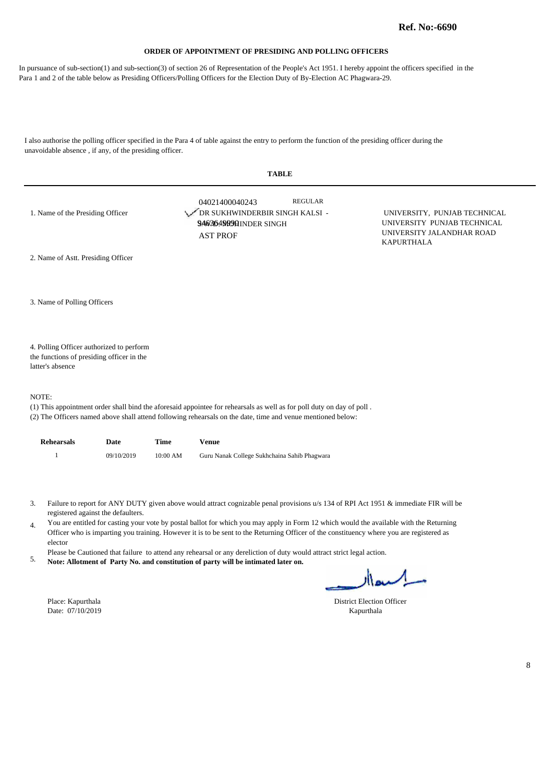In pursuance of sub-section(1) and sub-section(3) of section 26 of Representation of the People's Act 1951. I hereby appoint the officers specified in the Para 1 and 2 of the table below as Presiding Officers/Polling Officers for the Election Duty of By-Election AC Phagwara-29.

I also authorise the polling officer specified in the Para 4 of table against the entry to perform the function of the presiding officer during the unavoidable absence , if any, of the presiding officer.

| <b>TABLE</b>                                                                                              |                                                                                                                                                                                                                                      |                                                                                                               |  |  |  |
|-----------------------------------------------------------------------------------------------------------|--------------------------------------------------------------------------------------------------------------------------------------------------------------------------------------------------------------------------------------|---------------------------------------------------------------------------------------------------------------|--|--|--|
| 1. Name of the Presiding Officer                                                                          | <b>REGULAR</b><br>04021400040243<br>DR SUKHWINDERBIR SINGH KALSI -<br>9463649000HINDER SINGH<br><b>AST PROF</b>                                                                                                                      | UNIVERSITY, PUNJAB TECHNICAL<br>UNIVERSITY PUNJAB TECHNICAL<br>UNIVERSITY JALANDHAR ROAD<br><b>KAPURTHALA</b> |  |  |  |
| 2. Name of Astt. Presiding Officer                                                                        |                                                                                                                                                                                                                                      |                                                                                                               |  |  |  |
| 3. Name of Polling Officers                                                                               |                                                                                                                                                                                                                                      |                                                                                                               |  |  |  |
| 4. Polling Officer authorized to perform<br>the functions of presiding officer in the<br>latter's absence |                                                                                                                                                                                                                                      |                                                                                                               |  |  |  |
| NOTE:                                                                                                     | (1) This appointment order shall bind the aforesaid appointee for rehearsals as well as for poll duty on day of poll.<br>(2) The Officers named above shall attend following rehearsals on the date, time and venue mentioned below: |                                                                                                               |  |  |  |

| <b>Rehearsals</b> | Date       | Time     | Venue                                        |
|-------------------|------------|----------|----------------------------------------------|
|                   | 09/10/2019 | 10:00 AM | Guru Nanak College Sukhchaina Sahib Phagwara |

- Failure to report for ANY DUTY given above would attract cognizable penal provisions u/s 134 of RPI Act 1951 & immediate FIR will be 3. registered against the defaulters.
- You are entitled for casting your vote by postal ballot for which you may apply in Form 12 which would the available with the Returning 4. Officer who is imparting you training. However it is to be sent to the Returning Officer of the constituency where you are registered as elector
- Please be Cautioned that failure to attend any rehearsal or any dereliction of duty would attract strict legal action.
- **Note: Allotment of Party No. and constitution of party will be intimated later on.** 5.

Place: Kapurthala District Election Officer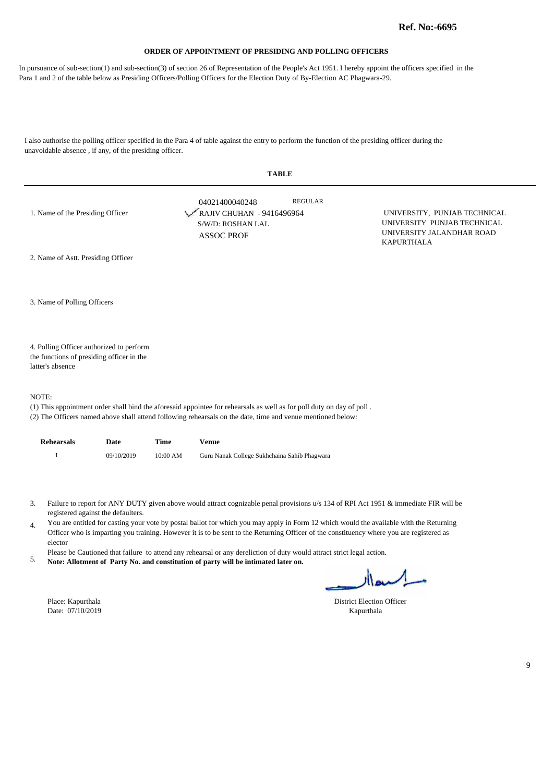In pursuance of sub-section(1) and sub-section(3) of section 26 of Representation of the People's Act 1951. I hereby appoint the officers specified in the Para 1 and 2 of the table below as Presiding Officers/Polling Officers for the Election Duty of By-Election AC Phagwara-29.

I also authorise the polling officer specified in the Para 4 of table against the entry to perform the function of the presiding officer during the unavoidable absence , if any, of the presiding officer.

| <b>TABLE</b>                                                  |                                                                                                                       |                                                                                                               |  |  |  |
|---------------------------------------------------------------|-----------------------------------------------------------------------------------------------------------------------|---------------------------------------------------------------------------------------------------------------|--|--|--|
| 1. Name of the Presiding Officer                              | <b>REGULAR</b><br>04021400040248<br>RAJIV CHUHAN - 9416496964<br>S/W/D: ROSHAN LAL<br><b>ASSOC PROF</b>               | UNIVERSITY, PUNJAB TECHNICAL<br>UNIVERSITY PUNJAB TECHNICAL<br>UNIVERSITY JALANDHAR ROAD<br><b>KAPURTHALA</b> |  |  |  |
| 2. Name of Astt. Presiding Officer                            |                                                                                                                       |                                                                                                               |  |  |  |
| 3. Name of Polling Officers                                   |                                                                                                                       |                                                                                                               |  |  |  |
| 4. Polling Officer authorized to perform                      |                                                                                                                       |                                                                                                               |  |  |  |
| the functions of presiding officer in the<br>latter's absence |                                                                                                                       |                                                                                                               |  |  |  |
| NOTE:                                                         |                                                                                                                       |                                                                                                               |  |  |  |
|                                                               | (1) This appointment order shall bind the aforesaid appointee for rehearsals as well as for poll duty on day of poll. |                                                                                                               |  |  |  |

(2) The Officers named above shall attend following rehearsals on the date, time and venue mentioned below:

| <b>Rehearsals</b> | Date       | Time       | Venue                                        |
|-------------------|------------|------------|----------------------------------------------|
|                   | 09/10/2019 | $10:00$ AM | Guru Nanak College Sukhchaina Sahib Phagwara |

- Failure to report for ANY DUTY given above would attract cognizable penal provisions u/s 134 of RPI Act 1951 & immediate FIR will be 3. registered against the defaulters.
- You are entitled for casting your vote by postal ballot for which you may apply in Form 12 which would the available with the Returning 4. Officer who is imparting you training. However it is to be sent to the Returning Officer of the constituency where you are registered as elector
- Please be Cautioned that failure to attend any rehearsal or any dereliction of duty would attract strict legal action.
- **Note: Allotment of Party No. and constitution of party will be intimated later on.** 5.

Place: Kapurthala District Election Officer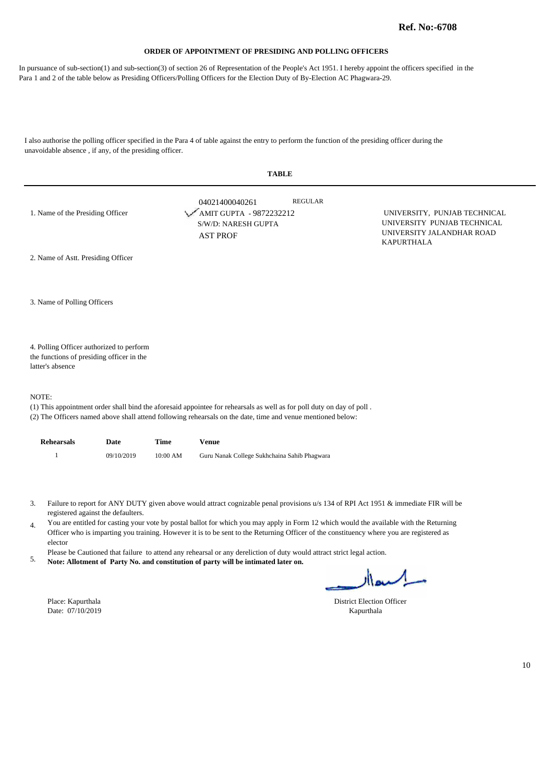In pursuance of sub-section(1) and sub-section(3) of section 26 of Representation of the People's Act 1951. I hereby appoint the officers specified in the Para 1 and 2 of the table below as Presiding Officers/Polling Officers for the Election Duty of By-Election AC Phagwara-29.

I also authorise the polling officer specified in the Para 4 of table against the entry to perform the function of the presiding officer during the unavoidable absence , if any, of the presiding officer.

| <b>TABLE</b>                                                                                                                                                                                                                                  |                                                                                     |                |                                                                                                               |  |  |
|-----------------------------------------------------------------------------------------------------------------------------------------------------------------------------------------------------------------------------------------------|-------------------------------------------------------------------------------------|----------------|---------------------------------------------------------------------------------------------------------------|--|--|
| 1. Name of the Presiding Officer                                                                                                                                                                                                              | 04021400040261<br>AMIT GUPTA - 9872232212<br>S/W/D: NARESH GUPTA<br><b>AST PROF</b> | <b>REGULAR</b> | UNIVERSITY, PUNJAB TECHNICAL<br>UNIVERSITY PUNJAB TECHNICAL<br>UNIVERSITY JALANDHAR ROAD<br><b>KAPURTHALA</b> |  |  |
| 2. Name of Astt. Presiding Officer                                                                                                                                                                                                            |                                                                                     |                |                                                                                                               |  |  |
| 3. Name of Polling Officers                                                                                                                                                                                                                   |                                                                                     |                |                                                                                                               |  |  |
| 4. Polling Officer authorized to perform<br>the functions of presiding officer in the<br>latter's absence                                                                                                                                     |                                                                                     |                |                                                                                                               |  |  |
| NOTE:<br>(1) This appointment order shall bind the aforesaid appointee for rehearsals as well as for poll duty on day of poll.<br>(2) The Officers named above shall attend following rehearsals on the date, time and venue mentioned below: |                                                                                     |                |                                                                                                               |  |  |

| <b>Rehearsals</b> | Date       | Time     | Venue                                        |
|-------------------|------------|----------|----------------------------------------------|
|                   | 09/10/2019 | 10:00 AM | Guru Nanak College Sukhchaina Sahib Phagwara |

- Failure to report for ANY DUTY given above would attract cognizable penal provisions u/s 134 of RPI Act 1951 & immediate FIR will be 3. registered against the defaulters.
- You are entitled for casting your vote by postal ballot for which you may apply in Form 12 which would the available with the Returning 4. Officer who is imparting you training. However it is to be sent to the Returning Officer of the constituency where you are registered as elector
- Please be Cautioned that failure to attend any rehearsal or any dereliction of duty would attract strict legal action.
- **Note: Allotment of Party No. and constitution of party will be intimated later on.** 5.

Date:  $07/10/2019$ 

l,

Place: Kapurthala District Election Officer<br>
Date: 07/10/2019 Kapurthala District Election Officer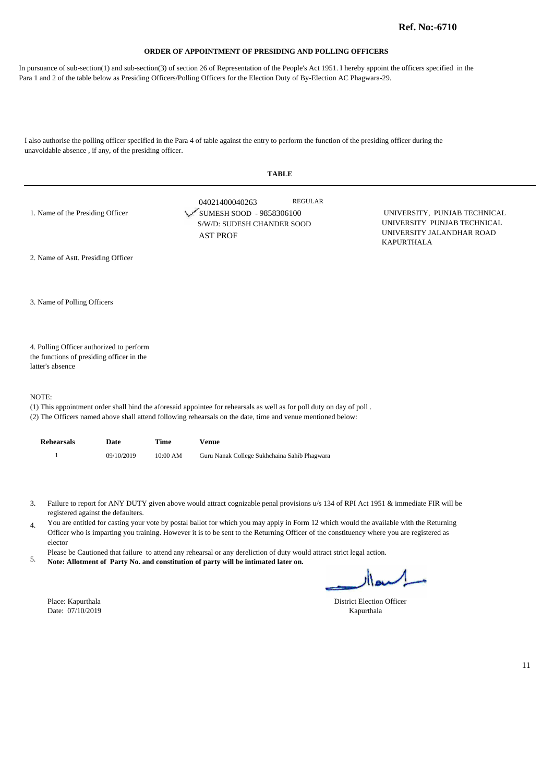In pursuance of sub-section(1) and sub-section(3) of section 26 of Representation of the People's Act 1951. I hereby appoint the officers specified in the Para 1 and 2 of the table below as Presiding Officers/Polling Officers for the Election Duty of By-Election AC Phagwara-29.

I also authorise the polling officer specified in the Para 4 of table against the entry to perform the function of the presiding officer during the unavoidable absence , if any, of the presiding officer.

| <b>TABLE</b>                                                                                              |                                                                                                                                                                                                                                      |                                                                                                               |  |  |
|-----------------------------------------------------------------------------------------------------------|--------------------------------------------------------------------------------------------------------------------------------------------------------------------------------------------------------------------------------------|---------------------------------------------------------------------------------------------------------------|--|--|
| 1. Name of the Presiding Officer                                                                          | <b>REGULAR</b><br>04021400040263<br>SUMESH SOOD - 9858306100<br>S/W/D: SUDESH CHANDER SOOD<br><b>AST PROF</b>                                                                                                                        | UNIVERSITY, PUNJAB TECHNICAL<br>UNIVERSITY PUNJAB TECHNICAL<br>UNIVERSITY JALANDHAR ROAD<br><b>KAPURTHALA</b> |  |  |
| 2. Name of Astt. Presiding Officer                                                                        |                                                                                                                                                                                                                                      |                                                                                                               |  |  |
| 3. Name of Polling Officers                                                                               |                                                                                                                                                                                                                                      |                                                                                                               |  |  |
| 4. Polling Officer authorized to perform<br>the functions of presiding officer in the<br>latter's absence |                                                                                                                                                                                                                                      |                                                                                                               |  |  |
| NOTE:                                                                                                     | (1) This appointment order shall bind the aforesaid appointee for rehearsals as well as for poll duty on day of poll.<br>(2) The Officers named above shall attend following rehearsals on the date, time and venue mentioned below: |                                                                                                               |  |  |

| Rehearsals | Date       | Time       | Venue                                        |
|------------|------------|------------|----------------------------------------------|
|            | 09/10/2019 | $10:00$ AM | Guru Nanak College Sukhchaina Sahib Phagwara |

- Failure to report for ANY DUTY given above would attract cognizable penal provisions u/s 134 of RPI Act 1951 & immediate FIR will be 3. registered against the defaulters.
- You are entitled for casting your vote by postal ballot for which you may apply in Form 12 which would the available with the Returning 4. Officer who is imparting you training. However it is to be sent to the Returning Officer of the constituency where you are registered as elector
- Please be Cautioned that failure to attend any rehearsal or any dereliction of duty would attract strict legal action.
- **Note: Allotment of Party No. and constitution of party will be intimated later on.** 5.

Date:  $07/10/2019$ 

l,

Place: Kapurthala District Election Officer<br>
Date: 07/10/2019 Kapurthala District Election Officer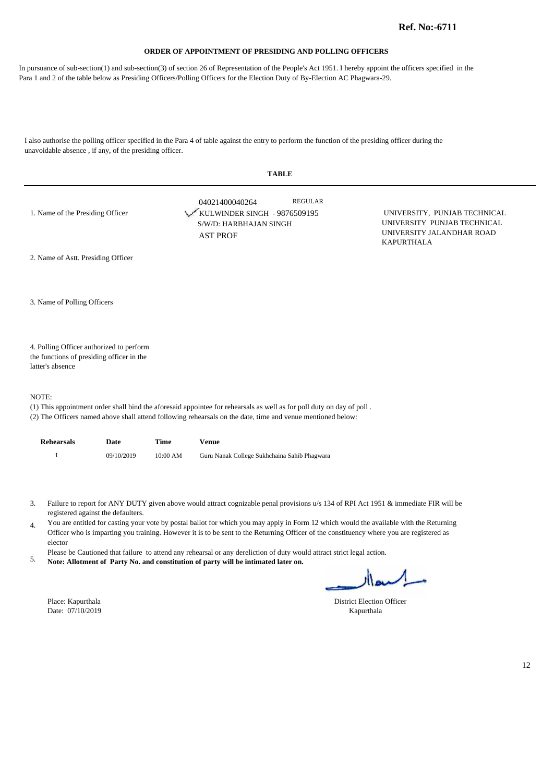In pursuance of sub-section(1) and sub-section(3) of section 26 of Representation of the People's Act 1951. I hereby appoint the officers specified in the Para 1 and 2 of the table below as Presiding Officers/Polling Officers for the Election Duty of By-Election AC Phagwara-29.

I also authorise the polling officer specified in the Para 4 of table against the entry to perform the function of the presiding officer during the unavoidable absence , if any, of the presiding officer.

| <b>TABLE</b>                                                                                              |                                                                                                                                                                                                                                      |                                                                                                               |  |  |
|-----------------------------------------------------------------------------------------------------------|--------------------------------------------------------------------------------------------------------------------------------------------------------------------------------------------------------------------------------------|---------------------------------------------------------------------------------------------------------------|--|--|
| 1. Name of the Presiding Officer                                                                          | <b>REGULAR</b><br>04021400040264<br>KULWINDER SINGH - 9876509195<br>S/W/D: HARBHAJAN SINGH<br><b>AST PROF</b>                                                                                                                        | UNIVERSITY, PUNJAB TECHNICAL<br>UNIVERSITY PUNJAB TECHNICAL<br>UNIVERSITY JALANDHAR ROAD<br><b>KAPURTHALA</b> |  |  |
| 2. Name of Astt. Presiding Officer                                                                        |                                                                                                                                                                                                                                      |                                                                                                               |  |  |
| 3. Name of Polling Officers                                                                               |                                                                                                                                                                                                                                      |                                                                                                               |  |  |
| 4. Polling Officer authorized to perform<br>the functions of presiding officer in the<br>latter's absence |                                                                                                                                                                                                                                      |                                                                                                               |  |  |
| NOTE:                                                                                                     | (1) This appointment order shall bind the aforesaid appointee for rehearsals as well as for poll duty on day of poll.<br>(2) The Officers named above shall attend following rehearsals on the date, time and venue mentioned below: |                                                                                                               |  |  |

| <b>Rehearsals</b> | Date       | Time     | Venue                                        |
|-------------------|------------|----------|----------------------------------------------|
|                   | 09/10/2019 | 10:00 AM | Guru Nanak College Sukhchaina Sahib Phagwara |

- Failure to report for ANY DUTY given above would attract cognizable penal provisions u/s 134 of RPI Act 1951 & immediate FIR will be 3. registered against the defaulters.
- You are entitled for casting your vote by postal ballot for which you may apply in Form 12 which would the available with the Returning 4. Officer who is imparting you training. However it is to be sent to the Returning Officer of the constituency where you are registered as elector
- Please be Cautioned that failure to attend any rehearsal or any dereliction of duty would attract strict legal action.
- **Note: Allotment of Party No. and constitution of party will be intimated later on.** 5.

Place: Kapurthala District Election Officer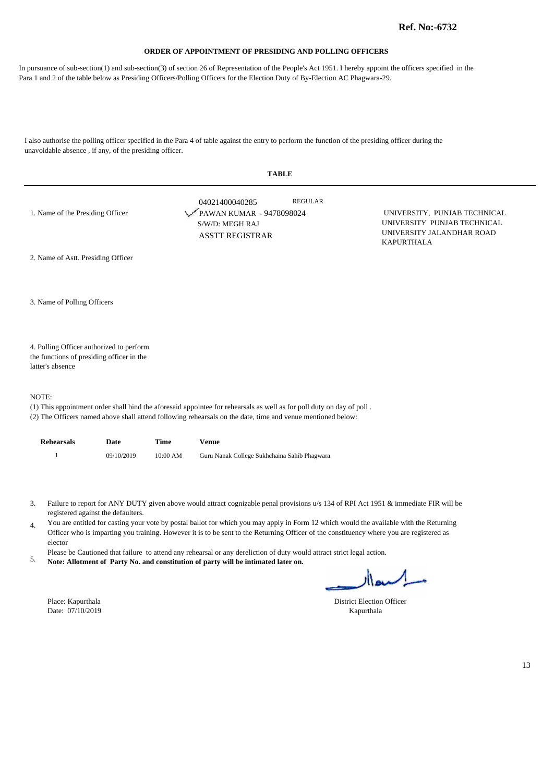In pursuance of sub-section(1) and sub-section(3) of section 26 of Representation of the People's Act 1951. I hereby appoint the officers specified in the Para 1 and 2 of the table below as Presiding Officers/Polling Officers for the Election Duty of By-Election AC Phagwara-29.

I also authorise the polling officer specified in the Para 4 of table against the entry to perform the function of the presiding officer during the unavoidable absence , if any, of the presiding officer.

| <b>TABLE</b>                                                                                                                                                                                                               |  |
|----------------------------------------------------------------------------------------------------------------------------------------------------------------------------------------------------------------------------|--|
| <b>REGULAR</b><br>04021400040285<br>PAWAN KUMAR - 9478098024<br>UNIVERSITY, PUNJAB TECHNICAL<br>UNIVERSITY PUNJAB TECHNICAL<br>S/W/D: MEGH RAJ<br>UNIVERSITY JALANDHAR ROAD<br><b>ASSTT REGISTRAR</b><br><b>KAPURTHALA</b> |  |
|                                                                                                                                                                                                                            |  |
|                                                                                                                                                                                                                            |  |
|                                                                                                                                                                                                                            |  |
|                                                                                                                                                                                                                            |  |

4. Polling Officer authorized to perform the functions of presiding officer in the latter's absence

#### NOTE:

(1) This appointment order shall bind the aforesaid appointee for rehearsals as well as for poll duty on day of poll .

(2) The Officers named above shall attend following rehearsals on the date, time and venue mentioned below:

| <b>Rehearsals</b> | Date       | Time       | Venue                                        |
|-------------------|------------|------------|----------------------------------------------|
|                   | 09/10/2019 | $10:00$ AM | Guru Nanak College Sukhchaina Sahib Phagwara |

- Failure to report for ANY DUTY given above would attract cognizable penal provisions u/s 134 of RPI Act 1951 & immediate FIR will be 3. registered against the defaulters.
- You are entitled for casting your vote by postal ballot for which you may apply in Form 12 which would the available with the Returning 4. Officer who is imparting you training. However it is to be sent to the Returning Officer of the constituency where you are registered as elector
- Please be Cautioned that failure to attend any rehearsal or any dereliction of duty would attract strict legal action.
- **Note: Allotment of Party No. and constitution of party will be intimated later on.** 5.

Date: 07/10/2019 Kapurthala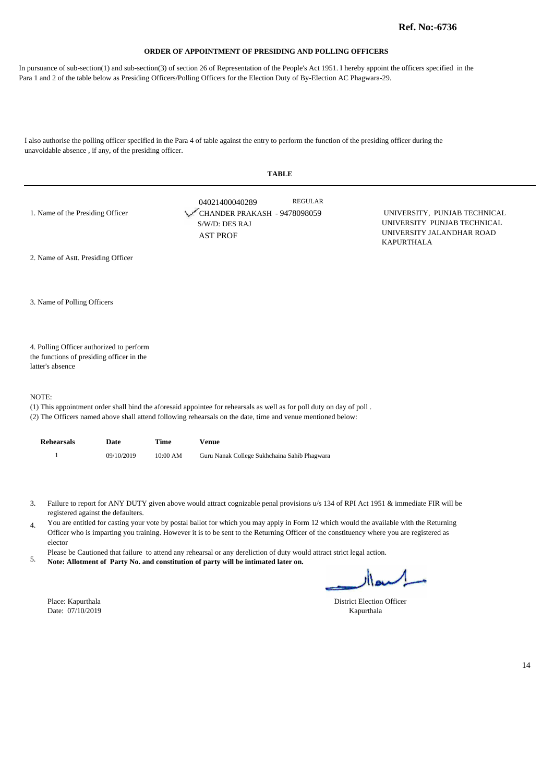In pursuance of sub-section(1) and sub-section(3) of section 26 of Representation of the People's Act 1951. I hereby appoint the officers specified in the Para 1 and 2 of the table below as Presiding Officers/Polling Officers for the Election Duty of By-Election AC Phagwara-29.

I also authorise the polling officer specified in the Para 4 of table against the entry to perform the function of the presiding officer during the unavoidable absence , if any, of the presiding officer.

| <b>TABLE</b>                                                  |                                                                                                                       |                                                                                                               |  |  |
|---------------------------------------------------------------|-----------------------------------------------------------------------------------------------------------------------|---------------------------------------------------------------------------------------------------------------|--|--|
| 1. Name of the Presiding Officer                              | <b>REGULAR</b><br>04021400040289<br>CHANDER PRAKASH - 9478098059<br>S/W/D: DES RAJ<br><b>AST PROF</b>                 | UNIVERSITY, PUNJAB TECHNICAL<br>UNIVERSITY PUNJAB TECHNICAL<br>UNIVERSITY JALANDHAR ROAD<br><b>KAPURTHALA</b> |  |  |
| 2. Name of Astt. Presiding Officer                            |                                                                                                                       |                                                                                                               |  |  |
| 3. Name of Polling Officers                                   |                                                                                                                       |                                                                                                               |  |  |
| 4. Polling Officer authorized to perform                      |                                                                                                                       |                                                                                                               |  |  |
| the functions of presiding officer in the<br>latter's absence |                                                                                                                       |                                                                                                               |  |  |
| NOTE:                                                         | (1) This appointment order shall bind the aforesaid appointee for rehearsals as well as for poll duty on day of poll. |                                                                                                               |  |  |

(2) The Officers named above shall attend following rehearsals on the date, time and venue mentioned below:

| <b>Rehearsals</b> | Date       | Time       | Venue                                        |
|-------------------|------------|------------|----------------------------------------------|
|                   | 09/10/2019 | $10:00$ AM | Guru Nanak College Sukhchaina Sahib Phagwara |

- Failure to report for ANY DUTY given above would attract cognizable penal provisions u/s 134 of RPI Act 1951 & immediate FIR will be 3. registered against the defaulters.
- You are entitled for casting your vote by postal ballot for which you may apply in Form 12 which would the available with the Returning 4. Officer who is imparting you training. However it is to be sent to the Returning Officer of the constituency where you are registered as elector
- Please be Cautioned that failure to attend any rehearsal or any dereliction of duty would attract strict legal action.
- **Note: Allotment of Party No. and constitution of party will be intimated later on.** 5.

Place: Kapurthala District Election Officer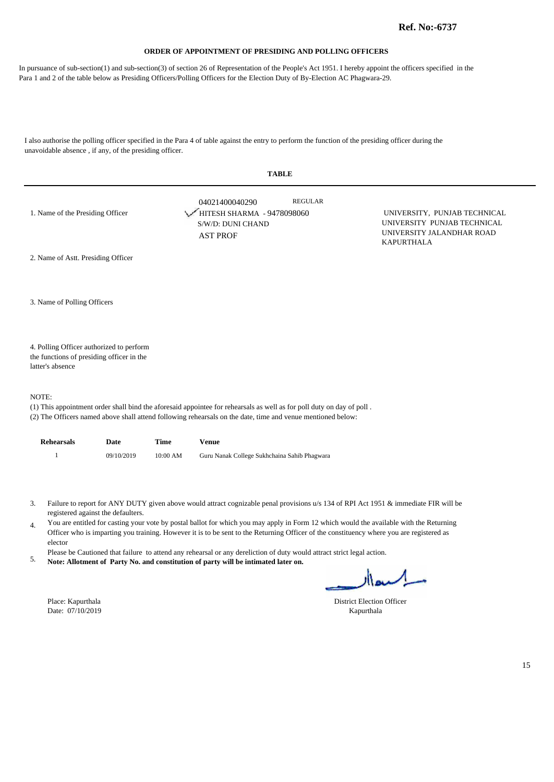In pursuance of sub-section(1) and sub-section(3) of section 26 of Representation of the People's Act 1951. I hereby appoint the officers specified in the Para 1 and 2 of the table below as Presiding Officers/Polling Officers for the Election Duty of By-Election AC Phagwara-29.

I also authorise the polling officer specified in the Para 4 of table against the entry to perform the function of the presiding officer during the unavoidable absence , if any, of the presiding officer.

|                                                                                                           | <b>TABLE</b>                                                                                                                                                                                                                         |                                                                                                               |
|-----------------------------------------------------------------------------------------------------------|--------------------------------------------------------------------------------------------------------------------------------------------------------------------------------------------------------------------------------------|---------------------------------------------------------------------------------------------------------------|
| 1. Name of the Presiding Officer                                                                          | <b>REGULAR</b><br>04021400040290<br>HITESH SHARMA - 9478098060<br>S/W/D: DUNI CHAND<br><b>AST PROF</b>                                                                                                                               | UNIVERSITY, PUNJAB TECHNICAL<br>UNIVERSITY PUNJAB TECHNICAL<br>UNIVERSITY JALANDHAR ROAD<br><b>KAPURTHALA</b> |
| 2. Name of Astt. Presiding Officer                                                                        |                                                                                                                                                                                                                                      |                                                                                                               |
| 3. Name of Polling Officers                                                                               |                                                                                                                                                                                                                                      |                                                                                                               |
| 4. Polling Officer authorized to perform<br>the functions of presiding officer in the<br>latter's absence |                                                                                                                                                                                                                                      |                                                                                                               |
| NOTE:                                                                                                     | (1) This appointment order shall bind the aforesaid appointee for rehearsals as well as for poll duty on day of poll.<br>(2) The Officers named above shall attend following rehearsals on the date, time and venue mentioned below: |                                                                                                               |

| <b>Rehearsals</b> | Date       | Time       | Venue                                        |
|-------------------|------------|------------|----------------------------------------------|
|                   | 09/10/2019 | $10:00$ AM | Guru Nanak College Sukhchaina Sahib Phagwara |

- Failure to report for ANY DUTY given above would attract cognizable penal provisions u/s 134 of RPI Act 1951 & immediate FIR will be 3. registered against the defaulters.
- You are entitled for casting your vote by postal ballot for which you may apply in Form 12 which would the available with the Returning 4. Officer who is imparting you training. However it is to be sent to the Returning Officer of the constituency where you are registered as elector
- Please be Cautioned that failure to attend any rehearsal or any dereliction of duty would attract strict legal action.
- **Note: Allotment of Party No. and constitution of party will be intimated later on.** 5.

Date:  $07/10/2019$ 

Place: Kapurthala District Election Officer<br>
Date: 07/10/2019 Kapurthala District Election Officer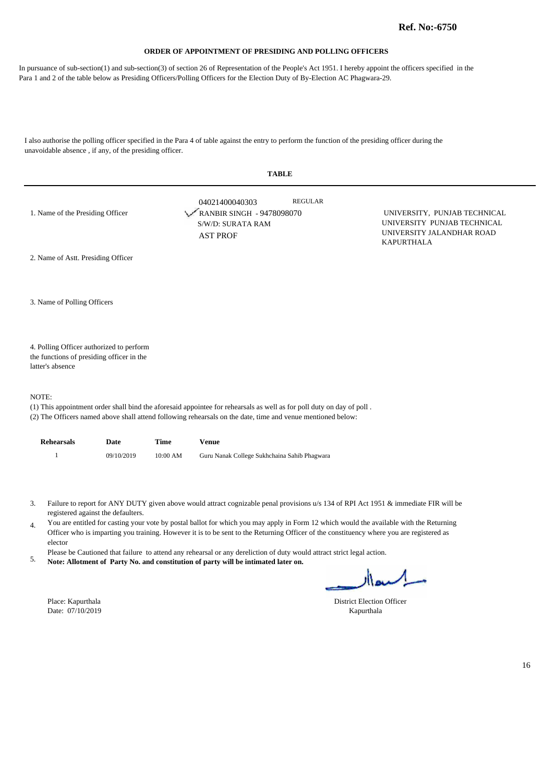In pursuance of sub-section(1) and sub-section(3) of section 26 of Representation of the People's Act 1951. I hereby appoint the officers specified in the Para 1 and 2 of the table below as Presiding Officers/Polling Officers for the Election Duty of By-Election AC Phagwara-29.

I also authorise the polling officer specified in the Para 4 of table against the entry to perform the function of the presiding officer during the unavoidable absence , if any, of the presiding officer.

| <b>TABLE</b>                                                                                                                   |                                                                                     |                |                                                                                                               |  |  |
|--------------------------------------------------------------------------------------------------------------------------------|-------------------------------------------------------------------------------------|----------------|---------------------------------------------------------------------------------------------------------------|--|--|
| 1. Name of the Presiding Officer                                                                                               | 04021400040303<br>RANBIR SINGH - 9478098070<br>S/W/D: SURATA RAM<br><b>AST PROF</b> | <b>REGULAR</b> | UNIVERSITY, PUNJAB TECHNICAL<br>UNIVERSITY PUNJAB TECHNICAL<br>UNIVERSITY JALANDHAR ROAD<br><b>KAPURTHALA</b> |  |  |
| 2. Name of Astt. Presiding Officer                                                                                             |                                                                                     |                |                                                                                                               |  |  |
| 3. Name of Polling Officers                                                                                                    |                                                                                     |                |                                                                                                               |  |  |
| 4. Polling Officer authorized to perform<br>the functions of presiding officer in the<br>latter's absence                      |                                                                                     |                |                                                                                                               |  |  |
| NOTE:<br>(1) This appointment order shall bind the aforesaid appointee for rehearsals as well as for poll duty on day of poll. |                                                                                     |                |                                                                                                               |  |  |

(2) The Officers named above shall attend following rehearsals on the date, time and venue mentioned below:

| <b>Rehearsals</b> | Date       | Time       | Venue                                        |
|-------------------|------------|------------|----------------------------------------------|
|                   | 09/10/2019 | $10:00$ AM | Guru Nanak College Sukhchaina Sahib Phagwara |

Failure to report for ANY DUTY given above would attract cognizable penal provisions u/s 134 of RPI Act 1951 & immediate FIR will be 3. registered against the defaulters.

You are entitled for casting your vote by postal ballot for which you may apply in Form 12 which would the available with the Returning 4. Officer who is imparting you training. However it is to be sent to the Returning Officer of the constituency where you are registered as elector

Please be Cautioned that failure to attend any rehearsal or any dereliction of duty would attract strict legal action.

**Note: Allotment of Party No. and constitution of party will be intimated later on.** 5.

Date: 07/10/2019 Kapurthala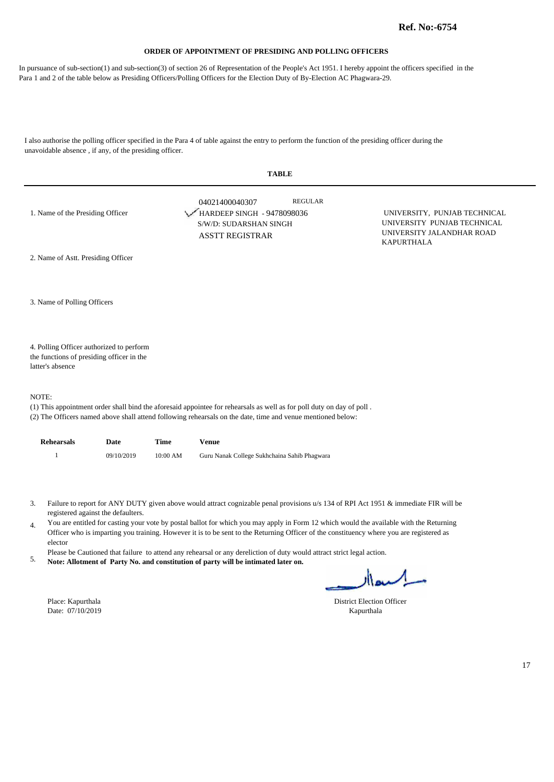In pursuance of sub-section(1) and sub-section(3) of section 26 of Representation of the People's Act 1951. I hereby appoint the officers specified in the Para 1 and 2 of the table below as Presiding Officers/Polling Officers for the Election Duty of By-Election AC Phagwara-29.

I also authorise the polling officer specified in the Para 4 of table against the entry to perform the function of the presiding officer during the unavoidable absence , if any, of the presiding officer.

| <b>TABLE</b>                                                                                              |                                                                                                                       |                                                                                                               |  |  |  |
|-----------------------------------------------------------------------------------------------------------|-----------------------------------------------------------------------------------------------------------------------|---------------------------------------------------------------------------------------------------------------|--|--|--|
| 1. Name of the Presiding Officer                                                                          | <b>REGULAR</b><br>04021400040307<br>HARDEEP SINGH - 9478098036<br>S/W/D: SUDARSHAN SINGH<br><b>ASSTT REGISTRAR</b>    | UNIVERSITY, PUNJAB TECHNICAL<br>UNIVERSITY PUNJAB TECHNICAL<br>UNIVERSITY JALANDHAR ROAD<br><b>KAPURTHALA</b> |  |  |  |
| 2. Name of Astt. Presiding Officer                                                                        |                                                                                                                       |                                                                                                               |  |  |  |
| 3. Name of Polling Officers                                                                               |                                                                                                                       |                                                                                                               |  |  |  |
| 4. Polling Officer authorized to perform<br>the functions of presiding officer in the<br>latter's absence |                                                                                                                       |                                                                                                               |  |  |  |
| NOTE:                                                                                                     | (1) This appointment order shall bind the aforesaid appointee for rehearsals as well as for poll duty on day of poll. |                                                                                                               |  |  |  |

(2) The Officers named above shall attend following rehearsals on the date, time and venue mentioned below:

| <b>Rehearsals</b> | Date       | Time       | Venue                                        |
|-------------------|------------|------------|----------------------------------------------|
|                   | 09/10/2019 | $10:00$ AM | Guru Nanak College Sukhchaina Sahib Phagwara |

- Failure to report for ANY DUTY given above would attract cognizable penal provisions u/s 134 of RPI Act 1951 & immediate FIR will be 3. registered against the defaulters.
- You are entitled for casting your vote by postal ballot for which you may apply in Form 12 which would the available with the Returning 4. Officer who is imparting you training. However it is to be sent to the Returning Officer of the constituency where you are registered as elector
- Please be Cautioned that failure to attend any rehearsal or any dereliction of duty would attract strict legal action.
- **Note: Allotment of Party No. and constitution of party will be intimated later on.** 5.

Place: Kapurthala District Election Officer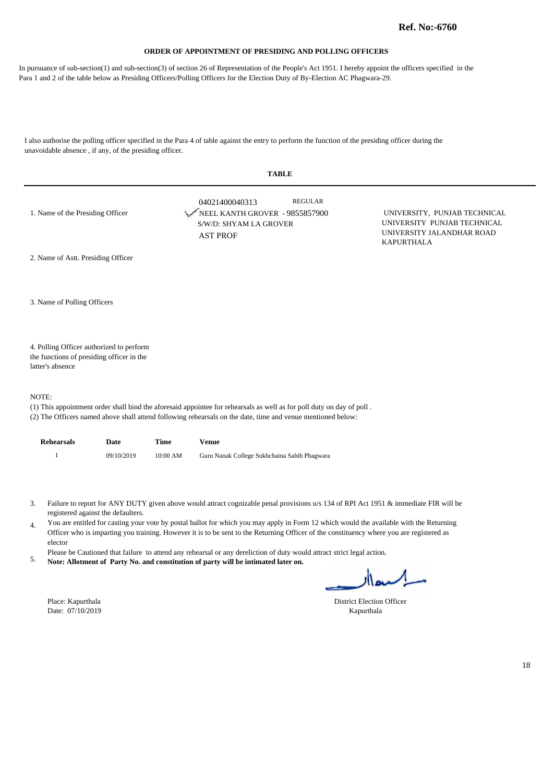In pursuance of sub-section(1) and sub-section(3) of section 26 of Representation of the People's Act 1951. I hereby appoint the officers specified in the Para 1 and 2 of the table below as Presiding Officers/Polling Officers for the Election Duty of By-Election AC Phagwara-29.

I also authorise the polling officer specified in the Para 4 of table against the entry to perform the function of the presiding officer during the unavoidable absence , if any, of the presiding officer.

| <b>TABLE</b>                                                                                              |                                                                                                                      |                                                                                                               |  |  |  |
|-----------------------------------------------------------------------------------------------------------|----------------------------------------------------------------------------------------------------------------------|---------------------------------------------------------------------------------------------------------------|--|--|--|
| 1. Name of the Presiding Officer                                                                          | REGULAR<br>04021400040313<br>NEEL KANTH GROVER - 9855857900<br>S/W/D: SHYAM LA GROVER<br><b>AST PROF</b>             | UNIVERSITY, PUNJAB TECHNICAL<br>UNIVERSITY PUNJAB TECHNICAL<br>UNIVERSITY JALANDHAR ROAD<br><b>KAPURTHALA</b> |  |  |  |
| 2. Name of Astt. Presiding Officer                                                                        |                                                                                                                      |                                                                                                               |  |  |  |
| 3. Name of Polling Officers                                                                               |                                                                                                                      |                                                                                                               |  |  |  |
| 4. Polling Officer authorized to perform<br>the functions of presiding officer in the<br>latter's absence |                                                                                                                      |                                                                                                               |  |  |  |
| NOTE:                                                                                                     |                                                                                                                      |                                                                                                               |  |  |  |
|                                                                                                           | (1) This appointment order shall hind the aforesaid appointed for rehearcals as well as for poll duty on day of poll |                                                                                                               |  |  |  |

(1) This appointment order shall bind the aforesaid appointee for rehearsals as well as for poll duty on day of poll .

(2) The Officers named above shall attend following rehearsals on the date, time and venue mentioned below:

| <b>Rehearsals</b> | Date       | Time       | Venue                                        |
|-------------------|------------|------------|----------------------------------------------|
|                   | 09/10/2019 | $10:00$ AM | Guru Nanak College Sukhchaina Sahib Phagwara |

Failure to report for ANY DUTY given above would attract cognizable penal provisions u/s 134 of RPI Act 1951 & immediate FIR will be 3. registered against the defaulters.

You are entitled for casting your vote by postal ballot for which you may apply in Form 12 which would the available with the Returning 4. Officer who is imparting you training. However it is to be sent to the Returning Officer of the constituency where you are registered as elector

Please be Cautioned that failure to attend any rehearsal or any dereliction of duty would attract strict legal action.

**Note: Allotment of Party No. and constitution of party will be intimated later on.** 5.

Date: 07/10/2019 Kapurthala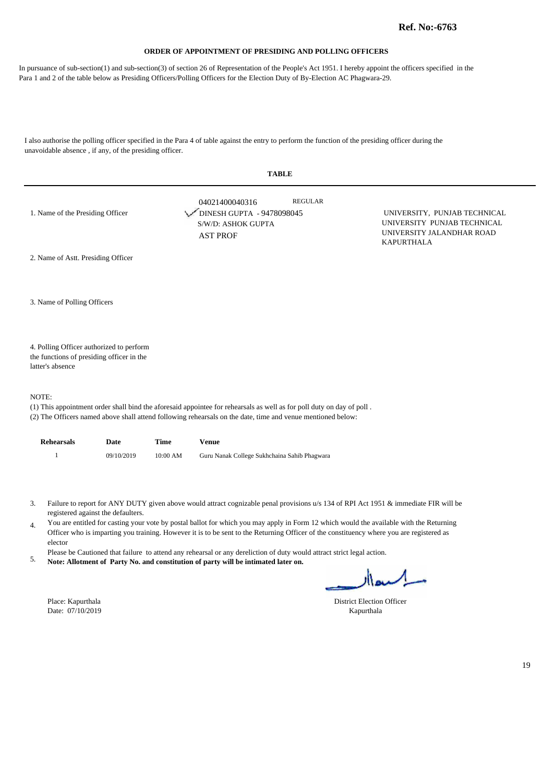In pursuance of sub-section(1) and sub-section(3) of section 26 of Representation of the People's Act 1951. I hereby appoint the officers specified in the Para 1 and 2 of the table below as Presiding Officers/Polling Officers for the Election Duty of By-Election AC Phagwara-29.

I also authorise the polling officer specified in the Para 4 of table against the entry to perform the function of the presiding officer during the unavoidable absence , if any, of the presiding officer.

| <b>TABLE</b>                                                                                              |                                                                                                                                                                                                                                      |                                                                                                               |  |  |
|-----------------------------------------------------------------------------------------------------------|--------------------------------------------------------------------------------------------------------------------------------------------------------------------------------------------------------------------------------------|---------------------------------------------------------------------------------------------------------------|--|--|
| 1. Name of the Presiding Officer                                                                          | <b>REGULAR</b><br>04021400040316<br>DINESH GUPTA - 9478098045<br>S/W/D: ASHOK GUPTA<br><b>AST PROF</b>                                                                                                                               | UNIVERSITY, PUNJAB TECHNICAL<br>UNIVERSITY PUNJAB TECHNICAL<br>UNIVERSITY JALANDHAR ROAD<br><b>KAPURTHALA</b> |  |  |
| 2. Name of Astt. Presiding Officer                                                                        |                                                                                                                                                                                                                                      |                                                                                                               |  |  |
| 3. Name of Polling Officers                                                                               |                                                                                                                                                                                                                                      |                                                                                                               |  |  |
| 4. Polling Officer authorized to perform<br>the functions of presiding officer in the<br>latter's absence |                                                                                                                                                                                                                                      |                                                                                                               |  |  |
| NOTE:                                                                                                     | (1) This appointment order shall bind the aforesaid appointee for rehearsals as well as for poll duty on day of poll.<br>(2) The Officers named above shall attend following rehearsals on the date, time and venue mentioned below: |                                                                                                               |  |  |

| Rehearsals | Date       | Time       | Venue                                        |
|------------|------------|------------|----------------------------------------------|
|            | 09/10/2019 | $10:00$ AM | Guru Nanak College Sukhchaina Sahib Phagwara |

- Failure to report for ANY DUTY given above would attract cognizable penal provisions u/s 134 of RPI Act 1951 & immediate FIR will be 3. registered against the defaulters.
- You are entitled for casting your vote by postal ballot for which you may apply in Form 12 which would the available with the Returning 4. Officer who is imparting you training. However it is to be sent to the Returning Officer of the constituency where you are registered as elector
- Please be Cautioned that failure to attend any rehearsal or any dereliction of duty would attract strict legal action.
- **Note: Allotment of Party No. and constitution of party will be intimated later on.** 5.

Date:  $07/10/2019$ 

l,

Place: Kapurthala District Election Officer<br>
Date: 07/10/2019 Kapurthala District Election Officer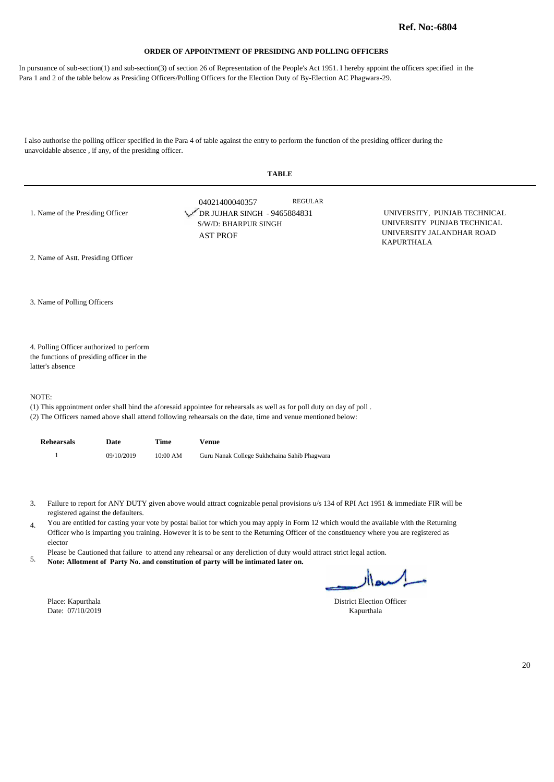In pursuance of sub-section(1) and sub-section(3) of section 26 of Representation of the People's Act 1951. I hereby appoint the officers specified in the Para 1 and 2 of the table below as Presiding Officers/Polling Officers for the Election Duty of By-Election AC Phagwara-29.

I also authorise the polling officer specified in the Para 4 of table against the entry to perform the function of the presiding officer during the unavoidable absence , if any, of the presiding officer.

| <b>TABLE</b>                                                                                              |                                                                                                                                                                                                                                      |                                                                                                               |  |  |  |
|-----------------------------------------------------------------------------------------------------------|--------------------------------------------------------------------------------------------------------------------------------------------------------------------------------------------------------------------------------------|---------------------------------------------------------------------------------------------------------------|--|--|--|
| 1. Name of the Presiding Officer                                                                          | <b>REGULAR</b><br>04021400040357<br>DR JUJHAR SINGH - 9465884831<br>S/W/D: BHARPUR SINGH<br><b>AST PROF</b>                                                                                                                          | UNIVERSITY, PUNJAB TECHNICAL<br>UNIVERSITY PUNJAB TECHNICAL<br>UNIVERSITY JALANDHAR ROAD<br><b>KAPURTHALA</b> |  |  |  |
| 2. Name of Astt. Presiding Officer                                                                        |                                                                                                                                                                                                                                      |                                                                                                               |  |  |  |
| 3. Name of Polling Officers                                                                               |                                                                                                                                                                                                                                      |                                                                                                               |  |  |  |
| 4. Polling Officer authorized to perform<br>the functions of presiding officer in the<br>latter's absence |                                                                                                                                                                                                                                      |                                                                                                               |  |  |  |
| NOTE:                                                                                                     | (1) This appointment order shall bind the aforesaid appointee for rehearsals as well as for poll duty on day of poll.<br>(2) The Officers named above shall attend following rehearsals on the date, time and venue mentioned below: |                                                                                                               |  |  |  |

| <b>Rehearsals</b> | Date       | Time     | Venue                                        |
|-------------------|------------|----------|----------------------------------------------|
|                   | 09/10/2019 | 10:00 AM | Guru Nanak College Sukhchaina Sahib Phagwara |

- Failure to report for ANY DUTY given above would attract cognizable penal provisions u/s 134 of RPI Act 1951 & immediate FIR will be 3. registered against the defaulters.
- You are entitled for casting your vote by postal ballot for which you may apply in Form 12 which would the available with the Returning 4. Officer who is imparting you training. However it is to be sent to the Returning Officer of the constituency where you are registered as elector
- Please be Cautioned that failure to attend any rehearsal or any dereliction of duty would attract strict legal action.
- **Note: Allotment of Party No. and constitution of party will be intimated later on.** 5.

Place: Kapurthala District Election Officer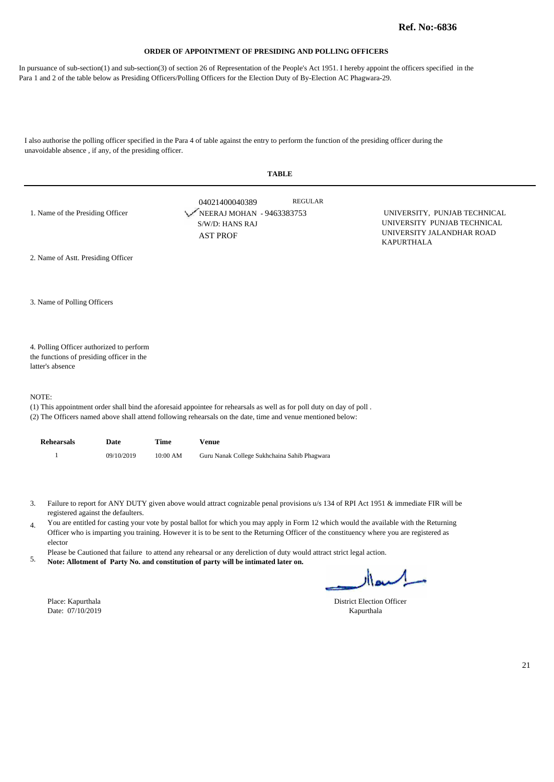In pursuance of sub-section(1) and sub-section(3) of section 26 of Representation of the People's Act 1951. I hereby appoint the officers specified in the Para 1 and 2 of the table below as Presiding Officers/Polling Officers for the Election Duty of By-Election AC Phagwara-29.

I also authorise the polling officer specified in the Para 4 of table against the entry to perform the function of the presiding officer during the unavoidable absence , if any, of the presiding officer.

| <b>TABLE</b>                                                                                              |                                                                                                                                                                                                                                      |                                                                                                               |  |  |
|-----------------------------------------------------------------------------------------------------------|--------------------------------------------------------------------------------------------------------------------------------------------------------------------------------------------------------------------------------------|---------------------------------------------------------------------------------------------------------------|--|--|
| 1. Name of the Presiding Officer                                                                          | <b>REGULAR</b><br>04021400040389<br>NEERAJ MOHAN - 9463383753<br>S/W/D: HANS RAJ<br><b>AST PROF</b>                                                                                                                                  | UNIVERSITY, PUNJAB TECHNICAL<br>UNIVERSITY PUNJAB TECHNICAL<br>UNIVERSITY JALANDHAR ROAD<br><b>KAPURTHALA</b> |  |  |
| 2. Name of Astt. Presiding Officer                                                                        |                                                                                                                                                                                                                                      |                                                                                                               |  |  |
| 3. Name of Polling Officers                                                                               |                                                                                                                                                                                                                                      |                                                                                                               |  |  |
| 4. Polling Officer authorized to perform<br>the functions of presiding officer in the<br>latter's absence |                                                                                                                                                                                                                                      |                                                                                                               |  |  |
| NOTE:                                                                                                     | (1) This appointment order shall bind the aforesaid appointee for rehearsals as well as for poll duty on day of poll.<br>(2) The Officers named above shall attend following rehearsals on the date, time and venue mentioned below: |                                                                                                               |  |  |

| <b>Rehearsals</b> | Date       | Time     | Venue                                        |
|-------------------|------------|----------|----------------------------------------------|
|                   | 09/10/2019 | 10:00 AM | Guru Nanak College Sukhchaina Sahib Phagwara |

- Failure to report for ANY DUTY given above would attract cognizable penal provisions u/s 134 of RPI Act 1951 & immediate FIR will be 3. registered against the defaulters.
- You are entitled for casting your vote by postal ballot for which you may apply in Form 12 which would the available with the Returning 4. Officer who is imparting you training. However it is to be sent to the Returning Officer of the constituency where you are registered as elector
- Please be Cautioned that failure to attend any rehearsal or any dereliction of duty would attract strict legal action.
- **Note: Allotment of Party No. and constitution of party will be intimated later on.** 5.

Place: Kapurthala District Election Officer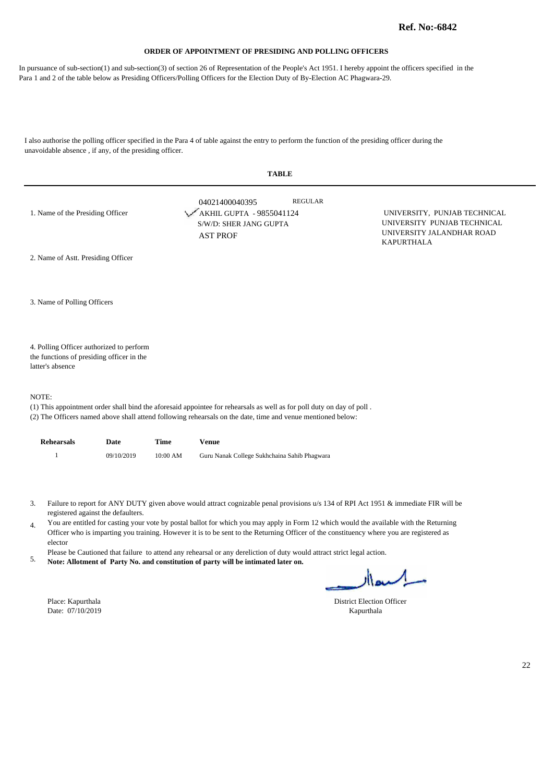In pursuance of sub-section(1) and sub-section(3) of section 26 of Representation of the People's Act 1951. I hereby appoint the officers specified in the Para 1 and 2 of the table below as Presiding Officers/Polling Officers for the Election Duty of By-Election AC Phagwara-29.

I also authorise the polling officer specified in the Para 4 of table against the entry to perform the function of the presiding officer during the unavoidable absence , if any, of the presiding officer.

| <b>TABLE</b>                              |                                                                                                                                                                                                                                      |                                                                                                               |  |  |  |
|-------------------------------------------|--------------------------------------------------------------------------------------------------------------------------------------------------------------------------------------------------------------------------------------|---------------------------------------------------------------------------------------------------------------|--|--|--|
| 1. Name of the Presiding Officer          | <b>REGULAR</b><br>04021400040395<br>AKHIL GUPTA - 9855041124<br>S/W/D: SHER JANG GUPTA<br><b>AST PROF</b>                                                                                                                            | UNIVERSITY, PUNJAB TECHNICAL<br>UNIVERSITY PUNJAB TECHNICAL<br>UNIVERSITY JALANDHAR ROAD<br><b>KAPURTHALA</b> |  |  |  |
| 2. Name of Astt. Presiding Officer        |                                                                                                                                                                                                                                      |                                                                                                               |  |  |  |
| 3. Name of Polling Officers               |                                                                                                                                                                                                                                      |                                                                                                               |  |  |  |
| 4. Polling Officer authorized to perform  |                                                                                                                                                                                                                                      |                                                                                                               |  |  |  |
| the functions of presiding officer in the |                                                                                                                                                                                                                                      |                                                                                                               |  |  |  |
| latter's absence                          |                                                                                                                                                                                                                                      |                                                                                                               |  |  |  |
| NOTE:                                     | (1) This appointment order shall bind the aforesaid appointee for rehearsals as well as for poll duty on day of poll.<br>(2) The Officers named above shall attend following rehearsals on the date, time and venue mentioned below: |                                                                                                               |  |  |  |

| Rehearsals | Date       | Time       | Venue                                        |
|------------|------------|------------|----------------------------------------------|
|            | 09/10/2019 | $10:00$ AM | Guru Nanak College Sukhchaina Sahib Phagwara |

- Failure to report for ANY DUTY given above would attract cognizable penal provisions u/s 134 of RPI Act 1951 & immediate FIR will be 3. registered against the defaulters.
- You are entitled for casting your vote by postal ballot for which you may apply in Form 12 which would the available with the Returning 4. Officer who is imparting you training. However it is to be sent to the Returning Officer of the constituency where you are registered as elector
- Please be Cautioned that failure to attend any rehearsal or any dereliction of duty would attract strict legal action.
- **Note: Allotment of Party No. and constitution of party will be intimated later on.** 5.

Date:  $07/10/2019$ 

Place: Kapurthala District Election Officer<br>
Date: 07/10/2019 Kapurthala District Election Officer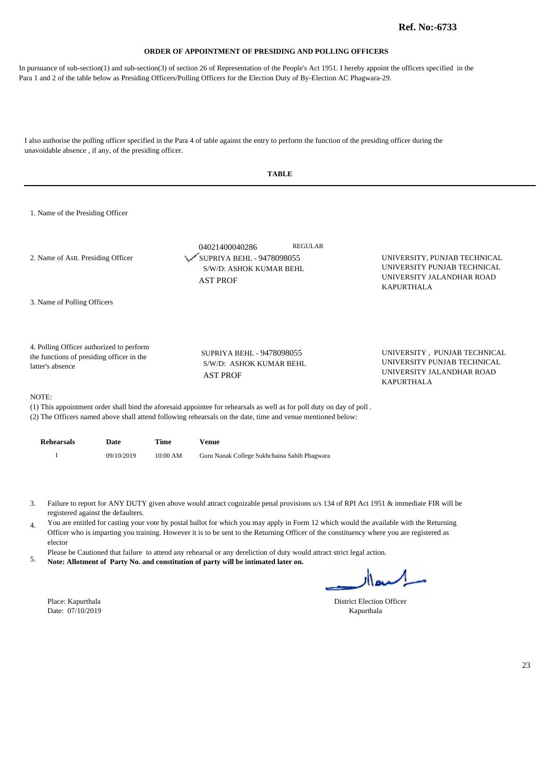In pursuance of sub-section(1) and sub-section(3) of section 26 of Representation of the People's Act 1951. I hereby appoint the officers specified in the Para 1 and 2 of the table below as Presiding Officers/Polling Officers for the Election Duty of By-Election AC Phagwara-29.

I also authorise the polling officer specified in the Para 4 of table against the entry to perform the function of the presiding officer during the unavoidable absence , if any, of the presiding officer.

|                                                                                                           | <b>TABLE</b>                                                                                                |                                                                                                               |
|-----------------------------------------------------------------------------------------------------------|-------------------------------------------------------------------------------------------------------------|---------------------------------------------------------------------------------------------------------------|
| 1. Name of the Presiding Officer                                                                          |                                                                                                             |                                                                                                               |
| 2. Name of Astt. Presiding Officer                                                                        | <b>REGULAR</b><br>04021400040286<br>SUPRIYA BEHL - 9478098055<br>S/W/D: ASHOK KUMAR BEHL<br><b>AST PROF</b> | UNIVERSITY, PUNJAB TECHNICAL<br>UNIVERSITY PUNJAB TECHNICAL<br>UNIVERSITY JALANDHAR ROAD<br><b>KAPURTHALA</b> |
| 3. Name of Polling Officers                                                                               |                                                                                                             |                                                                                                               |
| 4. Polling Officer authorized to perform<br>the functions of presiding officer in the<br>latter's absence | SUPRIYA BEHL - 9478098055<br>S/W/D: ASHOK KUMAR BEHL<br><b>AST PROF</b>                                     | UNIVERSITY, PUNJAB TECHNICAL<br>UNIVERSITY PUNJAB TECHNICAL<br>UNIVERSITY JALANDHAR ROAD<br><b>KAPURTHALA</b> |
| NOTE:                                                                                                     |                                                                                                             |                                                                                                               |

(1) This appointment order shall bind the aforesaid appointee for rehearsals as well as for poll duty on day of poll . (2) The Officers named above shall attend following rehearsals on the date, time and venue mentioned below:

**Rehearsals Date Time Venue**

|  | 09/10/2019 | $10:00$ AM | Guru Nanak College Sukhchaina Sahib Phagwara |
|--|------------|------------|----------------------------------------------|
|--|------------|------------|----------------------------------------------|

Failure to report for ANY DUTY given above would attract cognizable penal provisions u/s 134 of RPI Act 1951 & immediate FIR will be 3. registered against the defaulters.

You are entitled for casting your vote by postal ballot for which you may apply in Form 12 which would the available with the Returning 4. Officer who is imparting you training. However it is to be sent to the Returning Officer of the constituency where you are registered as elector

Please be Cautioned that failure to attend any rehearsal or any dereliction of duty would attract strict legal action.

**Note: Allotment of Party No. and constitution of party will be intimated later on.** 5.

Date: 07/10/2019 Kapurthala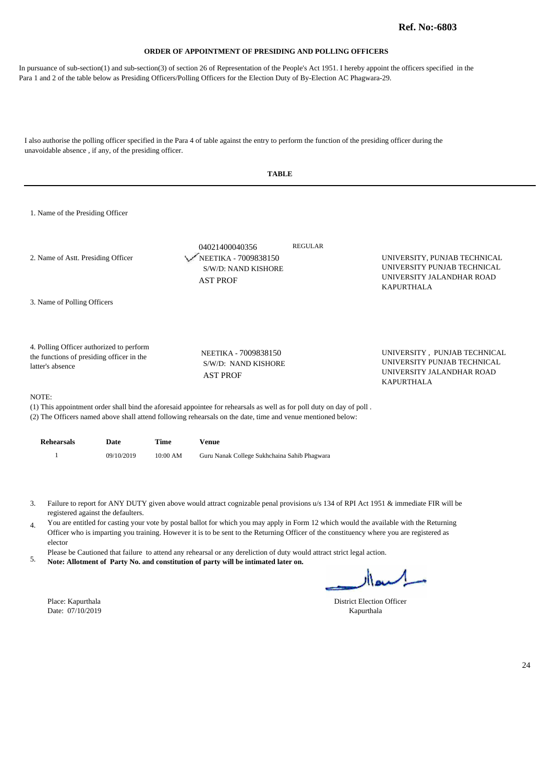In pursuance of sub-section(1) and sub-section(3) of section 26 of Representation of the People's Act 1951. I hereby appoint the officers specified in the Para 1 and 2 of the table below as Presiding Officers/Polling Officers for the Election Duty of By-Election AC Phagwara-29.

I also authorise the polling officer specified in the Para 4 of table against the entry to perform the function of the presiding officer during the unavoidable absence , if any, of the presiding officer.

|                                                                                                                               | <b>TABLE</b>                                                                     |                |                                                                                                               |
|-------------------------------------------------------------------------------------------------------------------------------|----------------------------------------------------------------------------------|----------------|---------------------------------------------------------------------------------------------------------------|
| 1. Name of the Presiding Officer                                                                                              |                                                                                  |                |                                                                                                               |
| 2. Name of Astt. Presiding Officer                                                                                            | 04021400040356<br>NEETIKA - 7009838150<br>S/W/D: NAND KISHORE<br><b>AST PROF</b> | <b>REGULAR</b> | UNIVERSITY, PUNJAB TECHNICAL<br>UNIVERSITY PUNJAB TECHNICAL<br>UNIVERSITY JALANDHAR ROAD<br><b>KAPURTHALA</b> |
| 3. Name of Polling Officers                                                                                                   |                                                                                  |                |                                                                                                               |
| 4. Polling Officer authorized to perform<br>the functions of presiding officer in the<br>latter's absence                     | NEETIKA - 7009838150<br>S/W/D: NAND KISHORE<br><b>AST PROF</b>                   |                | UNIVERSITY, PUNJAB TECHNICAL<br>UNIVERSITY PUNJAB TECHNICAL<br>UNIVERSITY JALANDHAR ROAD<br><b>KAPURTHALA</b> |
| NOTE:<br>(1) This appointment order shall hind the aforesaid appointed for rehearcels as well as for pall duty on day of pall |                                                                                  |                |                                                                                                               |

(1) This appointment order shall bind the aforesaid appointee for rehearsals as well as for poll duty on day of poll . (2) The Officers named above shall attend following rehearsals on the date, time and venue mentioned below:

| <b>Rehearsals</b> | Date       | Time     | Venue                                        |
|-------------------|------------|----------|----------------------------------------------|
|                   | 09/10/2019 | 10:00 AM | Guru Nanak College Sukhchaina Sahib Phagwara |

Failure to report for ANY DUTY given above would attract cognizable penal provisions u/s 134 of RPI Act 1951 & immediate FIR will be 3. registered against the defaulters.

You are entitled for casting your vote by postal ballot for which you may apply in Form 12 which would the available with the Returning 4. Officer who is imparting you training. However it is to be sent to the Returning Officer of the constituency where you are registered as elector

Please be Cautioned that failure to attend any rehearsal or any dereliction of duty would attract strict legal action.

**Note: Allotment of Party No. and constitution of party will be intimated later on.** 5.

Date: 07/10/2019 Kapurthala

l,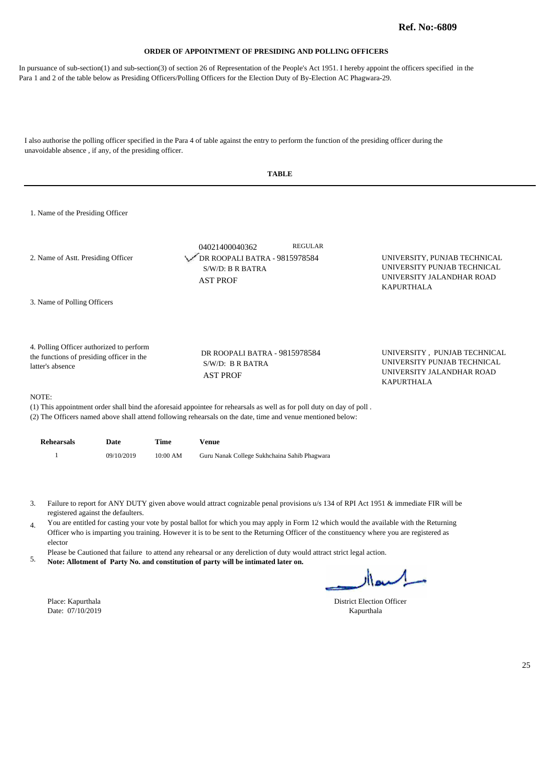In pursuance of sub-section(1) and sub-section(3) of section 26 of Representation of the People's Act 1951. I hereby appoint the officers specified in the Para 1 and 2 of the table below as Presiding Officers/Polling Officers for the Election Duty of By-Election AC Phagwara-29.

I also authorise the polling officer specified in the Para 4 of table against the entry to perform the function of the presiding officer during the unavoidable absence , if any, of the presiding officer.

| TABLE |  |
|-------|--|
|-------|--|

1. Name of the Presiding Officer

| 2. Name of Astt. Presiding Officer                                                                        | <b>REGULAR</b><br>04021400040362<br>DR ROOPALI BATRA - 9815978584<br>$S/W/D$ : B R BATRA<br><b>AST PROF</b> | UNIVERSITY, PUNJAB TECHNICAL<br>UNIVERSITY PUNJAB TECHNICAL<br>UNIVERSITY JALANDHAR ROAD<br><b>KAPURTHALA</b> |
|-----------------------------------------------------------------------------------------------------------|-------------------------------------------------------------------------------------------------------------|---------------------------------------------------------------------------------------------------------------|
| 3. Name of Polling Officers                                                                               |                                                                                                             |                                                                                                               |
| 4. Polling Officer authorized to perform<br>the functions of presiding officer in the<br>latter's absence | DR ROOPALI BATRA - 9815978584<br>$S/W/D$ : B R BATRA<br><b>AST PROF</b>                                     | UNIVERSITY, PUNJAB TECHNICAL<br>UNIVERSITY PUNJAB TECHNICAL<br>UNIVERSITY JALANDHAR ROAD<br><b>KAPURTHALA</b> |

#### NOTE:

(1) This appointment order shall bind the aforesaid appointee for rehearsals as well as for poll duty on day of poll .

(2) The Officers named above shall attend following rehearsals on the date, time and venue mentioned below:

| <b>Rehearsals</b> | Date       | Time     | Venue                                        |
|-------------------|------------|----------|----------------------------------------------|
|                   | 09/10/2019 | 10:00 AM | Guru Nanak College Sukhchaina Sahib Phagwara |

Failure to report for ANY DUTY given above would attract cognizable penal provisions u/s 134 of RPI Act 1951 & immediate FIR will be 3. registered against the defaulters.

You are entitled for casting your vote by postal ballot for which you may apply in Form 12 which would the available with the Returning 4. Officer who is imparting you training. However it is to be sent to the Returning Officer of the constituency where you are registered as elector

Please be Cautioned that failure to attend any rehearsal or any dereliction of duty would attract strict legal action.

**Note: Allotment of Party No. and constitution of party will be intimated later on.** 5.

Date: 07/10/2019 Kapurthala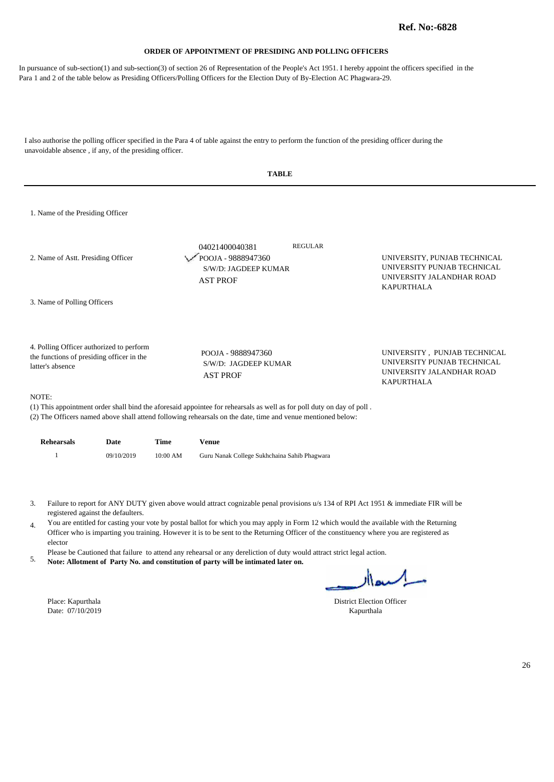In pursuance of sub-section(1) and sub-section(3) of section 26 of Representation of the People's Act 1951. I hereby appoint the officers specified in the Para 1 and 2 of the table below as Presiding Officers/Polling Officers for the Election Duty of By-Election AC Phagwara-29.

I also authorise the polling officer specified in the Para 4 of table against the entry to perform the function of the presiding officer during the unavoidable absence , if any, of the presiding officer.

|                                                                                                           | <b>TABLE</b>                                                                                                         |                                                                                                               |
|-----------------------------------------------------------------------------------------------------------|----------------------------------------------------------------------------------------------------------------------|---------------------------------------------------------------------------------------------------------------|
| 1. Name of the Presiding Officer                                                                          |                                                                                                                      |                                                                                                               |
| 2. Name of Astt. Presiding Officer                                                                        | <b>REGULAR</b><br>04021400040381<br>POOJA - 9888947360<br>S/W/D: JAGDEEP KUMAR<br><b>AST PROF</b>                    | UNIVERSITY, PUNJAB TECHNICAL<br>UNIVERSITY PUNJAB TECHNICAL<br>UNIVERSITY JALANDHAR ROAD<br><b>KAPURTHALA</b> |
| 3. Name of Polling Officers                                                                               |                                                                                                                      |                                                                                                               |
| 4. Polling Officer authorized to perform<br>the functions of presiding officer in the<br>latter's absence | POOJA - 9888947360<br>S/W/D: JAGDEEP KUMAR<br><b>AST PROF</b>                                                        | UNIVERSITY, PUNJAB TECHNICAL<br>UNIVERSITY PUNJAB TECHNICAL<br>UNIVERSITY JALANDHAR ROAD<br><b>KAPURTHALA</b> |
| NOTE:                                                                                                     | (1) This appointment order shall hind the aforesaid appointed for rehearcels as well as for pall duty on day of pall |                                                                                                               |

(1) This appointment order shall bind the aforesaid appointee for rehearsals as well as for poll duty on day of poll . (2) The Officers named above shall attend following rehearsals on the date, time and venue mentioned below:

| <b>Rehearsals</b> | Date       | Time     | Venue                                        |
|-------------------|------------|----------|----------------------------------------------|
|                   | 09/10/2019 | 10:00 AM | Guru Nanak College Sukhchaina Sahib Phagwara |

Failure to report for ANY DUTY given above would attract cognizable penal provisions u/s 134 of RPI Act 1951 & immediate FIR will be 3. registered against the defaulters.

You are entitled for casting your vote by postal ballot for which you may apply in Form 12 which would the available with the Returning 4. Officer who is imparting you training. However it is to be sent to the Returning Officer of the constituency where you are registered as elector

Please be Cautioned that failure to attend any rehearsal or any dereliction of duty would attract strict legal action.

**Note: Allotment of Party No. and constitution of party will be intimated later on.** 5.

Date: 07/10/2019 Kapurthala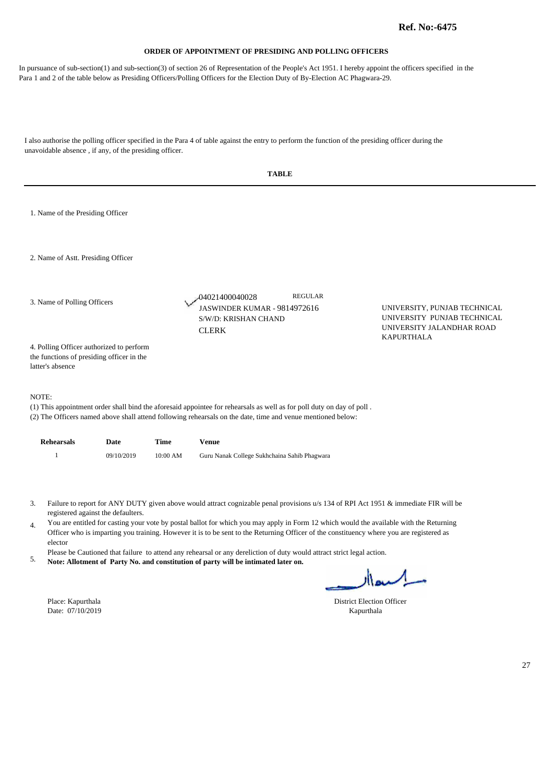In pursuance of sub-section(1) and sub-section(3) of section 26 of Representation of the People's Act 1951. I hereby appoint the officers specified in the Para 1 and 2 of the table below as Presiding Officers/Polling Officers for the Election Duty of By-Election AC Phagwara-29.

I also authorise the polling officer specified in the Para 4 of table against the entry to perform the function of the presiding officer during the

**TABLE**  1. Name of the Presiding Officer 2. Name of Astt. Presiding Officer 4. Polling Officer authorized to perform JASWINDER KUMAR - 9814972616 UNIVERSITY, PUNJAB TECHNICAL UNIVERSITY PUNJAB TECHNICAL UNIVERSITY JALANDHAR ROAD KAPURTHALA 04021400040028 S/W/D: KRISHAN CHAND **CLERK** REGULAR 3. Name of Polling Officers

the functions of presiding officer in the latter's absence

unavoidable absence , if any, of the presiding officer.

NOTE:

(1) This appointment order shall bind the aforesaid appointee for rehearsals as well as for poll duty on day of poll .

(2) The Officers named above shall attend following rehearsals on the date, time and venue mentioned below:

| <b>Rehearsals</b> | Date       | Time     | Venue                                        |
|-------------------|------------|----------|----------------------------------------------|
|                   | 09/10/2019 | 10:00 AM | Guru Nanak College Sukhchaina Sahib Phagwara |

Failure to report for ANY DUTY given above would attract cognizable penal provisions u/s 134 of RPI Act 1951 & immediate FIR will be 3. registered against the defaulters.

You are entitled for casting your vote by postal ballot for which you may apply in Form 12 which would the available with the Returning 4. Officer who is imparting you training. However it is to be sent to the Returning Officer of the constituency where you are registered as elector

Please be Cautioned that failure to attend any rehearsal or any dereliction of duty would attract strict legal action.

**Note: Allotment of Party No. and constitution of party will be intimated later on.** 5.

Date: 07/10/2019 Kapurthala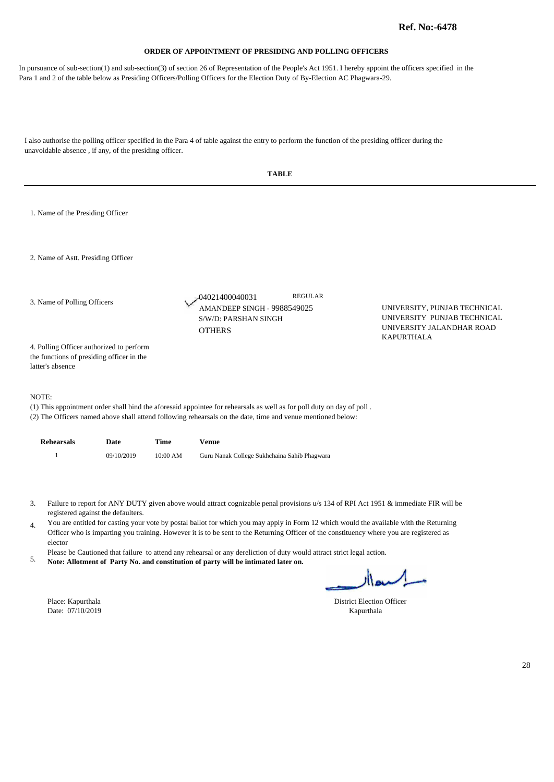In pursuance of sub-section(1) and sub-section(3) of section 26 of Representation of the People's Act 1951. I hereby appoint the officers specified in the Para 1 and 2 of the table below as Presiding Officers/Polling Officers for the Election Duty of By-Election AC Phagwara-29.

|                |                                                                                                           |            |            | <b>TABLE</b>                                                                                                                                                                                                                                                                                                                                                                                                                                                                                                                                                                                                                                |                                                |                                                                                          |
|----------------|-----------------------------------------------------------------------------------------------------------|------------|------------|---------------------------------------------------------------------------------------------------------------------------------------------------------------------------------------------------------------------------------------------------------------------------------------------------------------------------------------------------------------------------------------------------------------------------------------------------------------------------------------------------------------------------------------------------------------------------------------------------------------------------------------------|------------------------------------------------|------------------------------------------------------------------------------------------|
|                | 1. Name of the Presiding Officer                                                                          |            |            |                                                                                                                                                                                                                                                                                                                                                                                                                                                                                                                                                                                                                                             |                                                |                                                                                          |
|                | 2. Name of Astt. Presiding Officer                                                                        |            |            |                                                                                                                                                                                                                                                                                                                                                                                                                                                                                                                                                                                                                                             |                                                |                                                                                          |
|                | 3. Name of Polling Officers                                                                               |            |            | <b>REGULAR</b><br>-04021400040031<br>AMANDEEP SINGH - 9988549025<br>S/W/D: PARSHAN SINGH<br><b>OTHERS</b>                                                                                                                                                                                                                                                                                                                                                                                                                                                                                                                                   |                                                | UNIVERSITY, PUNJAB TECHNICAL<br>UNIVERSITY PUNJAB TECHNICAL<br>UNIVERSITY JALANDHAR ROAD |
|                | 4. Polling Officer authorized to perform<br>the functions of presiding officer in the<br>latter's absence |            |            |                                                                                                                                                                                                                                                                                                                                                                                                                                                                                                                                                                                                                                             |                                                | <b>KAPURTHALA</b>                                                                        |
|                | NOTE:                                                                                                     |            |            | (1) This appointment order shall bind the aforesaid appointee for rehearsals as well as for poll duty on day of poll.<br>(2) The Officers named above shall attend following rehearsals on the date, time and venue mentioned below:                                                                                                                                                                                                                                                                                                                                                                                                        |                                                |                                                                                          |
|                | <b>Rehearsals</b>                                                                                         | Date       | Time       | <b>Venue</b>                                                                                                                                                                                                                                                                                                                                                                                                                                                                                                                                                                                                                                |                                                |                                                                                          |
|                | $\mathbf{1}$                                                                                              | 09/10/2019 | $10:00$ AM | Guru Nanak College Sukhchaina Sahib Phagwara                                                                                                                                                                                                                                                                                                                                                                                                                                                                                                                                                                                                |                                                |                                                                                          |
| 3.<br>4.<br>5. | registered against the defaulters.<br>elector<br>Place: Kapurthala<br>Date: 07/10/2019                    |            |            | Failure to report for ANY DUTY given above would attract cognizable penal provisions u/s 134 of RPI Act 1951 & immediate FIR will be<br>You are entitled for casting your vote by postal ballot for which you may apply in Form 12 which would the available with the Returning<br>Officer who is imparting you training. However it is to be sent to the Returning Officer of the constituency where you are registered as<br>Please be Cautioned that failure to attend any rehearsal or any dereliction of duty would attract strict legal action.<br>Note: Allotment of Party No. and constitution of party will be intimated later on. | <b>District Election Officer</b><br>Kapurthala | مسامعال                                                                                  |
|                |                                                                                                           |            |            |                                                                                                                                                                                                                                                                                                                                                                                                                                                                                                                                                                                                                                             |                                                |                                                                                          |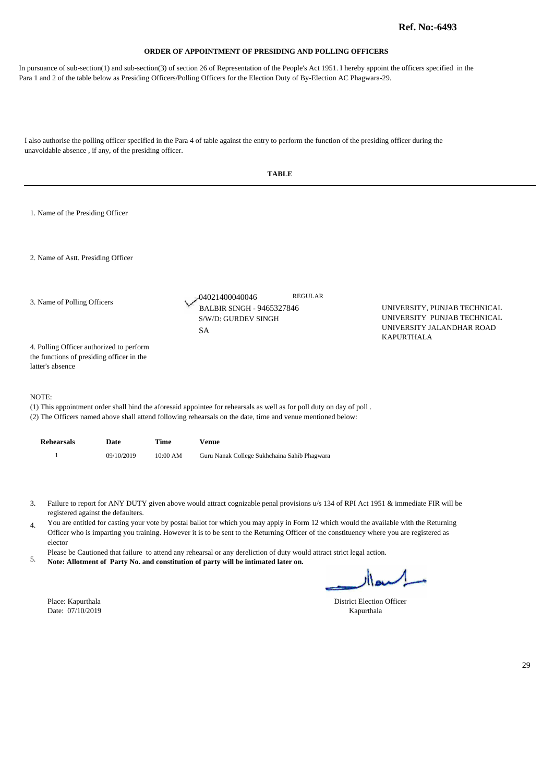In pursuance of sub-section(1) and sub-section(3) of section 26 of Representation of the People's Act 1951. I hereby appoint the officers specified in the Para 1 and 2 of the table below as Presiding Officers/Polling Officers for the Election Duty of By-Election AC Phagwara-29.

|                                                                                                           |                                    |          | <b>TABLE</b>                                                                                                                                                                                                                                                                                                                                                                                                                                                                                                                                                                                                                                |                                                |                                                                                          |    |
|-----------------------------------------------------------------------------------------------------------|------------------------------------|----------|---------------------------------------------------------------------------------------------------------------------------------------------------------------------------------------------------------------------------------------------------------------------------------------------------------------------------------------------------------------------------------------------------------------------------------------------------------------------------------------------------------------------------------------------------------------------------------------------------------------------------------------------|------------------------------------------------|------------------------------------------------------------------------------------------|----|
| 1. Name of the Presiding Officer                                                                          |                                    |          |                                                                                                                                                                                                                                                                                                                                                                                                                                                                                                                                                                                                                                             |                                                |                                                                                          |    |
| 2. Name of Astt. Presiding Officer                                                                        |                                    |          |                                                                                                                                                                                                                                                                                                                                                                                                                                                                                                                                                                                                                                             |                                                |                                                                                          |    |
| 3. Name of Polling Officers                                                                               |                                    |          | -04021400040046<br><b>BALBIR SINGH - 9465327846</b><br>S/W/D: GURDEV SINGH<br><b>SA</b>                                                                                                                                                                                                                                                                                                                                                                                                                                                                                                                                                     | <b>REGULAR</b>                                 | UNIVERSITY, PUNJAB TECHNICAL<br>UNIVERSITY PUNJAB TECHNICAL<br>UNIVERSITY JALANDHAR ROAD |    |
| 4. Polling Officer authorized to perform<br>the functions of presiding officer in the<br>latter's absence |                                    |          |                                                                                                                                                                                                                                                                                                                                                                                                                                                                                                                                                                                                                                             |                                                | KAPURTHALA                                                                               |    |
| NOTE:                                                                                                     |                                    |          | (1) This appointment order shall bind the aforesaid appointee for rehearsals as well as for poll duty on day of poll.<br>(2) The Officers named above shall attend following rehearsals on the date, time and venue mentioned below:                                                                                                                                                                                                                                                                                                                                                                                                        |                                                |                                                                                          |    |
| <b>Rehearsals</b>                                                                                         | Date                               | Time     | <b>Venue</b>                                                                                                                                                                                                                                                                                                                                                                                                                                                                                                                                                                                                                                |                                                |                                                                                          |    |
| $\mathbf{1}$                                                                                              | 09/10/2019                         | 10:00 AM | Guru Nanak College Sukhchaina Sahib Phagwara                                                                                                                                                                                                                                                                                                                                                                                                                                                                                                                                                                                                |                                                |                                                                                          |    |
| 3.<br>4.<br>elector<br>5.<br>Place: Kapurthala<br>Date: 07/10/2019                                        | registered against the defaulters. |          | Failure to report for ANY DUTY given above would attract cognizable penal provisions u/s 134 of RPI Act 1951 & immediate FIR will be<br>You are entitled for casting your vote by postal ballot for which you may apply in Form 12 which would the available with the Returning<br>Officer who is imparting you training. However it is to be sent to the Returning Officer of the constituency where you are registered as<br>Please be Cautioned that failure to attend any rehearsal or any dereliction of duty would attract strict legal action.<br>Note: Allotment of Party No. and constitution of party will be intimated later on. | <b>District Election Officer</b><br>Kapurthala | السعاار                                                                                  |    |
|                                                                                                           |                                    |          |                                                                                                                                                                                                                                                                                                                                                                                                                                                                                                                                                                                                                                             |                                                |                                                                                          | 29 |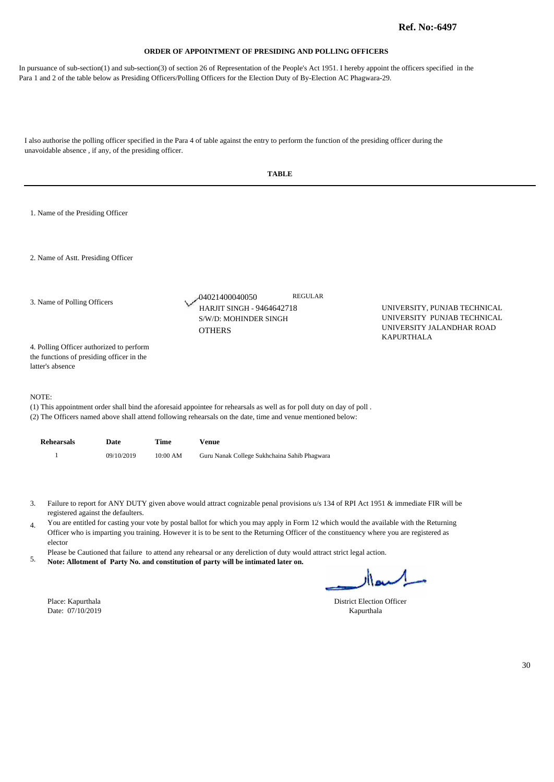In pursuance of sub-section(1) and sub-section(3) of section 26 of Representation of the People's Act 1951. I hereby appoint the officers specified in the Para 1 and 2 of the table below as Presiding Officers/Polling Officers for the Election Duty of By-Election AC Phagwara-29.

|                                                                                                                                                                                                                                                                                                                                                                                                                                                                                                                                                                                                                                                                                                                                                                                     | <b>TABLE</b>                                                                                                                   |            |             |                                                                                                                                                                                                                                      |                                                                                          |  |  |  |
|-------------------------------------------------------------------------------------------------------------------------------------------------------------------------------------------------------------------------------------------------------------------------------------------------------------------------------------------------------------------------------------------------------------------------------------------------------------------------------------------------------------------------------------------------------------------------------------------------------------------------------------------------------------------------------------------------------------------------------------------------------------------------------------|--------------------------------------------------------------------------------------------------------------------------------|------------|-------------|--------------------------------------------------------------------------------------------------------------------------------------------------------------------------------------------------------------------------------------|------------------------------------------------------------------------------------------|--|--|--|
|                                                                                                                                                                                                                                                                                                                                                                                                                                                                                                                                                                                                                                                                                                                                                                                     | 1. Name of the Presiding Officer                                                                                               |            |             |                                                                                                                                                                                                                                      |                                                                                          |  |  |  |
|                                                                                                                                                                                                                                                                                                                                                                                                                                                                                                                                                                                                                                                                                                                                                                                     | 2. Name of Astt. Presiding Officer                                                                                             |            |             |                                                                                                                                                                                                                                      |                                                                                          |  |  |  |
| 3. Name of Polling Officers                                                                                                                                                                                                                                                                                                                                                                                                                                                                                                                                                                                                                                                                                                                                                         |                                                                                                                                |            |             | <b>REGULAR</b><br>-04021400040050<br><b>HARJIT SINGH - 9464642718</b><br>S/W/D: MOHINDER SINGH<br><b>OTHERS</b>                                                                                                                      | UNIVERSITY, PUNJAB TECHNICAL<br>UNIVERSITY PUNJAB TECHNICAL<br>UNIVERSITY JALANDHAR ROAD |  |  |  |
|                                                                                                                                                                                                                                                                                                                                                                                                                                                                                                                                                                                                                                                                                                                                                                                     | <b>KAPURTHALA</b><br>4. Polling Officer authorized to perform<br>the functions of presiding officer in the<br>latter's absence |            |             |                                                                                                                                                                                                                                      |                                                                                          |  |  |  |
|                                                                                                                                                                                                                                                                                                                                                                                                                                                                                                                                                                                                                                                                                                                                                                                     | NOTE:                                                                                                                          |            |             | (1) This appointment order shall bind the aforesaid appointee for rehearsals as well as for poll duty on day of poll.<br>(2) The Officers named above shall attend following rehearsals on the date, time and venue mentioned below: |                                                                                          |  |  |  |
|                                                                                                                                                                                                                                                                                                                                                                                                                                                                                                                                                                                                                                                                                                                                                                                     | <b>Rehearsals</b>                                                                                                              | Date       | <b>Time</b> | <b>Venue</b>                                                                                                                                                                                                                         |                                                                                          |  |  |  |
|                                                                                                                                                                                                                                                                                                                                                                                                                                                                                                                                                                                                                                                                                                                                                                                     | $\mathbf{1}$                                                                                                                   | 09/10/2019 | $10:00$ AM  | Guru Nanak College Sukhchaina Sahib Phagwara                                                                                                                                                                                         |                                                                                          |  |  |  |
| Failure to report for ANY DUTY given above would attract cognizable penal provisions u/s 134 of RPI Act 1951 & immediate FIR will be<br>3.<br>registered against the defaulters.<br>You are entitled for casting your vote by postal ballot for which you may apply in Form 12 which would the available with the Returning<br>4.<br>Officer who is imparting you training. However it is to be sent to the Returning Officer of the constituency where you are registered as<br>elector<br>Please be Cautioned that failure to attend any rehearsal or any dereliction of duty would attract strict legal action.<br>5.<br>Note: Allotment of Party No. and constitution of party will be intimated later on.<br>ساكسعاار<br>Place: Kapurthala<br><b>District Election Officer</b> |                                                                                                                                |            |             |                                                                                                                                                                                                                                      |                                                                                          |  |  |  |
|                                                                                                                                                                                                                                                                                                                                                                                                                                                                                                                                                                                                                                                                                                                                                                                     | Date: 07/10/2019                                                                                                               |            |             | Kapurthala                                                                                                                                                                                                                           |                                                                                          |  |  |  |
|                                                                                                                                                                                                                                                                                                                                                                                                                                                                                                                                                                                                                                                                                                                                                                                     |                                                                                                                                |            |             |                                                                                                                                                                                                                                      |                                                                                          |  |  |  |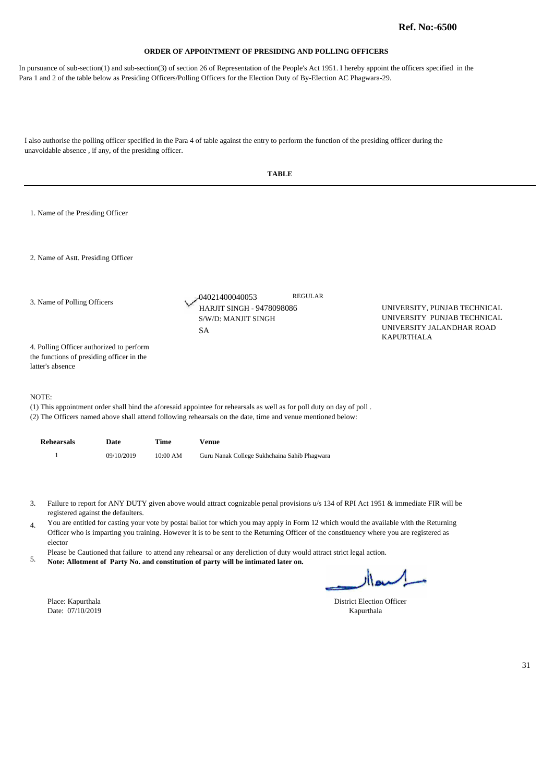In pursuance of sub-section(1) and sub-section(3) of section 26 of Representation of the People's Act 1951. I hereby appoint the officers specified in the Para 1 and 2 of the table below as Presiding Officers/Polling Officers for the Election Duty of By-Election AC Phagwara-29.

|                                       |                                                                                                                                                                                                              |             | <b>TABLE</b>                                                                                                                                                                                                                                                                        |                                                                                                               |  |  |  |
|---------------------------------------|--------------------------------------------------------------------------------------------------------------------------------------------------------------------------------------------------------------|-------------|-------------------------------------------------------------------------------------------------------------------------------------------------------------------------------------------------------------------------------------------------------------------------------------|---------------------------------------------------------------------------------------------------------------|--|--|--|
| 1. Name of the Presiding Officer      |                                                                                                                                                                                                              |             |                                                                                                                                                                                                                                                                                     |                                                                                                               |  |  |  |
| 2. Name of Astt. Presiding Officer    |                                                                                                                                                                                                              |             |                                                                                                                                                                                                                                                                                     |                                                                                                               |  |  |  |
| 3. Name of Polling Officers           |                                                                                                                                                                                                              |             | <b>REGULAR</b><br>-04021400040053<br><b>HARJIT SINGH - 9478098086</b><br>S/W/D: MANJIT SINGH<br><b>SA</b>                                                                                                                                                                           | UNIVERSITY, PUNJAB TECHNICAL<br>UNIVERSITY PUNJAB TECHNICAL<br>UNIVERSITY JALANDHAR ROAD<br><b>KAPURTHALA</b> |  |  |  |
| latter's absence                      | 4. Polling Officer authorized to perform<br>the functions of presiding officer in the                                                                                                                        |             |                                                                                                                                                                                                                                                                                     |                                                                                                               |  |  |  |
| NOTE:                                 |                                                                                                                                                                                                              |             | (1) This appointment order shall bind the aforesaid appointee for rehearsals as well as for poll duty on day of poll.<br>(2) The Officers named above shall attend following rehearsals on the date, time and venue mentioned below:                                                |                                                                                                               |  |  |  |
| <b>Rehearsals</b>                     | Date                                                                                                                                                                                                         | <b>Time</b> | <b>Venue</b>                                                                                                                                                                                                                                                                        |                                                                                                               |  |  |  |
| $\mathbf{1}$                          | 09/10/2019                                                                                                                                                                                                   | 10:00 AM    | Guru Nanak College Sukhchaina Sahib Phagwara                                                                                                                                                                                                                                        |                                                                                                               |  |  |  |
| 3.                                    | registered against the defaulters.                                                                                                                                                                           |             | Failure to report for ANY DUTY given above would attract cognizable penal provisions u/s 134 of RPI Act 1951 & immediate FIR will be                                                                                                                                                |                                                                                                               |  |  |  |
| 4.<br>elector                         |                                                                                                                                                                                                              |             | You are entitled for casting your vote by postal ballot for which you may apply in Form 12 which would the available with the Returning<br>Officer who is imparting you training. However it is to be sent to the Returning Officer of the constituency where you are registered as |                                                                                                               |  |  |  |
| 5.                                    | Please be Cautioned that failure to attend any rehearsal or any dereliction of duty would attract strict legal action.<br>Note: Allotment of Party No. and constitution of party will be intimated later on. |             |                                                                                                                                                                                                                                                                                     |                                                                                                               |  |  |  |
|                                       |                                                                                                                                                                                                              |             |                                                                                                                                                                                                                                                                                     | السعاار                                                                                                       |  |  |  |
| Place: Kapurthala<br>Date: 07/10/2019 |                                                                                                                                                                                                              |             |                                                                                                                                                                                                                                                                                     | <b>District Election Officer</b><br>Kapurthala                                                                |  |  |  |
|                                       |                                                                                                                                                                                                              |             |                                                                                                                                                                                                                                                                                     |                                                                                                               |  |  |  |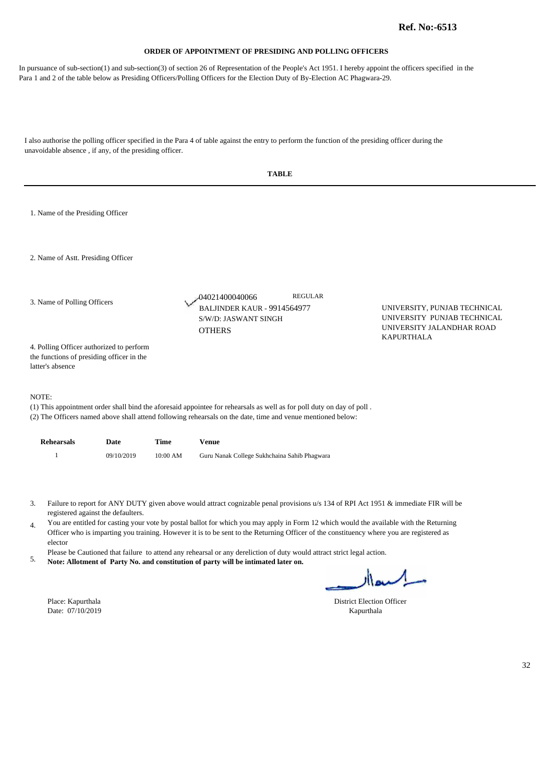In pursuance of sub-section(1) and sub-section(3) of section 26 of Representation of the People's Act 1951. I hereby appoint the officers specified in the Para 1 and 2 of the table below as Presiding Officers/Polling Officers for the Election Duty of By-Election AC Phagwara-29.

| <b>TABLE</b>                                                                                                                                                                                                                                                                                                                                                                                                                                                                                                                                                                                                                                                                                                                                                                                                          |                                                                                                                  |                                                                                                                                                                                                                                      |  |  |  |  |  |
|-----------------------------------------------------------------------------------------------------------------------------------------------------------------------------------------------------------------------------------------------------------------------------------------------------------------------------------------------------------------------------------------------------------------------------------------------------------------------------------------------------------------------------------------------------------------------------------------------------------------------------------------------------------------------------------------------------------------------------------------------------------------------------------------------------------------------|------------------------------------------------------------------------------------------------------------------|--------------------------------------------------------------------------------------------------------------------------------------------------------------------------------------------------------------------------------------|--|--|--|--|--|
| 1. Name of the Presiding Officer                                                                                                                                                                                                                                                                                                                                                                                                                                                                                                                                                                                                                                                                                                                                                                                      |                                                                                                                  |                                                                                                                                                                                                                                      |  |  |  |  |  |
|                                                                                                                                                                                                                                                                                                                                                                                                                                                                                                                                                                                                                                                                                                                                                                                                                       |                                                                                                                  |                                                                                                                                                                                                                                      |  |  |  |  |  |
|                                                                                                                                                                                                                                                                                                                                                                                                                                                                                                                                                                                                                                                                                                                                                                                                                       | <b>REGULAR</b><br>-04021400040066<br><b>BALJINDER KAUR - 9914564977</b><br>S/W/D: JASWANT SINGH<br><b>OTHERS</b> | UNIVERSITY, PUNJAB TECHNICAL<br>UNIVERSITY PUNJAB TECHNICAL<br>UNIVERSITY JALANDHAR ROAD<br><b>KAPURTHALA</b>                                                                                                                        |  |  |  |  |  |
| the functions of presiding officer in the                                                                                                                                                                                                                                                                                                                                                                                                                                                                                                                                                                                                                                                                                                                                                                             |                                                                                                                  |                                                                                                                                                                                                                                      |  |  |  |  |  |
|                                                                                                                                                                                                                                                                                                                                                                                                                                                                                                                                                                                                                                                                                                                                                                                                                       |                                                                                                                  |                                                                                                                                                                                                                                      |  |  |  |  |  |
| <b>Time</b>                                                                                                                                                                                                                                                                                                                                                                                                                                                                                                                                                                                                                                                                                                                                                                                                           | <b>Venue</b>                                                                                                     |                                                                                                                                                                                                                                      |  |  |  |  |  |
| 10:00 AM                                                                                                                                                                                                                                                                                                                                                                                                                                                                                                                                                                                                                                                                                                                                                                                                              | Guru Nanak College Sukhchaina Sahib Phagwara                                                                     |                                                                                                                                                                                                                                      |  |  |  |  |  |
| Failure to report for ANY DUTY given above would attract cognizable penal provisions u/s 134 of RPI Act 1951 & immediate FIR will be<br>3.<br>registered against the defaulters.<br>You are entitled for casting your vote by postal ballot for which you may apply in Form 12 which would the available with the Returning<br>4.<br>Officer who is imparting you training. However it is to be sent to the Returning Officer of the constituency where you are registered as<br>elector<br>Please be Cautioned that failure to attend any rehearsal or any dereliction of duty would attract strict legal action.<br>5.<br>Note: Allotment of Party No. and constitution of party will be intimated later on.<br>سلميعاار<br>Place: Kapurthala<br><b>District Election Officer</b><br>Date: 07/10/2019<br>Kapurthala |                                                                                                                  |                                                                                                                                                                                                                                      |  |  |  |  |  |
|                                                                                                                                                                                                                                                                                                                                                                                                                                                                                                                                                                                                                                                                                                                                                                                                                       | 4. Polling Officer authorized to perform                                                                         | (1) This appointment order shall bind the aforesaid appointee for rehearsals as well as for poll duty on day of poll.<br>(2) The Officers named above shall attend following rehearsals on the date, time and venue mentioned below: |  |  |  |  |  |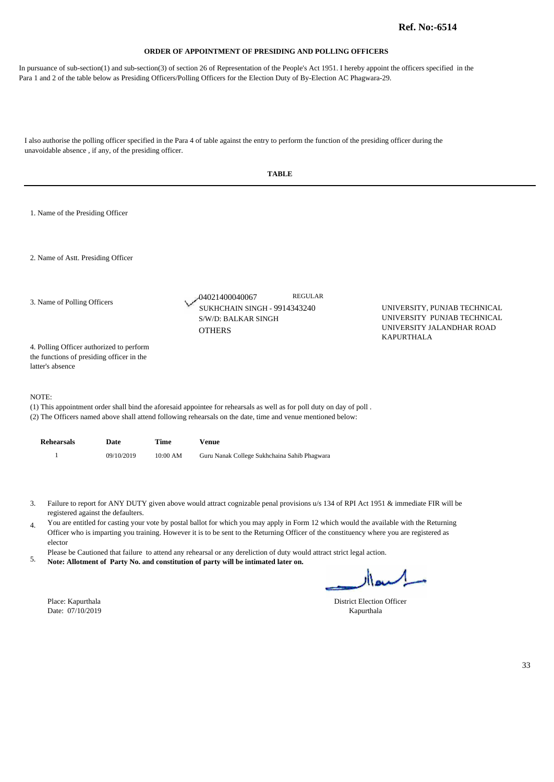In pursuance of sub-section(1) and sub-section(3) of section 26 of Representation of the People's Act 1951. I hereby appoint the officers specified in the Para 1 and 2 of the table below as Presiding Officers/Polling Officers for the Election Duty of By-Election AC Phagwara-29.

I also authorise the polling officer specified in the Para 4 of table against the entry to perform the function of the presiding officer during the unavoidable absence , if any, of the presiding officer.

|                                                                                                                                                                                                                                                                                                                                                                                                                                                                                          | <b>TABLE</b>                                                                                                                                                                                                       |            |          |                                                                                                                                                                                                                                      |                                                                                          |  |  |  |
|------------------------------------------------------------------------------------------------------------------------------------------------------------------------------------------------------------------------------------------------------------------------------------------------------------------------------------------------------------------------------------------------------------------------------------------------------------------------------------------|--------------------------------------------------------------------------------------------------------------------------------------------------------------------------------------------------------------------|------------|----------|--------------------------------------------------------------------------------------------------------------------------------------------------------------------------------------------------------------------------------------|------------------------------------------------------------------------------------------|--|--|--|
|                                                                                                                                                                                                                                                                                                                                                                                                                                                                                          | 1. Name of the Presiding Officer                                                                                                                                                                                   |            |          |                                                                                                                                                                                                                                      |                                                                                          |  |  |  |
|                                                                                                                                                                                                                                                                                                                                                                                                                                                                                          | 2. Name of Astt. Presiding Officer                                                                                                                                                                                 |            |          |                                                                                                                                                                                                                                      |                                                                                          |  |  |  |
| 3. Name of Polling Officers                                                                                                                                                                                                                                                                                                                                                                                                                                                              |                                                                                                                                                                                                                    |            |          | <b>REGULAR</b><br>-04021400040067<br>SUKHCHAIN SINGH - 9914343240<br>S/W/D: BALKAR SINGH<br><b>OTHERS</b>                                                                                                                            | UNIVERSITY, PUNJAB TECHNICAL<br>UNIVERSITY PUNJAB TECHNICAL<br>UNIVERSITY JALANDHAR ROAD |  |  |  |
|                                                                                                                                                                                                                                                                                                                                                                                                                                                                                          | <b>KAPURTHALA</b><br>4. Polling Officer authorized to perform<br>the functions of presiding officer in the<br>latter's absence                                                                                     |            |          |                                                                                                                                                                                                                                      |                                                                                          |  |  |  |
| NOTE:                                                                                                                                                                                                                                                                                                                                                                                                                                                                                    |                                                                                                                                                                                                                    |            |          | (1) This appointment order shall bind the aforesaid appointee for rehearsals as well as for poll duty on day of poll.<br>(2) The Officers named above shall attend following rehearsals on the date, time and venue mentioned below: |                                                                                          |  |  |  |
|                                                                                                                                                                                                                                                                                                                                                                                                                                                                                          | <b>Rehearsals</b>                                                                                                                                                                                                  | Date       | Time     | <b>Venue</b>                                                                                                                                                                                                                         |                                                                                          |  |  |  |
|                                                                                                                                                                                                                                                                                                                                                                                                                                                                                          | $\mathbf{1}$                                                                                                                                                                                                       | 09/10/2019 | 10:00 AM | Guru Nanak College Sukhchaina Sahib Phagwara                                                                                                                                                                                         |                                                                                          |  |  |  |
| Failure to report for ANY DUTY given above would attract cognizable penal provisions u/s 134 of RPI Act 1951 & immediate FIR will be<br>3.<br>registered against the defaulters.<br>You are entitled for casting your vote by postal ballot for which you may apply in Form 12 which would the available with the Returning<br>4.<br>Officer who is imparting you training. However it is to be sent to the Returning Officer of the constituency where you are registered as<br>elector |                                                                                                                                                                                                                    |            |          |                                                                                                                                                                                                                                      |                                                                                          |  |  |  |
| 5.                                                                                                                                                                                                                                                                                                                                                                                                                                                                                       | Please be Cautioned that failure to attend any rehearsal or any dereliction of duty would attract strict legal action.<br>Note: Allotment of Party No. and constitution of party will be intimated later on.<br>ıh |            |          |                                                                                                                                                                                                                                      |                                                                                          |  |  |  |

Date:  $07/10/2019$ 

۱۱۵۰ -

Place: Kapurthala District Election Officer<br>Date: 07/10/2019 Kapurthala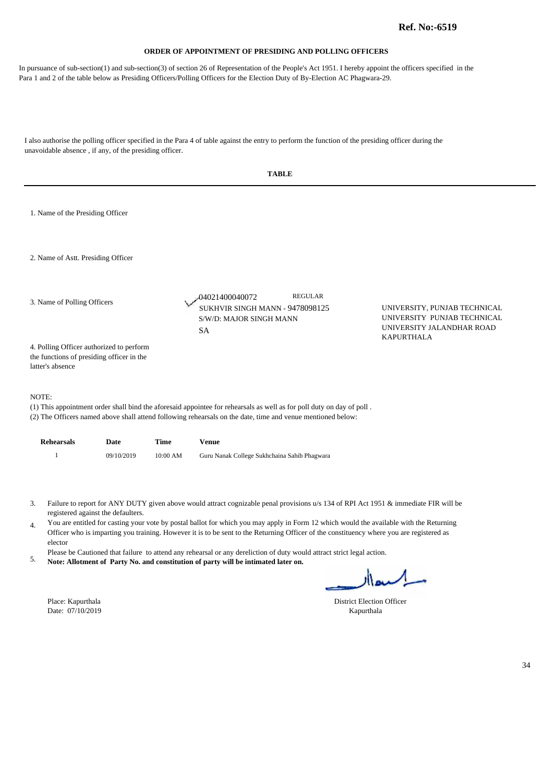In pursuance of sub-section(1) and sub-section(3) of section 26 of Representation of the People's Act 1951. I hereby appoint the officers specified in the Para 1 and 2 of the table below as Presiding Officers/Polling Officers for the Election Duty of By-Election AC Phagwara-29.

|                             | <b>TABLE</b>                                                                                                                                                                                                                                                                                                                                                                                                                                                                                                                                                                                                                                                                                 |            |             |                                                                                                                                                                                                                                      |                                                                                                               |  |  |
|-----------------------------|----------------------------------------------------------------------------------------------------------------------------------------------------------------------------------------------------------------------------------------------------------------------------------------------------------------------------------------------------------------------------------------------------------------------------------------------------------------------------------------------------------------------------------------------------------------------------------------------------------------------------------------------------------------------------------------------|------------|-------------|--------------------------------------------------------------------------------------------------------------------------------------------------------------------------------------------------------------------------------------|---------------------------------------------------------------------------------------------------------------|--|--|
|                             | 1. Name of the Presiding Officer                                                                                                                                                                                                                                                                                                                                                                                                                                                                                                                                                                                                                                                             |            |             |                                                                                                                                                                                                                                      |                                                                                                               |  |  |
|                             | 2. Name of Astt. Presiding Officer                                                                                                                                                                                                                                                                                                                                                                                                                                                                                                                                                                                                                                                           |            |             |                                                                                                                                                                                                                                      |                                                                                                               |  |  |
| 3. Name of Polling Officers |                                                                                                                                                                                                                                                                                                                                                                                                                                                                                                                                                                                                                                                                                              |            |             | <b>REGULAR</b><br>-04021400040072<br>SUKHVIR SINGH MANN - 9478098125<br>S/W/D: MAJOR SINGH MANN<br><b>SA</b>                                                                                                                         | UNIVERSITY, PUNJAB TECHNICAL<br>UNIVERSITY PUNJAB TECHNICAL<br>UNIVERSITY JALANDHAR ROAD<br><b>KAPURTHALA</b> |  |  |
|                             | 4. Polling Officer authorized to perform<br>the functions of presiding officer in the<br>latter's absence                                                                                                                                                                                                                                                                                                                                                                                                                                                                                                                                                                                    |            |             |                                                                                                                                                                                                                                      |                                                                                                               |  |  |
|                             | NOTE:                                                                                                                                                                                                                                                                                                                                                                                                                                                                                                                                                                                                                                                                                        |            |             | (1) This appointment order shall bind the aforesaid appointee for rehearsals as well as for poll duty on day of poll.<br>(2) The Officers named above shall attend following rehearsals on the date, time and venue mentioned below: |                                                                                                               |  |  |
|                             | <b>Rehearsals</b>                                                                                                                                                                                                                                                                                                                                                                                                                                                                                                                                                                                                                                                                            | Date       | <b>Time</b> | <b>Venue</b>                                                                                                                                                                                                                         |                                                                                                               |  |  |
|                             | $\mathbf{1}$                                                                                                                                                                                                                                                                                                                                                                                                                                                                                                                                                                                                                                                                                 | 09/10/2019 | $10:00$ AM  | Guru Nanak College Sukhchaina Sahib Phagwara                                                                                                                                                                                         |                                                                                                               |  |  |
| 3.<br>4.<br>5.              | Failure to report for ANY DUTY given above would attract cognizable penal provisions u/s 134 of RPI Act 1951 & immediate FIR will be<br>registered against the defaulters.<br>You are entitled for casting your vote by postal ballot for which you may apply in Form 12 which would the available with the Returning<br>Officer who is imparting you training. However it is to be sent to the Returning Officer of the constituency where you are registered as<br>elector<br>Please be Cautioned that failure to attend any rehearsal or any dereliction of duty would attract strict legal action.<br>Note: Allotment of Party No. and constitution of party will be intimated later on. |            |             |                                                                                                                                                                                                                                      |                                                                                                               |  |  |
|                             | Place: Kapurthala<br>Date: 07/10/2019                                                                                                                                                                                                                                                                                                                                                                                                                                                                                                                                                                                                                                                        |            |             |                                                                                                                                                                                                                                      | مسلميعالا<br><b>District Election Officer</b><br>Kapurthala                                                   |  |  |
|                             |                                                                                                                                                                                                                                                                                                                                                                                                                                                                                                                                                                                                                                                                                              |            |             |                                                                                                                                                                                                                                      |                                                                                                               |  |  |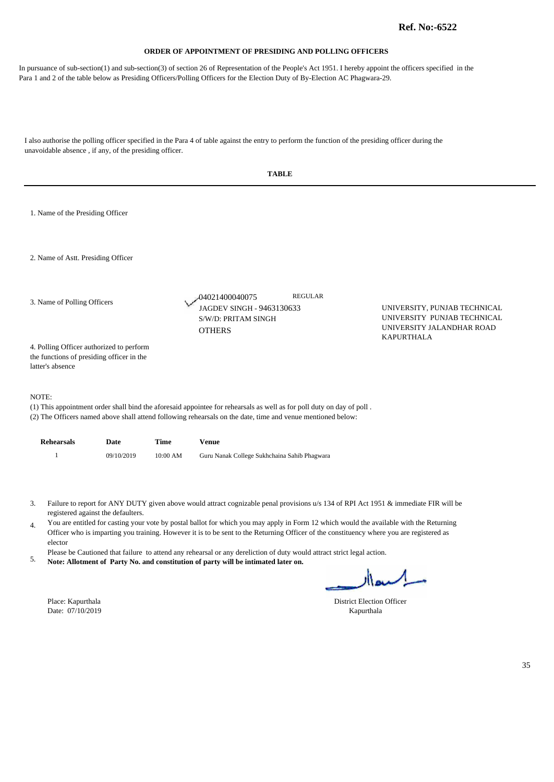In pursuance of sub-section(1) and sub-section(3) of section 26 of Representation of the People's Act 1951. I hereby appoint the officers specified in the Para 1 and 2 of the table below as Presiding Officers/Polling Officers for the Election Duty of By-Election AC Phagwara-29.

|                                                                                                           |            |          | <b>TABLE</b>                                                                                                                                                                                                                                                                                                                                                                                                                                                                                                                                                                                                                                |                                                                                                               |    |
|-----------------------------------------------------------------------------------------------------------|------------|----------|---------------------------------------------------------------------------------------------------------------------------------------------------------------------------------------------------------------------------------------------------------------------------------------------------------------------------------------------------------------------------------------------------------------------------------------------------------------------------------------------------------------------------------------------------------------------------------------------------------------------------------------------|---------------------------------------------------------------------------------------------------------------|----|
| 1. Name of the Presiding Officer                                                                          |            |          |                                                                                                                                                                                                                                                                                                                                                                                                                                                                                                                                                                                                                                             |                                                                                                               |    |
| 2. Name of Astt. Presiding Officer                                                                        |            |          |                                                                                                                                                                                                                                                                                                                                                                                                                                                                                                                                                                                                                                             |                                                                                                               |    |
| 3. Name of Polling Officers                                                                               |            |          | <b>REGULAR</b><br>04021400040075<br>JAGDEV SINGH - 9463130633<br>S/W/D: PRITAM SINGH<br><b>OTHERS</b>                                                                                                                                                                                                                                                                                                                                                                                                                                                                                                                                       | UNIVERSITY, PUNJAB TECHNICAL<br>UNIVERSITY PUNJAB TECHNICAL<br>UNIVERSITY JALANDHAR ROAD<br><b>KAPURTHALA</b> |    |
| 4. Polling Officer authorized to perform<br>the functions of presiding officer in the<br>latter's absence |            |          |                                                                                                                                                                                                                                                                                                                                                                                                                                                                                                                                                                                                                                             |                                                                                                               |    |
| NOTE:                                                                                                     |            |          | (1) This appointment order shall bind the aforesaid appointee for rehearsals as well as for poll duty on day of poll.<br>(2) The Officers named above shall attend following rehearsals on the date, time and venue mentioned below:                                                                                                                                                                                                                                                                                                                                                                                                        |                                                                                                               |    |
| <b>Rehearsals</b>                                                                                         | Date       | Time     | <b>Venue</b>                                                                                                                                                                                                                                                                                                                                                                                                                                                                                                                                                                                                                                |                                                                                                               |    |
| $\mathbf{1}$                                                                                              | 09/10/2019 | 10:00 AM | Guru Nanak College Sukhchaina Sahib Phagwara                                                                                                                                                                                                                                                                                                                                                                                                                                                                                                                                                                                                |                                                                                                               |    |
| 3.<br>registered against the defaulters.<br>4.<br>elector<br>5.<br>Place: Kapurthala<br>Date: 07/10/2019  |            |          | Failure to report for ANY DUTY given above would attract cognizable penal provisions u/s 134 of RPI Act 1951 & immediate FIR will be<br>You are entitled for casting your vote by postal ballot for which you may apply in Form 12 which would the available with the Returning<br>Officer who is imparting you training. However it is to be sent to the Returning Officer of the constituency where you are registered as<br>Please be Cautioned that failure to attend any rehearsal or any dereliction of duty would attract strict legal action.<br>Note: Allotment of Party No. and constitution of party will be intimated later on. | اكسدار<br>District Election Officer<br>Kapurthala                                                             |    |
|                                                                                                           |            |          |                                                                                                                                                                                                                                                                                                                                                                                                                                                                                                                                                                                                                                             |                                                                                                               | 35 |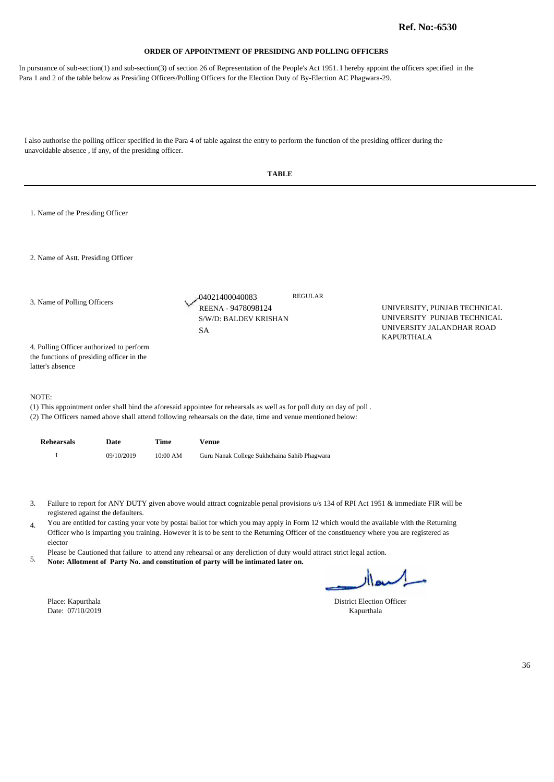In pursuance of sub-section(1) and sub-section(3) of section 26 of Representation of the People's Act 1951. I hereby appoint the officers specified in the Para 1 and 2 of the table below as Presiding Officers/Polling Officers for the Election Duty of By-Election AC Phagwara-29.

I also authorise the polling officer specified in the Para 4 of table against the entry to perform the function of the presiding officer during the unavoidable absence , if any, of the presiding officer. **TABLE**  1. Name of the Presiding Officer

04021400040083

REGULAR

2. Name of Astt. Presiding Officer

3. Name of Polling Officers

S/W/D: BALDEV KRISHAN SA

REENA - 9478098124 UNIVERSITY, PUNJAB TECHNICAL UNIVERSITY PUNJAB TECHNICAL UNIVERSITY JALANDHAR ROAD KAPURTHALA

4. Polling Officer authorized to perform the functions of presiding officer in the latter's absence

#### NOTE:

(1) This appointment order shall bind the aforesaid appointee for rehearsals as well as for poll duty on day of poll .

(2) The Officers named above shall attend following rehearsals on the date, time and venue mentioned below:

| <b>Rehearsals</b> | Date       | Time     | Venue                                        |
|-------------------|------------|----------|----------------------------------------------|
|                   | 09/10/2019 | 10:00 AM | Guru Nanak College Sukhchaina Sahib Phagwara |

Failure to report for ANY DUTY given above would attract cognizable penal provisions u/s 134 of RPI Act 1951 & immediate FIR will be 3. registered against the defaulters.

You are entitled for casting your vote by postal ballot for which you may apply in Form 12 which would the available with the Returning 4. Officer who is imparting you training. However it is to be sent to the Returning Officer of the constituency where you are registered as elector

Please be Cautioned that failure to attend any rehearsal or any dereliction of duty would attract strict legal action.

**Note: Allotment of Party No. and constitution of party will be intimated later on.** 5.

Date: 07/10/2019 Kapurthala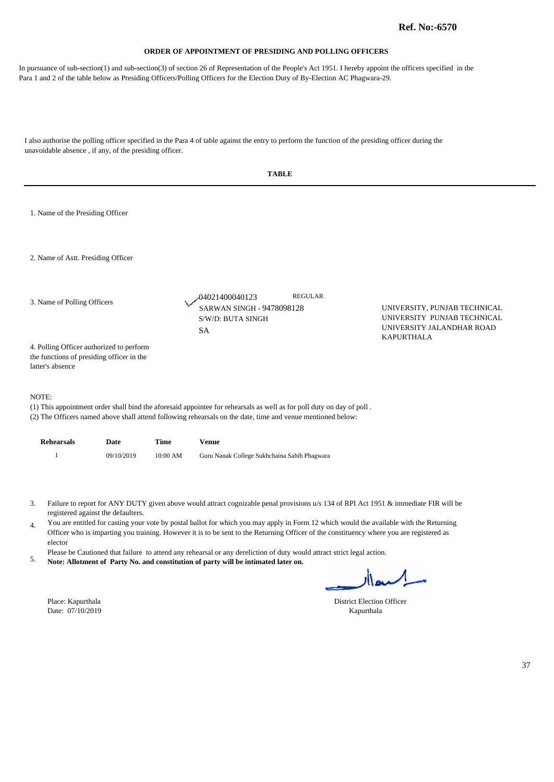In pursuance of sub-section(1) and sub-section(3) of section 26 of Representation of the People's Act 1951. I hereby appoint the officers specified in the Para 1 and 2 of the table below as Presiding Officers/Polling Officers for the Election Duty of By-Election AC Phagwara-29.

|                                                                                                                                                                                                                                                                                                                                                                                                                                                                                                                                                                                                                                                                                                                |            |             | <b>TABLE</b>                                                                                                                                                                                                                         |                                                                                                               |    |  |  |
|----------------------------------------------------------------------------------------------------------------------------------------------------------------------------------------------------------------------------------------------------------------------------------------------------------------------------------------------------------------------------------------------------------------------------------------------------------------------------------------------------------------------------------------------------------------------------------------------------------------------------------------------------------------------------------------------------------------|------------|-------------|--------------------------------------------------------------------------------------------------------------------------------------------------------------------------------------------------------------------------------------|---------------------------------------------------------------------------------------------------------------|----|--|--|
| 1. Name of the Presiding Officer                                                                                                                                                                                                                                                                                                                                                                                                                                                                                                                                                                                                                                                                               |            |             |                                                                                                                                                                                                                                      |                                                                                                               |    |  |  |
| 2. Name of Astt. Presiding Officer                                                                                                                                                                                                                                                                                                                                                                                                                                                                                                                                                                                                                                                                             |            |             |                                                                                                                                                                                                                                      |                                                                                                               |    |  |  |
| 3. Name of Polling Officers                                                                                                                                                                                                                                                                                                                                                                                                                                                                                                                                                                                                                                                                                    |            |             | <b>REGULAR</b><br>04021400040123<br>SARWAN SINGH - 9478098128<br>S/W/D: BUTA SINGH<br><b>SA</b>                                                                                                                                      | UNIVERSITY, PUNJAB TECHNICAL<br>UNIVERSITY PUNJAB TECHNICAL<br>UNIVERSITY JALANDHAR ROAD<br><b>KAPURTHALA</b> |    |  |  |
| 4. Polling Officer authorized to perform<br>the functions of presiding officer in the<br>latter's absence                                                                                                                                                                                                                                                                                                                                                                                                                                                                                                                                                                                                      |            |             |                                                                                                                                                                                                                                      |                                                                                                               |    |  |  |
| NOTE:                                                                                                                                                                                                                                                                                                                                                                                                                                                                                                                                                                                                                                                                                                          |            |             | (1) This appointment order shall bind the aforesaid appointee for rehearsals as well as for poll duty on day of poll.<br>(2) The Officers named above shall attend following rehearsals on the date, time and venue mentioned below: |                                                                                                               |    |  |  |
| <b>Rehearsals</b>                                                                                                                                                                                                                                                                                                                                                                                                                                                                                                                                                                                                                                                                                              | Date       | <b>Time</b> | <b>Venue</b>                                                                                                                                                                                                                         |                                                                                                               |    |  |  |
| $\mathbf{1}$                                                                                                                                                                                                                                                                                                                                                                                                                                                                                                                                                                                                                                                                                                   | 09/10/2019 | 10:00 AM    | Guru Nanak College Sukhchaina Sahib Phagwara                                                                                                                                                                                         |                                                                                                               |    |  |  |
| Failure to report for ANY DUTY given above would attract cognizable penal provisions u/s 134 of RPI Act 1951 & immediate FIR will be<br>3.<br>registered against the defaulters.<br>You are entitled for casting your vote by postal ballot for which you may apply in Form 12 which would the available with the Returning<br>4.<br>Officer who is imparting you training. However it is to be sent to the Returning Officer of the constituency where you are registered as<br>elector<br>Please be Cautioned that failure to attend any rehearsal or any dereliction of duty would attract strict legal action.<br>5.<br>Note: Allotment of Party No. and constitution of party will be intimated later on. |            |             |                                                                                                                                                                                                                                      |                                                                                                               |    |  |  |
|                                                                                                                                                                                                                                                                                                                                                                                                                                                                                                                                                                                                                                                                                                                |            |             |                                                                                                                                                                                                                                      | اکسدار                                                                                                        |    |  |  |
| Place: Kapurthala<br>Date: 07/10/2019                                                                                                                                                                                                                                                                                                                                                                                                                                                                                                                                                                                                                                                                          |            |             |                                                                                                                                                                                                                                      | <b>District Election Officer</b><br>Kapurthala                                                                |    |  |  |
|                                                                                                                                                                                                                                                                                                                                                                                                                                                                                                                                                                                                                                                                                                                |            |             |                                                                                                                                                                                                                                      |                                                                                                               |    |  |  |
|                                                                                                                                                                                                                                                                                                                                                                                                                                                                                                                                                                                                                                                                                                                |            |             |                                                                                                                                                                                                                                      |                                                                                                               | 37 |  |  |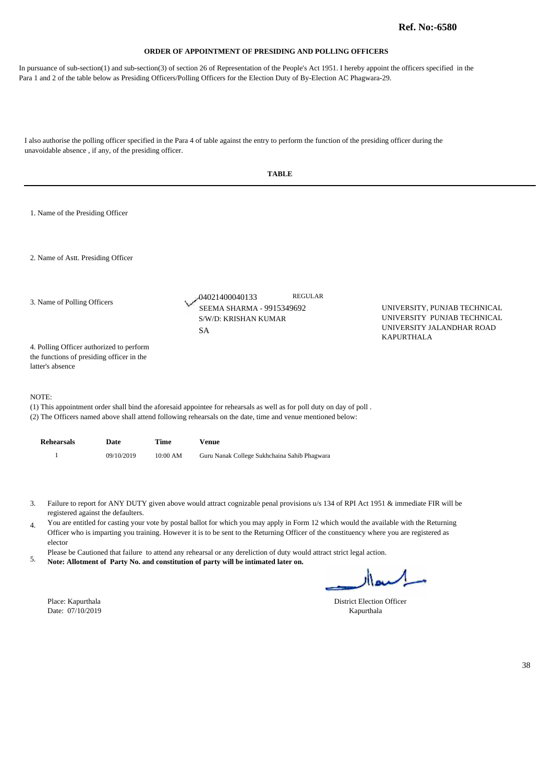In pursuance of sub-section(1) and sub-section(3) of section 26 of Representation of the People's Act 1951. I hereby appoint the officers specified in the Para 1 and 2 of the table below as Presiding Officers/Polling Officers for the Election Duty of By-Election AC Phagwara-29.

|                             | <b>TABLE</b>                                                                                              |            |             |                                                                                                                                                                                                                                                                                                                                                                                                                                                                                                                                                                                                                                             |                                                                                                               |  |  |  |
|-----------------------------|-----------------------------------------------------------------------------------------------------------|------------|-------------|---------------------------------------------------------------------------------------------------------------------------------------------------------------------------------------------------------------------------------------------------------------------------------------------------------------------------------------------------------------------------------------------------------------------------------------------------------------------------------------------------------------------------------------------------------------------------------------------------------------------------------------------|---------------------------------------------------------------------------------------------------------------|--|--|--|
|                             | 1. Name of the Presiding Officer                                                                          |            |             |                                                                                                                                                                                                                                                                                                                                                                                                                                                                                                                                                                                                                                             |                                                                                                               |  |  |  |
|                             | 2. Name of Astt. Presiding Officer                                                                        |            |             |                                                                                                                                                                                                                                                                                                                                                                                                                                                                                                                                                                                                                                             |                                                                                                               |  |  |  |
| 3. Name of Polling Officers |                                                                                                           |            |             | <b>REGULAR</b><br>04021400040133<br>SEEMA SHARMA - 9915349692<br>S/W/D: KRISHAN KUMAR<br><b>SA</b>                                                                                                                                                                                                                                                                                                                                                                                                                                                                                                                                          | UNIVERSITY, PUNJAB TECHNICAL<br>UNIVERSITY PUNJAB TECHNICAL<br>UNIVERSITY JALANDHAR ROAD<br><b>KAPURTHALA</b> |  |  |  |
|                             | 4. Polling Officer authorized to perform<br>the functions of presiding officer in the<br>latter's absence |            |             |                                                                                                                                                                                                                                                                                                                                                                                                                                                                                                                                                                                                                                             |                                                                                                               |  |  |  |
| NOTE:                       |                                                                                                           |            |             | (1) This appointment order shall bind the aforesaid appointee for rehearsals as well as for poll duty on day of poll.<br>(2) The Officers named above shall attend following rehearsals on the date, time and venue mentioned below:                                                                                                                                                                                                                                                                                                                                                                                                        |                                                                                                               |  |  |  |
|                             | <b>Rehearsals</b>                                                                                         | Date       | <b>Time</b> | <b>Venue</b>                                                                                                                                                                                                                                                                                                                                                                                                                                                                                                                                                                                                                                |                                                                                                               |  |  |  |
|                             | $\mathbf{1}$                                                                                              | 09/10/2019 | 10:00 AM    | Guru Nanak College Sukhchaina Sahib Phagwara                                                                                                                                                                                                                                                                                                                                                                                                                                                                                                                                                                                                |                                                                                                               |  |  |  |
| 3.<br>4.<br>5.              | registered against the defaulters.<br>elector<br>Place: Kapurthala<br>Date: 07/10/2019                    |            |             | Failure to report for ANY DUTY given above would attract cognizable penal provisions u/s 134 of RPI Act 1951 & immediate FIR will be<br>You are entitled for casting your vote by postal ballot for which you may apply in Form 12 which would the available with the Returning<br>Officer who is imparting you training. However it is to be sent to the Returning Officer of the constituency where you are registered as<br>Please be Cautioned that failure to attend any rehearsal or any dereliction of duty would attract strict legal action.<br>Note: Allotment of Party No. and constitution of party will be intimated later on. | السعاار<br><b>District Election Officer</b><br>Kapurthala                                                     |  |  |  |
|                             |                                                                                                           |            |             |                                                                                                                                                                                                                                                                                                                                                                                                                                                                                                                                                                                                                                             |                                                                                                               |  |  |  |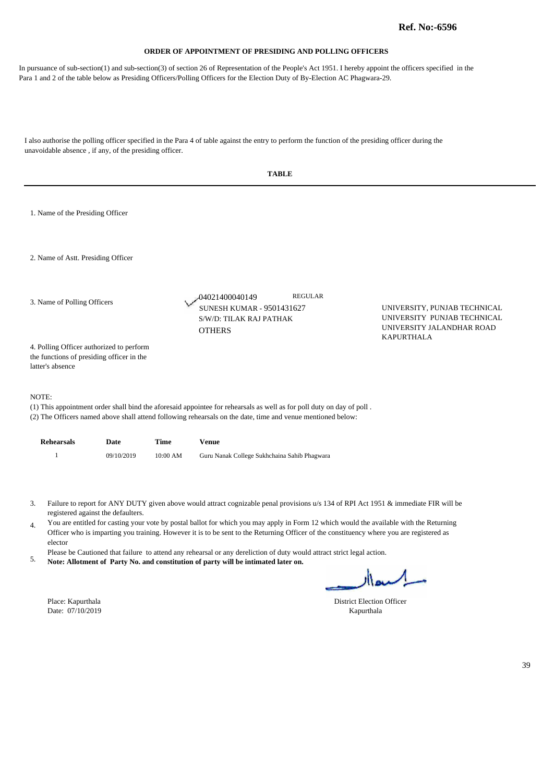In pursuance of sub-section(1) and sub-section(3) of section 26 of Representation of the People's Act 1951. I hereby appoint the officers specified in the Para 1 and 2 of the table below as Presiding Officers/Polling Officers for the Election Duty of By-Election AC Phagwara-29.

| 1. Name of the Presiding Officer                                                                                                                                                                                                                                                                                                           |  |  |  |  |  |  |  |
|--------------------------------------------------------------------------------------------------------------------------------------------------------------------------------------------------------------------------------------------------------------------------------------------------------------------------------------------|--|--|--|--|--|--|--|
| 2. Name of Astt. Presiding Officer                                                                                                                                                                                                                                                                                                         |  |  |  |  |  |  |  |
| <b>REGULAR</b><br>-04021400040149<br>3. Name of Polling Officers<br><b>SUNESH KUMAR - 9501431627</b><br>UNIVERSITY, PUNJAB TECHNICAL<br>UNIVERSITY PUNJAB TECHNICAL<br>S/W/D: TILAK RAJ PATHAK<br>UNIVERSITY JALANDHAR ROAD<br><b>OTHERS</b><br><b>KAPURTHALA</b>                                                                          |  |  |  |  |  |  |  |
| 4. Polling Officer authorized to perform<br>the functions of presiding officer in the<br>latter's absence                                                                                                                                                                                                                                  |  |  |  |  |  |  |  |
| NOTE:<br>(1) This appointment order shall bind the aforesaid appointee for rehearsals as well as for poll duty on day of poll.<br>(2) The Officers named above shall attend following rehearsals on the date, time and venue mentioned below:                                                                                              |  |  |  |  |  |  |  |
| <b>Rehearsals</b><br>Date<br>Time<br><b>Venue</b>                                                                                                                                                                                                                                                                                          |  |  |  |  |  |  |  |
| $\mathbf{1}$<br>09/10/2019<br>10:00 AM<br>Guru Nanak College Sukhchaina Sahib Phagwara                                                                                                                                                                                                                                                     |  |  |  |  |  |  |  |
| Failure to report for ANY DUTY given above would attract cognizable penal provisions u/s 134 of RPI Act 1951 & immediate FIR will be<br>3.                                                                                                                                                                                                 |  |  |  |  |  |  |  |
| registered against the defaulters.<br>You are entitled for casting your vote by postal ballot for which you may apply in Form 12 which would the available with the Returning<br>4.<br>Officer who is imparting you training. However it is to be sent to the Returning Officer of the constituency where you are registered as<br>elector |  |  |  |  |  |  |  |
| Please be Cautioned that failure to attend any rehearsal or any dereliction of duty would attract strict legal action.<br>5.<br>Note: Allotment of Party No. and constitution of party will be intimated later on.                                                                                                                         |  |  |  |  |  |  |  |
| سلميعالا                                                                                                                                                                                                                                                                                                                                   |  |  |  |  |  |  |  |
| Place: Kapurthala<br><b>District Election Officer</b><br>Date: 07/10/2019<br>Kapurthala                                                                                                                                                                                                                                                    |  |  |  |  |  |  |  |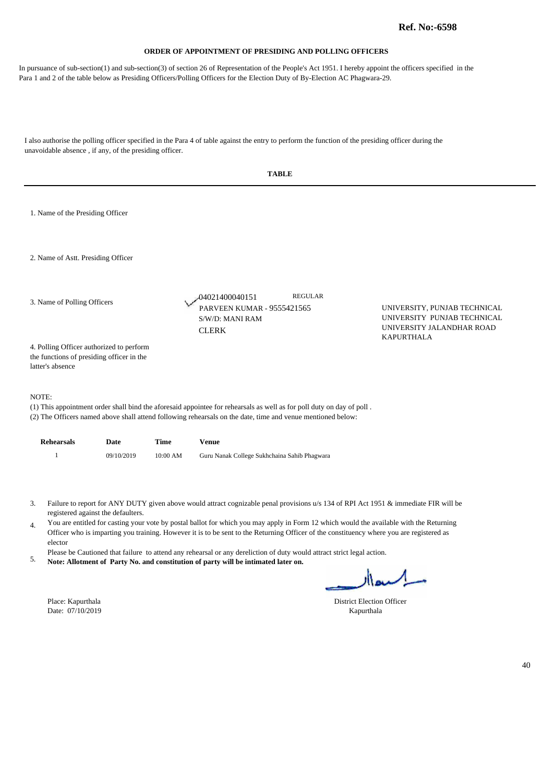In pursuance of sub-section(1) and sub-section(3) of section 26 of Representation of the People's Act 1951. I hereby appoint the officers specified in the Para 1 and 2 of the table below as Presiding Officers/Polling Officers for the Election Duty of By-Election AC Phagwara-29.

|                                                                                                                                                                                                                                                                                                                                                                                                                                                                                                                                                                                                                                                                                                                                                                                                                      | <b>TABLE</b>                                                                                              |            |          |                                                                                                                                                                                                                                      |                                                                                                               |  |  |  |
|----------------------------------------------------------------------------------------------------------------------------------------------------------------------------------------------------------------------------------------------------------------------------------------------------------------------------------------------------------------------------------------------------------------------------------------------------------------------------------------------------------------------------------------------------------------------------------------------------------------------------------------------------------------------------------------------------------------------------------------------------------------------------------------------------------------------|-----------------------------------------------------------------------------------------------------------|------------|----------|--------------------------------------------------------------------------------------------------------------------------------------------------------------------------------------------------------------------------------------|---------------------------------------------------------------------------------------------------------------|--|--|--|
|                                                                                                                                                                                                                                                                                                                                                                                                                                                                                                                                                                                                                                                                                                                                                                                                                      | 1. Name of the Presiding Officer                                                                          |            |          |                                                                                                                                                                                                                                      |                                                                                                               |  |  |  |
|                                                                                                                                                                                                                                                                                                                                                                                                                                                                                                                                                                                                                                                                                                                                                                                                                      | 2. Name of Astt. Presiding Officer                                                                        |            |          |                                                                                                                                                                                                                                      |                                                                                                               |  |  |  |
| 3. Name of Polling Officers                                                                                                                                                                                                                                                                                                                                                                                                                                                                                                                                                                                                                                                                                                                                                                                          |                                                                                                           |            |          | <b>REGULAR</b><br>-04021400040151<br><b>PARVEEN KUMAR - 9555421565</b><br>S/W/D: MANI RAM<br><b>CLERK</b>                                                                                                                            | UNIVERSITY, PUNJAB TECHNICAL<br>UNIVERSITY PUNJAB TECHNICAL<br>UNIVERSITY JALANDHAR ROAD<br><b>KAPURTHALA</b> |  |  |  |
|                                                                                                                                                                                                                                                                                                                                                                                                                                                                                                                                                                                                                                                                                                                                                                                                                      | 4. Polling Officer authorized to perform<br>the functions of presiding officer in the<br>latter's absence |            |          |                                                                                                                                                                                                                                      |                                                                                                               |  |  |  |
|                                                                                                                                                                                                                                                                                                                                                                                                                                                                                                                                                                                                                                                                                                                                                                                                                      | NOTE:                                                                                                     |            |          | (1) This appointment order shall bind the aforesaid appointee for rehearsals as well as for poll duty on day of poll.<br>(2) The Officers named above shall attend following rehearsals on the date, time and venue mentioned below: |                                                                                                               |  |  |  |
|                                                                                                                                                                                                                                                                                                                                                                                                                                                                                                                                                                                                                                                                                                                                                                                                                      | <b>Rehearsals</b>                                                                                         | Date       | Time     | <b>Venue</b>                                                                                                                                                                                                                         |                                                                                                               |  |  |  |
|                                                                                                                                                                                                                                                                                                                                                                                                                                                                                                                                                                                                                                                                                                                                                                                                                      | $\mathbf{1}$                                                                                              | 09/10/2019 | 10:00 AM | Guru Nanak College Sukhchaina Sahib Phagwara                                                                                                                                                                                         |                                                                                                               |  |  |  |
| Failure to report for ANY DUTY given above would attract cognizable penal provisions u/s 134 of RPI Act 1951 & immediate FIR will be<br>3.<br>registered against the defaulters.<br>You are entitled for casting your vote by postal ballot for which you may apply in Form 12 which would the available with the Returning<br>4.<br>Officer who is imparting you training. However it is to be sent to the Returning Officer of the constituency where you are registered as<br>elector<br>Please be Cautioned that failure to attend any rehearsal or any dereliction of duty would attract strict legal action.<br>5.<br>Note: Allotment of Party No. and constitution of party will be intimated later on.<br>السعاار<br>Place: Kapurthala<br><b>District Election Officer</b><br>Date: 07/10/2019<br>Kapurthala |                                                                                                           |            |          |                                                                                                                                                                                                                                      |                                                                                                               |  |  |  |
|                                                                                                                                                                                                                                                                                                                                                                                                                                                                                                                                                                                                                                                                                                                                                                                                                      |                                                                                                           |            |          |                                                                                                                                                                                                                                      | 40                                                                                                            |  |  |  |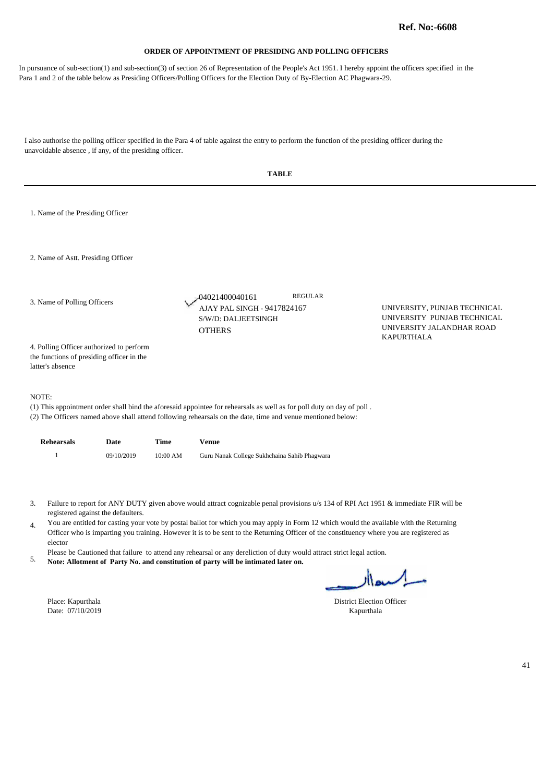In pursuance of sub-section(1) and sub-section(3) of section 26 of Representation of the People's Act 1951. I hereby appoint the officers specified in the Para 1 and 2 of the table below as Presiding Officers/Polling Officers for the Election Duty of By-Election AC Phagwara-29.

|                                                                                                                                                                                                                                                                                                                                                                                                                                                                                                                                                                                                                                                                                                                                         | <b>TABLE</b>                                                                                              |            |          |                                                                                                                                                                                                                                      |                |                                                                                                               |  |  |
|-----------------------------------------------------------------------------------------------------------------------------------------------------------------------------------------------------------------------------------------------------------------------------------------------------------------------------------------------------------------------------------------------------------------------------------------------------------------------------------------------------------------------------------------------------------------------------------------------------------------------------------------------------------------------------------------------------------------------------------------|-----------------------------------------------------------------------------------------------------------|------------|----------|--------------------------------------------------------------------------------------------------------------------------------------------------------------------------------------------------------------------------------------|----------------|---------------------------------------------------------------------------------------------------------------|--|--|
|                                                                                                                                                                                                                                                                                                                                                                                                                                                                                                                                                                                                                                                                                                                                         | 1. Name of the Presiding Officer                                                                          |            |          |                                                                                                                                                                                                                                      |                |                                                                                                               |  |  |
|                                                                                                                                                                                                                                                                                                                                                                                                                                                                                                                                                                                                                                                                                                                                         | 2. Name of Astt. Presiding Officer                                                                        |            |          |                                                                                                                                                                                                                                      |                |                                                                                                               |  |  |
| 3. Name of Polling Officers                                                                                                                                                                                                                                                                                                                                                                                                                                                                                                                                                                                                                                                                                                             |                                                                                                           |            |          | -04021400040161<br>AJAY PAL SINGH - 9417824167<br>S/W/D: DALJEETSINGH<br><b>OTHERS</b>                                                                                                                                               | <b>REGULAR</b> | UNIVERSITY, PUNJAB TECHNICAL<br>UNIVERSITY PUNJAB TECHNICAL<br>UNIVERSITY JALANDHAR ROAD<br><b>KAPURTHALA</b> |  |  |
|                                                                                                                                                                                                                                                                                                                                                                                                                                                                                                                                                                                                                                                                                                                                         | 4. Polling Officer authorized to perform<br>the functions of presiding officer in the<br>latter's absence |            |          |                                                                                                                                                                                                                                      |                |                                                                                                               |  |  |
| NOTE:                                                                                                                                                                                                                                                                                                                                                                                                                                                                                                                                                                                                                                                                                                                                   |                                                                                                           |            |          | (1) This appointment order shall bind the aforesaid appointee for rehearsals as well as for poll duty on day of poll.<br>(2) The Officers named above shall attend following rehearsals on the date, time and venue mentioned below: |                |                                                                                                               |  |  |
|                                                                                                                                                                                                                                                                                                                                                                                                                                                                                                                                                                                                                                                                                                                                         | <b>Rehearsals</b>                                                                                         | Date       | Time     | <b>Venue</b>                                                                                                                                                                                                                         |                |                                                                                                               |  |  |
|                                                                                                                                                                                                                                                                                                                                                                                                                                                                                                                                                                                                                                                                                                                                         | $\overline{1}$                                                                                            | 09/10/2019 | 10:00 AM | Guru Nanak College Sukhchaina Sahib Phagwara                                                                                                                                                                                         |                |                                                                                                               |  |  |
| Failure to report for ANY DUTY given above would attract cognizable penal provisions u/s 134 of RPI Act 1951 & immediate FIR will be<br>3.<br>registered against the defaulters.<br>You are entitled for casting your vote by postal ballot for which you may apply in Form 12 which would the available with the Returning<br>$\overline{4}$ .<br>Officer who is imparting you training. However it is to be sent to the Returning Officer of the constituency where you are registered as<br>elector<br>Please be Cautioned that failure to attend any rehearsal or any dereliction of duty would attract strict legal action.<br>5.<br>Note: Allotment of Party No. and constitution of party will be intimated later on.<br>السعاار |                                                                                                           |            |          |                                                                                                                                                                                                                                      |                |                                                                                                               |  |  |
|                                                                                                                                                                                                                                                                                                                                                                                                                                                                                                                                                                                                                                                                                                                                         | Place: Kapurthala                                                                                         |            |          |                                                                                                                                                                                                                                      |                | <b>District Election Officer</b>                                                                              |  |  |
|                                                                                                                                                                                                                                                                                                                                                                                                                                                                                                                                                                                                                                                                                                                                         | Date: 07/10/2019                                                                                          |            |          |                                                                                                                                                                                                                                      | Kapurthala     |                                                                                                               |  |  |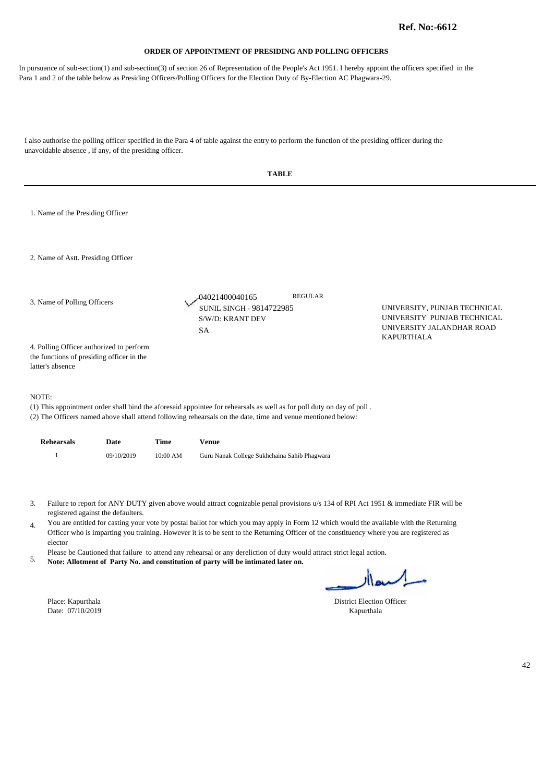In pursuance of sub-section(1) and sub-section(3) of section 26 of Representation of the People's Act 1951. I hereby appoint the officers specified in the Para 1 and 2 of the table below as Presiding Officers/Polling Officers for the Election Duty of By-Election AC Phagwara-29.

|                                                                                                           |            |          | <b>TABLE</b>                                                                                                                                                                                                                                                                                                                                                                                                                                                                                                                                                                                                                                |                                                                                          |    |
|-----------------------------------------------------------------------------------------------------------|------------|----------|---------------------------------------------------------------------------------------------------------------------------------------------------------------------------------------------------------------------------------------------------------------------------------------------------------------------------------------------------------------------------------------------------------------------------------------------------------------------------------------------------------------------------------------------------------------------------------------------------------------------------------------------|------------------------------------------------------------------------------------------|----|
| 1. Name of the Presiding Officer                                                                          |            |          |                                                                                                                                                                                                                                                                                                                                                                                                                                                                                                                                                                                                                                             |                                                                                          |    |
| 2. Name of Astt. Presiding Officer                                                                        |            |          |                                                                                                                                                                                                                                                                                                                                                                                                                                                                                                                                                                                                                                             |                                                                                          |    |
| 3. Name of Polling Officers                                                                               |            |          | <b>REGULAR</b><br>04021400040165<br><b>SUNIL SINGH - 9814722985</b><br>S/W/D: KRANT DEV<br><b>SA</b>                                                                                                                                                                                                                                                                                                                                                                                                                                                                                                                                        | UNIVERSITY, PUNJAB TECHNICAL<br>UNIVERSITY PUNJAB TECHNICAL<br>UNIVERSITY JALANDHAR ROAD |    |
| 4. Polling Officer authorized to perform<br>the functions of presiding officer in the<br>latter's absence |            |          |                                                                                                                                                                                                                                                                                                                                                                                                                                                                                                                                                                                                                                             | <b>KAPURTHALA</b>                                                                        |    |
| NOTE:                                                                                                     |            |          | (1) This appointment order shall bind the aforesaid appointee for rehearsals as well as for poll duty on day of poll.<br>(2) The Officers named above shall attend following rehearsals on the date, time and venue mentioned below:                                                                                                                                                                                                                                                                                                                                                                                                        |                                                                                          |    |
| <b>Rehearsals</b>                                                                                         | Date       | Time     | <b>Venue</b>                                                                                                                                                                                                                                                                                                                                                                                                                                                                                                                                                                                                                                |                                                                                          |    |
| 1                                                                                                         | 09/10/2019 | 10:00 AM | Guru Nanak College Sukhchaina Sahib Phagwara                                                                                                                                                                                                                                                                                                                                                                                                                                                                                                                                                                                                |                                                                                          |    |
| 3.<br>registered against the defaulters.<br>4.<br>elector<br>5.                                           |            |          | Failure to report for ANY DUTY given above would attract cognizable penal provisions u/s 134 of RPI Act 1951 & immediate FIR will be<br>You are entitled for casting your vote by postal ballot for which you may apply in Form 12 which would the available with the Returning<br>Officer who is imparting you training. However it is to be sent to the Returning Officer of the constituency where you are registered as<br>Please be Cautioned that failure to attend any rehearsal or any dereliction of duty would attract strict legal action.<br>Note: Allotment of Party No. and constitution of party will be intimated later on. |                                                                                          |    |
| Place: Kapurthala<br>Date: 07/10/2019                                                                     |            |          | District Election Officer<br>Kapurthala                                                                                                                                                                                                                                                                                                                                                                                                                                                                                                                                                                                                     | اکسعاار                                                                                  |    |
|                                                                                                           |            |          |                                                                                                                                                                                                                                                                                                                                                                                                                                                                                                                                                                                                                                             |                                                                                          | 42 |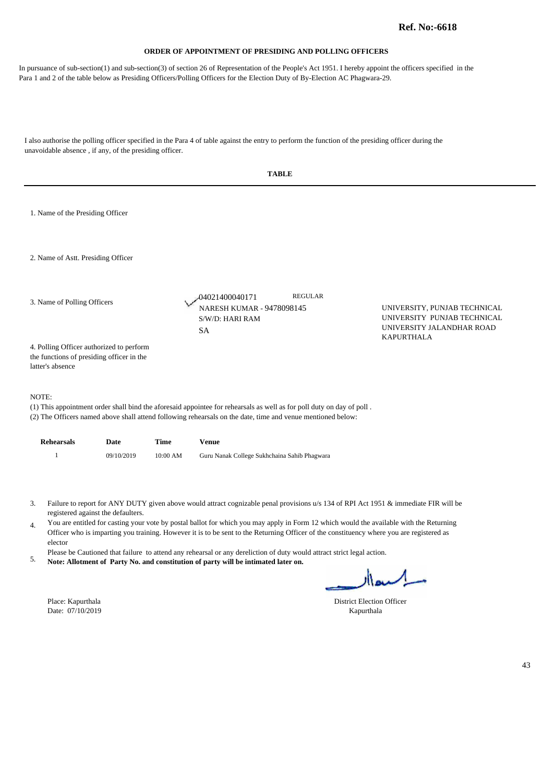In pursuance of sub-section(1) and sub-section(3) of section 26 of Representation of the People's Act 1951. I hereby appoint the officers specified in the Para 1 and 2 of the table below as Presiding Officers/Polling Officers for the Election Duty of By-Election AC Phagwara-29.

|                                                                                                           |                                    |          | <b>TABLE</b>                                                                                                                                                                                                                                                                                                                                                                                                                                                                                                                                                                                                                                |                                                                                                               |    |
|-----------------------------------------------------------------------------------------------------------|------------------------------------|----------|---------------------------------------------------------------------------------------------------------------------------------------------------------------------------------------------------------------------------------------------------------------------------------------------------------------------------------------------------------------------------------------------------------------------------------------------------------------------------------------------------------------------------------------------------------------------------------------------------------------------------------------------|---------------------------------------------------------------------------------------------------------------|----|
| 1. Name of the Presiding Officer                                                                          |                                    |          |                                                                                                                                                                                                                                                                                                                                                                                                                                                                                                                                                                                                                                             |                                                                                                               |    |
| 2. Name of Astt. Presiding Officer                                                                        |                                    |          |                                                                                                                                                                                                                                                                                                                                                                                                                                                                                                                                                                                                                                             |                                                                                                               |    |
| 3. Name of Polling Officers                                                                               |                                    |          | <b>REGULAR</b><br>04021400040171<br>NARESH KUMAR - 9478098145<br>S/W/D: HARI RAM<br><b>SA</b>                                                                                                                                                                                                                                                                                                                                                                                                                                                                                                                                               | UNIVERSITY, PUNJAB TECHNICAL<br>UNIVERSITY PUNJAB TECHNICAL<br>UNIVERSITY JALANDHAR ROAD<br><b>KAPURTHALA</b> |    |
| 4. Polling Officer authorized to perform<br>the functions of presiding officer in the<br>latter's absence |                                    |          |                                                                                                                                                                                                                                                                                                                                                                                                                                                                                                                                                                                                                                             |                                                                                                               |    |
| NOTE:                                                                                                     |                                    |          | (1) This appointment order shall bind the aforesaid appointee for rehearsals as well as for poll duty on day of poll.<br>(2) The Officers named above shall attend following rehearsals on the date, time and venue mentioned below:                                                                                                                                                                                                                                                                                                                                                                                                        |                                                                                                               |    |
| <b>Rehearsals</b>                                                                                         | Date                               | Time     | <b>Venue</b>                                                                                                                                                                                                                                                                                                                                                                                                                                                                                                                                                                                                                                |                                                                                                               |    |
| $\mathbf{1}$                                                                                              | 09/10/2019                         | 10:00 AM | Guru Nanak College Sukhchaina Sahib Phagwara                                                                                                                                                                                                                                                                                                                                                                                                                                                                                                                                                                                                |                                                                                                               |    |
| 3.<br>4.<br>elector<br>5.                                                                                 | registered against the defaulters. |          | Failure to report for ANY DUTY given above would attract cognizable penal provisions u/s 134 of RPI Act 1951 & immediate FIR will be<br>You are entitled for casting your vote by postal ballot for which you may apply in Form 12 which would the available with the Returning<br>Officer who is imparting you training. However it is to be sent to the Returning Officer of the constituency where you are registered as<br>Please be Cautioned that failure to attend any rehearsal or any dereliction of duty would attract strict legal action.<br>Note: Allotment of Party No. and constitution of party will be intimated later on. | اسهاار                                                                                                        |    |
| Place: Kapurthala<br>Date: 07/10/2019                                                                     |                                    |          |                                                                                                                                                                                                                                                                                                                                                                                                                                                                                                                                                                                                                                             | <b>District Election Officer</b><br>Kapurthala                                                                |    |
|                                                                                                           |                                    |          |                                                                                                                                                                                                                                                                                                                                                                                                                                                                                                                                                                                                                                             |                                                                                                               | 43 |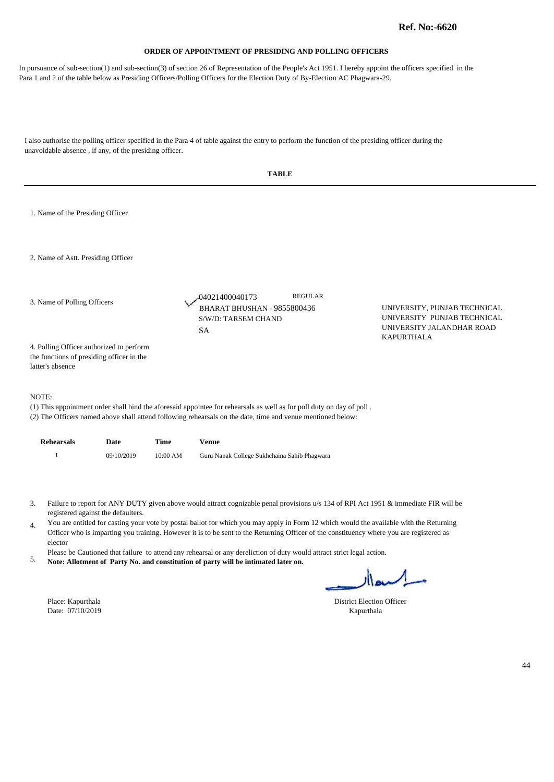In pursuance of sub-section(1) and sub-section(3) of section 26 of Representation of the People's Act 1951. I hereby appoint the officers specified in the Para 1 and 2 of the table below as Presiding Officers/Polling Officers for the Election Duty of By-Election AC Phagwara-29.

|                             |                                                                                                           |                                    |                                                                                                     | <b>TABLE</b>                                                                                                                                                                                                                                                                                                                                                                                                                                                                                                                                                                                                                                |                                                            |    |
|-----------------------------|-----------------------------------------------------------------------------------------------------------|------------------------------------|-----------------------------------------------------------------------------------------------------|---------------------------------------------------------------------------------------------------------------------------------------------------------------------------------------------------------------------------------------------------------------------------------------------------------------------------------------------------------------------------------------------------------------------------------------------------------------------------------------------------------------------------------------------------------------------------------------------------------------------------------------------|------------------------------------------------------------|----|
|                             | 1. Name of the Presiding Officer                                                                          |                                    |                                                                                                     |                                                                                                                                                                                                                                                                                                                                                                                                                                                                                                                                                                                                                                             |                                                            |    |
|                             | 2. Name of Astt. Presiding Officer                                                                        |                                    |                                                                                                     |                                                                                                                                                                                                                                                                                                                                                                                                                                                                                                                                                                                                                                             |                                                            |    |
| 3. Name of Polling Officers |                                                                                                           |                                    | <b>REGULAR</b><br>04021400040173<br>BHARAT BHUSHAN - 9855800436<br>S/W/D: TARSEM CHAND<br><b>SA</b> | UNIVERSITY, PUNJAB TECHNICAL<br>UNIVERSITY PUNJAB TECHNICAL<br>UNIVERSITY JALANDHAR ROAD<br>KAPURTHALA                                                                                                                                                                                                                                                                                                                                                                                                                                                                                                                                      |                                                            |    |
|                             | 4. Polling Officer authorized to perform<br>the functions of presiding officer in the<br>latter's absence |                                    |                                                                                                     |                                                                                                                                                                                                                                                                                                                                                                                                                                                                                                                                                                                                                                             |                                                            |    |
|                             | NOTE:                                                                                                     |                                    |                                                                                                     | (1) This appointment order shall bind the aforesaid appointee for rehearsals as well as for poll duty on day of poll.<br>(2) The Officers named above shall attend following rehearsals on the date, time and venue mentioned below:                                                                                                                                                                                                                                                                                                                                                                                                        |                                                            |    |
|                             | <b>Rehearsals</b>                                                                                         | Date                               | Time                                                                                                | <b>Venue</b>                                                                                                                                                                                                                                                                                                                                                                                                                                                                                                                                                                                                                                |                                                            |    |
|                             | $\mathbf{1}$                                                                                              | 09/10/2019                         | 10:00 AM                                                                                            | Guru Nanak College Sukhchaina Sahib Phagwara                                                                                                                                                                                                                                                                                                                                                                                                                                                                                                                                                                                                |                                                            |    |
| 3.<br>4.<br>5.              | elector<br>Place: Kapurthala<br>Date: 07/10/2019                                                          | registered against the defaulters. |                                                                                                     | Failure to report for ANY DUTY given above would attract cognizable penal provisions u/s 134 of RPI Act 1951 & immediate FIR will be<br>You are entitled for casting your vote by postal ballot for which you may apply in Form 12 which would the available with the Returning<br>Officer who is imparting you training. However it is to be sent to the Returning Officer of the constituency where you are registered as<br>Please be Cautioned that failure to attend any rehearsal or any dereliction of duty would attract strict legal action.<br>Note: Allotment of Party No. and constitution of party will be intimated later on. | السيفاار<br><b>District Election Officer</b><br>Kapurthala |    |
|                             |                                                                                                           |                                    |                                                                                                     |                                                                                                                                                                                                                                                                                                                                                                                                                                                                                                                                                                                                                                             |                                                            | 44 |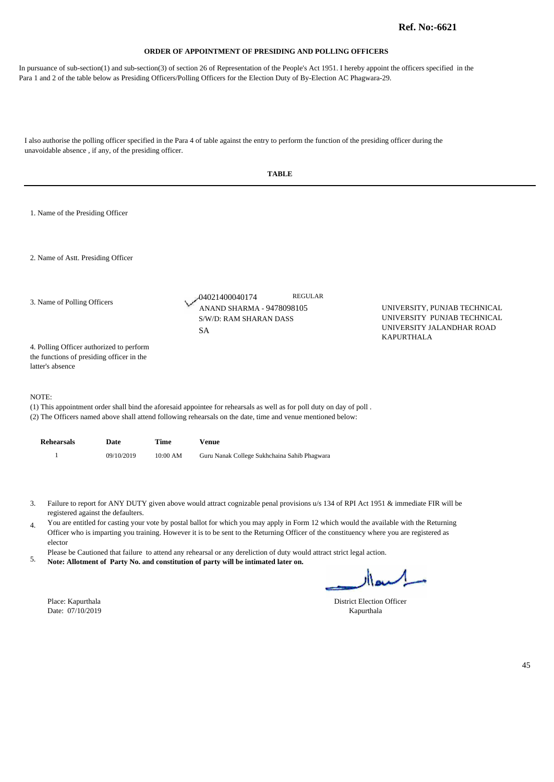In pursuance of sub-section(1) and sub-section(3) of section 26 of Representation of the People's Act 1951. I hereby appoint the officers specified in the Para 1 and 2 of the table below as Presiding Officers/Polling Officers for the Election Duty of By-Election AC Phagwara-29.

| 1. Name of the Presiding Officer<br>2. Name of Astt. Presiding Officer<br><b>REGULAR</b><br>04021400040174<br>3. Name of Polling Officers<br>ANAND SHARMA - 9478098105<br>UNIVERSITY, PUNJAB TECHNICAL<br>UNIVERSITY PUNJAB TECHNICAL<br>S/W/D: RAM SHARAN DASS<br>UNIVERSITY JALANDHAR ROAD<br><b>SA</b><br><b>KAPURTHALA</b><br>4. Polling Officer authorized to perform<br>the functions of presiding officer in the<br>latter's absence<br>NOTE:<br>(1) This appointment order shall bind the aforesaid appointee for rehearsals as well as for poll duty on day of poll.<br>(2) The Officers named above shall attend following rehearsals on the date, time and venue mentioned below:<br><b>Rehearsals</b><br>Date<br>Time<br><b>Venue</b><br>$\mathbf{1}$<br>09/10/2019<br>10:00 AM<br>Guru Nanak College Sukhchaina Sahib Phagwara<br>Failure to report for ANY DUTY given above would attract cognizable penal provisions u/s 134 of RPI Act 1951 & immediate FIR will be<br>3.<br>registered against the defaulters.<br>You are entitled for casting your vote by postal ballot for which you may apply in Form 12 which would the available with the Returning<br>4.<br>Officer who is imparting you training. However it is to be sent to the Returning Officer of the constituency where you are registered as<br>elector<br>Please be Cautioned that failure to attend any rehearsal or any dereliction of duty would attract strict legal action.<br>5.<br>Note: Allotment of Party No. and constitution of party will be intimated later on.<br>اكسدار<br><b>District Election Officer</b><br>Place: Kapurthala<br>Date: 07/10/2019<br>Kapurthala |  |  | <b>TABLE</b> |    |
|--------------------------------------------------------------------------------------------------------------------------------------------------------------------------------------------------------------------------------------------------------------------------------------------------------------------------------------------------------------------------------------------------------------------------------------------------------------------------------------------------------------------------------------------------------------------------------------------------------------------------------------------------------------------------------------------------------------------------------------------------------------------------------------------------------------------------------------------------------------------------------------------------------------------------------------------------------------------------------------------------------------------------------------------------------------------------------------------------------------------------------------------------------------------------------------------------------------------------------------------------------------------------------------------------------------------------------------------------------------------------------------------------------------------------------------------------------------------------------------------------------------------------------------------------------------------------------------------------------------------------------------------------------------------|--|--|--------------|----|
|                                                                                                                                                                                                                                                                                                                                                                                                                                                                                                                                                                                                                                                                                                                                                                                                                                                                                                                                                                                                                                                                                                                                                                                                                                                                                                                                                                                                                                                                                                                                                                                                                                                                    |  |  |              |    |
|                                                                                                                                                                                                                                                                                                                                                                                                                                                                                                                                                                                                                                                                                                                                                                                                                                                                                                                                                                                                                                                                                                                                                                                                                                                                                                                                                                                                                                                                                                                                                                                                                                                                    |  |  |              |    |
|                                                                                                                                                                                                                                                                                                                                                                                                                                                                                                                                                                                                                                                                                                                                                                                                                                                                                                                                                                                                                                                                                                                                                                                                                                                                                                                                                                                                                                                                                                                                                                                                                                                                    |  |  |              |    |
|                                                                                                                                                                                                                                                                                                                                                                                                                                                                                                                                                                                                                                                                                                                                                                                                                                                                                                                                                                                                                                                                                                                                                                                                                                                                                                                                                                                                                                                                                                                                                                                                                                                                    |  |  |              |    |
|                                                                                                                                                                                                                                                                                                                                                                                                                                                                                                                                                                                                                                                                                                                                                                                                                                                                                                                                                                                                                                                                                                                                                                                                                                                                                                                                                                                                                                                                                                                                                                                                                                                                    |  |  |              |    |
|                                                                                                                                                                                                                                                                                                                                                                                                                                                                                                                                                                                                                                                                                                                                                                                                                                                                                                                                                                                                                                                                                                                                                                                                                                                                                                                                                                                                                                                                                                                                                                                                                                                                    |  |  |              |    |
|                                                                                                                                                                                                                                                                                                                                                                                                                                                                                                                                                                                                                                                                                                                                                                                                                                                                                                                                                                                                                                                                                                                                                                                                                                                                                                                                                                                                                                                                                                                                                                                                                                                                    |  |  |              |    |
|                                                                                                                                                                                                                                                                                                                                                                                                                                                                                                                                                                                                                                                                                                                                                                                                                                                                                                                                                                                                                                                                                                                                                                                                                                                                                                                                                                                                                                                                                                                                                                                                                                                                    |  |  |              |    |
|                                                                                                                                                                                                                                                                                                                                                                                                                                                                                                                                                                                                                                                                                                                                                                                                                                                                                                                                                                                                                                                                                                                                                                                                                                                                                                                                                                                                                                                                                                                                                                                                                                                                    |  |  |              | 45 |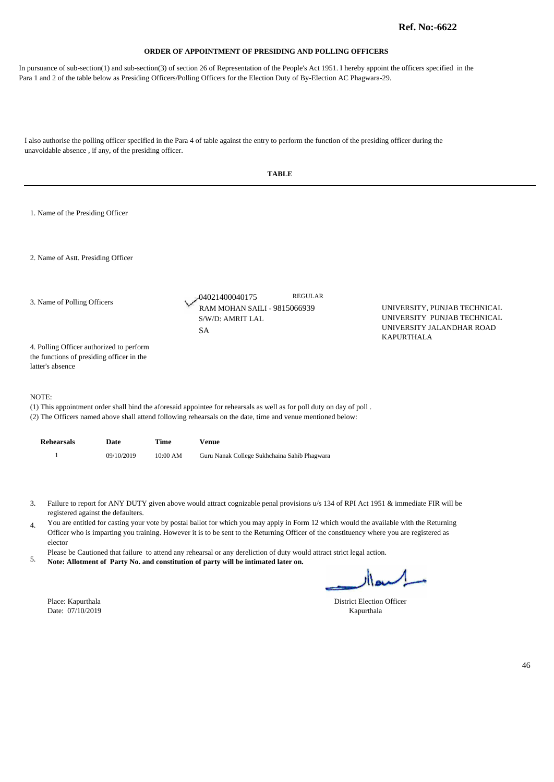In pursuance of sub-section(1) and sub-section(3) of section 26 of Representation of the People's Act 1951. I hereby appoint the officers specified in the Para 1 and 2 of the table below as Presiding Officers/Polling Officers for the Election Duty of By-Election AC Phagwara-29.

|                                                                                                           | <b>TABLE</b>                                                                                                                                                                                                                                                                                                                                                                                                                                                                                                                                                                                                                                |                                                                                                               |    |
|-----------------------------------------------------------------------------------------------------------|---------------------------------------------------------------------------------------------------------------------------------------------------------------------------------------------------------------------------------------------------------------------------------------------------------------------------------------------------------------------------------------------------------------------------------------------------------------------------------------------------------------------------------------------------------------------------------------------------------------------------------------------|---------------------------------------------------------------------------------------------------------------|----|
| 1. Name of the Presiding Officer                                                                          |                                                                                                                                                                                                                                                                                                                                                                                                                                                                                                                                                                                                                                             |                                                                                                               |    |
| 2. Name of Astt. Presiding Officer                                                                        |                                                                                                                                                                                                                                                                                                                                                                                                                                                                                                                                                                                                                                             |                                                                                                               |    |
| 3. Name of Polling Officers                                                                               | <b>REGULAR</b><br>04021400040175<br>RAM MOHAN SAILI - 9815066939<br>S/W/D: AMRIT LAL<br><b>SA</b>                                                                                                                                                                                                                                                                                                                                                                                                                                                                                                                                           | UNIVERSITY, PUNJAB TECHNICAL<br>UNIVERSITY PUNJAB TECHNICAL<br>UNIVERSITY JALANDHAR ROAD<br><b>KAPURTHALA</b> |    |
| 4. Polling Officer authorized to perform<br>the functions of presiding officer in the<br>latter's absence |                                                                                                                                                                                                                                                                                                                                                                                                                                                                                                                                                                                                                                             |                                                                                                               |    |
| NOTE:                                                                                                     | (1) This appointment order shall bind the aforesaid appointee for rehearsals as well as for poll duty on day of poll.<br>(2) The Officers named above shall attend following rehearsals on the date, time and venue mentioned below:                                                                                                                                                                                                                                                                                                                                                                                                        |                                                                                                               |    |
| <b>Rehearsals</b><br>Date<br>Time                                                                         | <b>Venue</b>                                                                                                                                                                                                                                                                                                                                                                                                                                                                                                                                                                                                                                |                                                                                                               |    |
| $\mathbf{1}$<br>09/10/2019                                                                                | 10:00 AM<br>Guru Nanak College Sukhchaina Sahib Phagwara                                                                                                                                                                                                                                                                                                                                                                                                                                                                                                                                                                                    |                                                                                                               |    |
| 3.<br>registered against the defaulters.<br>4.<br>elector<br>5.<br>Place: Kapurthala                      | Failure to report for ANY DUTY given above would attract cognizable penal provisions u/s 134 of RPI Act 1951 & immediate FIR will be<br>You are entitled for casting your vote by postal ballot for which you may apply in Form 12 which would the available with the Returning<br>Officer who is imparting you training. However it is to be sent to the Returning Officer of the constituency where you are registered as<br>Please be Cautioned that failure to attend any rehearsal or any dereliction of duty would attract strict legal action.<br>Note: Allotment of Party No. and constitution of party will be intimated later on. | اکسعاار<br><b>District Election Officer</b>                                                                   |    |
| Date: 07/10/2019                                                                                          |                                                                                                                                                                                                                                                                                                                                                                                                                                                                                                                                                                                                                                             | Kapurthala                                                                                                    |    |
|                                                                                                           |                                                                                                                                                                                                                                                                                                                                                                                                                                                                                                                                                                                                                                             |                                                                                                               |    |
|                                                                                                           |                                                                                                                                                                                                                                                                                                                                                                                                                                                                                                                                                                                                                                             |                                                                                                               | 46 |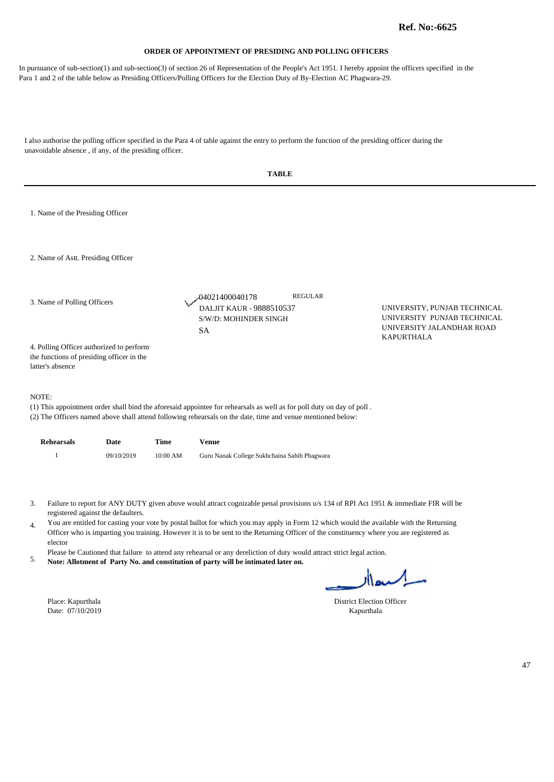In pursuance of sub-section(1) and sub-section(3) of section 26 of Representation of the People's Act 1951. I hereby appoint the officers specified in the Para 1 and 2 of the table below as Presiding Officers/Polling Officers for the Election Duty of By-Election AC Phagwara-29.

|                                                                                                           | <b>TABLE</b>                                                                                                                                                                                                                                                                                                                                                                                                                                                                                                                                                                                                                                |                                                                                          |
|-----------------------------------------------------------------------------------------------------------|---------------------------------------------------------------------------------------------------------------------------------------------------------------------------------------------------------------------------------------------------------------------------------------------------------------------------------------------------------------------------------------------------------------------------------------------------------------------------------------------------------------------------------------------------------------------------------------------------------------------------------------------|------------------------------------------------------------------------------------------|
| 1. Name of the Presiding Officer                                                                          |                                                                                                                                                                                                                                                                                                                                                                                                                                                                                                                                                                                                                                             |                                                                                          |
| 2. Name of Astt. Presiding Officer                                                                        |                                                                                                                                                                                                                                                                                                                                                                                                                                                                                                                                                                                                                                             |                                                                                          |
| 3. Name of Polling Officers                                                                               | <b>REGULAR</b><br>04021400040178<br>DALJIT KAUR - 9888510537<br>S/W/D: MOHINDER SINGH<br><b>SA</b>                                                                                                                                                                                                                                                                                                                                                                                                                                                                                                                                          | UNIVERSITY, PUNJAB TECHNICAL<br>UNIVERSITY PUNJAB TECHNICAL<br>UNIVERSITY JALANDHAR ROAD |
| 4. Polling Officer authorized to perform<br>the functions of presiding officer in the<br>latter's absence |                                                                                                                                                                                                                                                                                                                                                                                                                                                                                                                                                                                                                                             | <b>KAPURTHALA</b>                                                                        |
| NOTE:                                                                                                     | (1) This appointment order shall bind the aforesaid appointee for rehearsals as well as for poll duty on day of poll.<br>(2) The Officers named above shall attend following rehearsals on the date, time and venue mentioned below:                                                                                                                                                                                                                                                                                                                                                                                                        |                                                                                          |
| <b>Rehearsals</b><br>Date                                                                                 | <b>Time</b><br><b>Venue</b>                                                                                                                                                                                                                                                                                                                                                                                                                                                                                                                                                                                                                 |                                                                                          |
| $\mathbf{1}$<br>09/10/2019                                                                                | 10:00 AM<br>Guru Nanak College Sukhchaina Sahib Phagwara                                                                                                                                                                                                                                                                                                                                                                                                                                                                                                                                                                                    |                                                                                          |
| 3.<br>registered against the defaulters.<br>4.<br>elector<br>5.                                           | Failure to report for ANY DUTY given above would attract cognizable penal provisions u/s 134 of RPI Act 1951 & immediate FIR will be<br>You are entitled for casting your vote by postal ballot for which you may apply in Form 12 which would the available with the Returning<br>Officer who is imparting you training. However it is to be sent to the Returning Officer of the constituency where you are registered as<br>Please be Cautioned that failure to attend any rehearsal or any dereliction of duty would attract strict legal action.<br>Note: Allotment of Party No. and constitution of party will be intimated later on. | السدار                                                                                   |
| Place: Kapurthala<br>Date: 07/10/2019                                                                     |                                                                                                                                                                                                                                                                                                                                                                                                                                                                                                                                                                                                                                             | <b>District Election Officer</b><br>Kapurthala                                           |
|                                                                                                           |                                                                                                                                                                                                                                                                                                                                                                                                                                                                                                                                                                                                                                             | 47                                                                                       |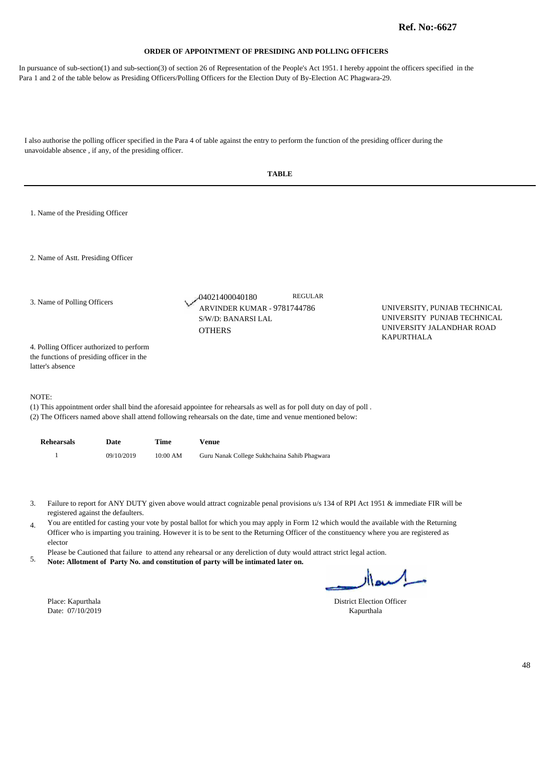In pursuance of sub-section(1) and sub-section(3) of section 26 of Representation of the People's Act 1951. I hereby appoint the officers specified in the Para 1 and 2 of the table below as Presiding Officers/Polling Officers for the Election Duty of By-Election AC Phagwara-29.

I also authorise the polling officer specified in the Para 4 of table against the entry to perform the function of the presiding officer during the unavoidable absence , if any, of the presiding officer. **TABLE** 

|          | 1. Name of the Presiding Officer                                                                          |            |             |                                                                                                                                                                                                                                                                                                                                                                                                                                                                                                                                                       |                |                                                                                          |
|----------|-----------------------------------------------------------------------------------------------------------|------------|-------------|-------------------------------------------------------------------------------------------------------------------------------------------------------------------------------------------------------------------------------------------------------------------------------------------------------------------------------------------------------------------------------------------------------------------------------------------------------------------------------------------------------------------------------------------------------|----------------|------------------------------------------------------------------------------------------|
|          | 2. Name of Astt. Presiding Officer                                                                        |            |             |                                                                                                                                                                                                                                                                                                                                                                                                                                                                                                                                                       |                |                                                                                          |
|          | 3. Name of Polling Officers                                                                               |            |             | -04021400040180<br>ARVINDER KUMAR - 9781744786<br>S/W/D: BANARSI LAL<br><b>OTHERS</b>                                                                                                                                                                                                                                                                                                                                                                                                                                                                 | <b>REGULAR</b> | UNIVERSITY, PUNJAB TECHNICAL<br>UNIVERSITY PUNJAB TECHNICAL<br>UNIVERSITY JALANDHAR ROAD |
|          | 4. Polling Officer authorized to perform<br>the functions of presiding officer in the<br>latter's absence |            |             |                                                                                                                                                                                                                                                                                                                                                                                                                                                                                                                                                       |                | <b>KAPURTHALA</b>                                                                        |
| NOTE:    |                                                                                                           |            |             | (1) This appointment order shall bind the aforesaid appointee for rehearsals as well as for poll duty on day of poll.<br>(2) The Officers named above shall attend following rehearsals on the date, time and venue mentioned below:                                                                                                                                                                                                                                                                                                                  |                |                                                                                          |
|          | <b>Rehearsals</b>                                                                                         | Date       | <b>Time</b> | <b>Venue</b>                                                                                                                                                                                                                                                                                                                                                                                                                                                                                                                                          |                |                                                                                          |
|          | $\mathbf{1}$                                                                                              | 09/10/2019 | 10:00 AM    | Guru Nanak College Sukhchaina Sahib Phagwara                                                                                                                                                                                                                                                                                                                                                                                                                                                                                                          |                |                                                                                          |
| 3.<br>4. | registered against the defaulters.<br>elector                                                             |            |             | Failure to report for ANY DUTY given above would attract cognizable penal provisions u/s 134 of RPI Act 1951 & immediate FIR will be<br>You are entitled for casting your vote by postal ballot for which you may apply in Form 12 which would the available with the Returning<br>Officer who is imparting you training. However it is to be sent to the Returning Officer of the constituency where you are registered as<br>Please be Cautioned that failure to attend any rehearsal or any dereliction of duty would attract strict legal action. |                |                                                                                          |

**Note: Allotment of Party No. and constitution of party will be intimated later on.** 5.

Date: 07/10/2019 Kapurthala

l,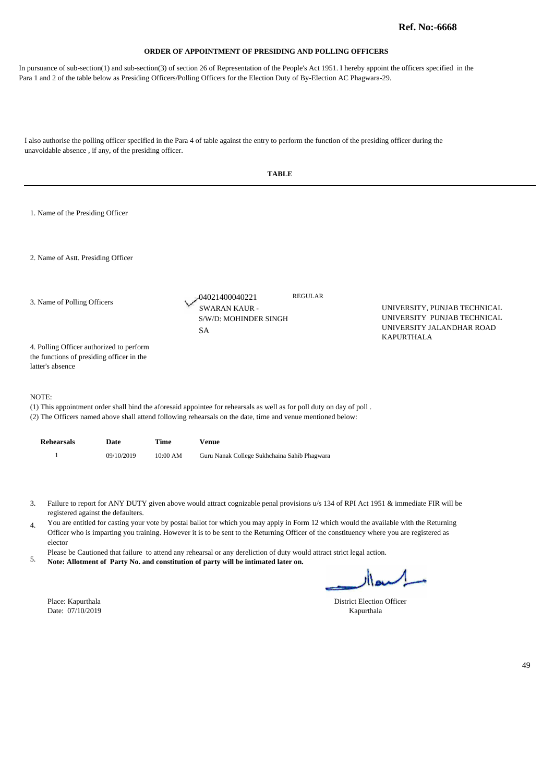In pursuance of sub-section(1) and sub-section(3) of section 26 of Representation of the People's Act 1951. I hereby appoint the officers specified in the Para 1 and 2 of the table below as Presiding Officers/Polling Officers for the Election Duty of By-Election AC Phagwara-29.

|                                                                                                           |                                    |          | <b>TABLE</b>                                                                                                                                                                                                                                                                                                                                                                                                                                                                                                                                                                                                                                |                                         |                                                                                          |    |
|-----------------------------------------------------------------------------------------------------------|------------------------------------|----------|---------------------------------------------------------------------------------------------------------------------------------------------------------------------------------------------------------------------------------------------------------------------------------------------------------------------------------------------------------------------------------------------------------------------------------------------------------------------------------------------------------------------------------------------------------------------------------------------------------------------------------------------|-----------------------------------------|------------------------------------------------------------------------------------------|----|
| 1. Name of the Presiding Officer                                                                          |                                    |          |                                                                                                                                                                                                                                                                                                                                                                                                                                                                                                                                                                                                                                             |                                         |                                                                                          |    |
| 2. Name of Astt. Presiding Officer                                                                        |                                    |          |                                                                                                                                                                                                                                                                                                                                                                                                                                                                                                                                                                                                                                             |                                         |                                                                                          |    |
| 3. Name of Polling Officers                                                                               |                                    |          | 04021400040221<br><b>SWARAN KAUR -</b><br>S/W/D: MOHINDER SINGH<br><b>SA</b>                                                                                                                                                                                                                                                                                                                                                                                                                                                                                                                                                                | <b>REGULAR</b>                          | UNIVERSITY, PUNJAB TECHNICAL<br>UNIVERSITY PUNJAB TECHNICAL<br>UNIVERSITY JALANDHAR ROAD |    |
| 4. Polling Officer authorized to perform<br>the functions of presiding officer in the<br>latter's absence |                                    |          |                                                                                                                                                                                                                                                                                                                                                                                                                                                                                                                                                                                                                                             |                                         | <b>KAPURTHALA</b>                                                                        |    |
| NOTE:                                                                                                     |                                    |          | (1) This appointment order shall bind the aforesaid appointee for rehearsals as well as for poll duty on day of poll.<br>(2) The Officers named above shall attend following rehearsals on the date, time and venue mentioned below:                                                                                                                                                                                                                                                                                                                                                                                                        |                                         |                                                                                          |    |
| <b>Rehearsals</b>                                                                                         | Date                               | Time     | <b>Venue</b>                                                                                                                                                                                                                                                                                                                                                                                                                                                                                                                                                                                                                                |                                         |                                                                                          |    |
| $\mathbf{1}$                                                                                              | 09/10/2019                         | 10:00 AM | Guru Nanak College Sukhchaina Sahib Phagwara                                                                                                                                                                                                                                                                                                                                                                                                                                                                                                                                                                                                |                                         |                                                                                          |    |
| 3.<br>4.<br>elector<br>5.<br>Place: Kapurthala<br>Date: 07/10/2019                                        | registered against the defaulters. |          | Failure to report for ANY DUTY given above would attract cognizable penal provisions u/s 134 of RPI Act 1951 & immediate FIR will be<br>You are entitled for casting your vote by postal ballot for which you may apply in Form 12 which would the available with the Returning<br>Officer who is imparting you training. However it is to be sent to the Returning Officer of the constituency where you are registered as<br>Please be Cautioned that failure to attend any rehearsal or any dereliction of duty would attract strict legal action.<br>Note: Allotment of Party No. and constitution of party will be intimated later on. | District Election Officer<br>Kapurthala | اسمعاار                                                                                  |    |
|                                                                                                           |                                    |          |                                                                                                                                                                                                                                                                                                                                                                                                                                                                                                                                                                                                                                             |                                         |                                                                                          | 49 |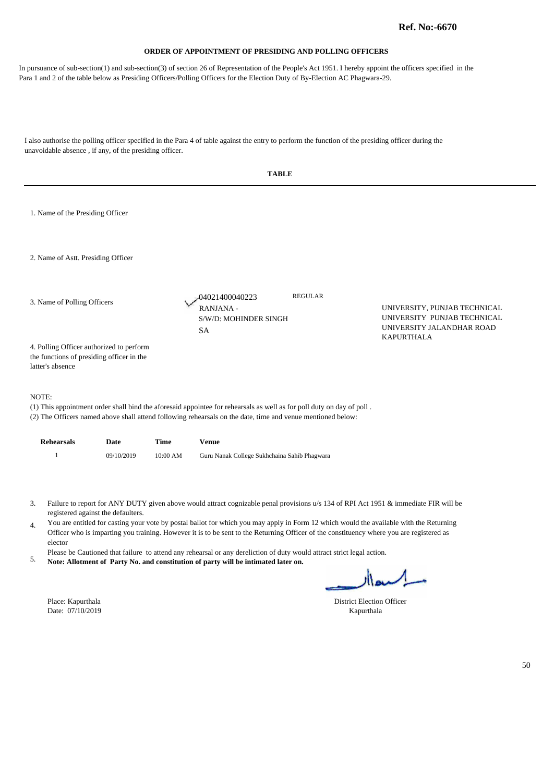In pursuance of sub-section(1) and sub-section(3) of section 26 of Representation of the People's Act 1951. I hereby appoint the officers specified in the Para 1 and 2 of the table below as Presiding Officers/Polling Officers for the Election Duty of By-Election AC Phagwara-29.

|                                                                                                           |          | <b>TABLE</b>                                                                                                                                                                                                                         |                                                                                                                                                                                                                                                                                                                                                                                                                             |
|-----------------------------------------------------------------------------------------------------------|----------|--------------------------------------------------------------------------------------------------------------------------------------------------------------------------------------------------------------------------------------|-----------------------------------------------------------------------------------------------------------------------------------------------------------------------------------------------------------------------------------------------------------------------------------------------------------------------------------------------------------------------------------------------------------------------------|
| 1. Name of the Presiding Officer                                                                          |          |                                                                                                                                                                                                                                      |                                                                                                                                                                                                                                                                                                                                                                                                                             |
| 2. Name of Astt. Presiding Officer                                                                        |          |                                                                                                                                                                                                                                      |                                                                                                                                                                                                                                                                                                                                                                                                                             |
| 3. Name of Polling Officers                                                                               |          | <b>REGULAR</b><br>04021400040223<br>RANJANA -<br>S/W/D: MOHINDER SINGH<br><b>SA</b>                                                                                                                                                  | UNIVERSITY, PUNJAB TECHNICAL<br>UNIVERSITY PUNJAB TECHNICAL<br>UNIVERSITY JALANDHAR ROAD                                                                                                                                                                                                                                                                                                                                    |
| 4. Polling Officer authorized to perform<br>the functions of presiding officer in the<br>latter's absence |          |                                                                                                                                                                                                                                      | <b>KAPURTHALA</b>                                                                                                                                                                                                                                                                                                                                                                                                           |
| NOTE:                                                                                                     |          | (1) This appointment order shall bind the aforesaid appointee for rehearsals as well as for poll duty on day of poll.<br>(2) The Officers named above shall attend following rehearsals on the date, time and venue mentioned below: |                                                                                                                                                                                                                                                                                                                                                                                                                             |
| <b>Rehearsals</b><br>Date                                                                                 | Time     | <b>Venue</b>                                                                                                                                                                                                                         |                                                                                                                                                                                                                                                                                                                                                                                                                             |
| $\mathbf{1}$<br>09/10/2019                                                                                | 10:00 AM | Guru Nanak College Sukhchaina Sahib Phagwara                                                                                                                                                                                         |                                                                                                                                                                                                                                                                                                                                                                                                                             |
| 3.<br>registered against the defaulters.<br>4.<br>elector<br>5.                                           |          | Please be Cautioned that failure to attend any rehearsal or any dereliction of duty would attract strict legal action.<br>Note: Allotment of Party No. and constitution of party will be intimated later on.                         | Failure to report for ANY DUTY given above would attract cognizable penal provisions u/s 134 of RPI Act 1951 & immediate FIR will be<br>You are entitled for casting your vote by postal ballot for which you may apply in Form 12 which would the available with the Returning<br>Officer who is imparting you training. However it is to be sent to the Returning Officer of the constituency where you are registered as |
|                                                                                                           |          |                                                                                                                                                                                                                                      | لمسعداله                                                                                                                                                                                                                                                                                                                                                                                                                    |
| Place: Kapurthala<br>Date: 07/10/2019                                                                     |          |                                                                                                                                                                                                                                      | District Election Officer<br>Kapurthala                                                                                                                                                                                                                                                                                                                                                                                     |
|                                                                                                           |          |                                                                                                                                                                                                                                      |                                                                                                                                                                                                                                                                                                                                                                                                                             |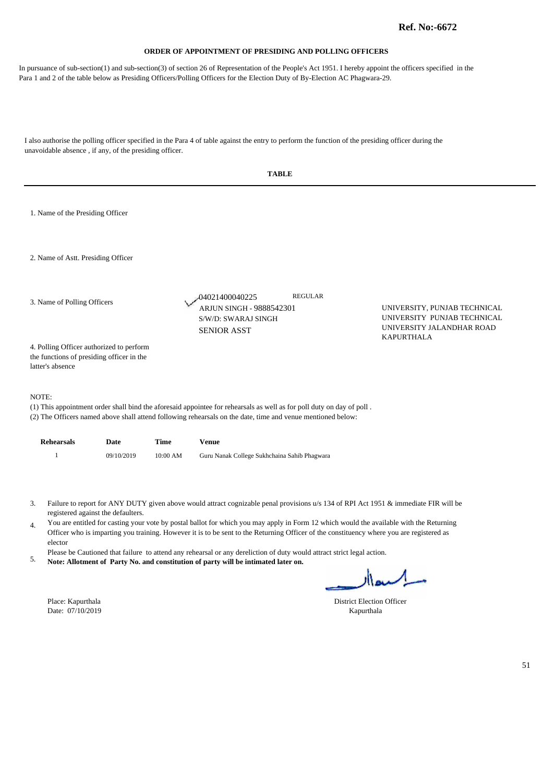In pursuance of sub-section(1) and sub-section(3) of section 26 of Representation of the People's Act 1951. I hereby appoint the officers specified in the Para 1 and 2 of the table below as Presiding Officers/Polling Officers for the Election Duty of By-Election AC Phagwara-29.

|                                                                                                           |            |          | <b>TABLE</b>                                                                                                                                                                                                                                                                                                                                                                                                                                                                                                                                                                                                                                |                                                |                                                                                                               |
|-----------------------------------------------------------------------------------------------------------|------------|----------|---------------------------------------------------------------------------------------------------------------------------------------------------------------------------------------------------------------------------------------------------------------------------------------------------------------------------------------------------------------------------------------------------------------------------------------------------------------------------------------------------------------------------------------------------------------------------------------------------------------------------------------------|------------------------------------------------|---------------------------------------------------------------------------------------------------------------|
| 1. Name of the Presiding Officer                                                                          |            |          |                                                                                                                                                                                                                                                                                                                                                                                                                                                                                                                                                                                                                                             |                                                |                                                                                                               |
| 2. Name of Astt. Presiding Officer                                                                        |            |          |                                                                                                                                                                                                                                                                                                                                                                                                                                                                                                                                                                                                                                             |                                                |                                                                                                               |
| 3. Name of Polling Officers                                                                               |            |          | -04021400040225<br>ARJUN SINGH - 9888542301<br>S/W/D: SWARAJ SINGH<br><b>SENIOR ASST</b>                                                                                                                                                                                                                                                                                                                                                                                                                                                                                                                                                    | <b>REGULAR</b>                                 | UNIVERSITY, PUNJAB TECHNICAL<br>UNIVERSITY PUNJAB TECHNICAL<br>UNIVERSITY JALANDHAR ROAD<br><b>KAPURTHALA</b> |
| 4. Polling Officer authorized to perform<br>the functions of presiding officer in the<br>latter's absence |            |          |                                                                                                                                                                                                                                                                                                                                                                                                                                                                                                                                                                                                                                             |                                                |                                                                                                               |
| NOTE:                                                                                                     |            |          | (1) This appointment order shall bind the aforesaid appointee for rehearsals as well as for poll duty on day of poll.<br>(2) The Officers named above shall attend following rehearsals on the date, time and venue mentioned below:                                                                                                                                                                                                                                                                                                                                                                                                        |                                                |                                                                                                               |
| <b>Rehearsals</b>                                                                                         | Date       | Time     | <b>Venue</b>                                                                                                                                                                                                                                                                                                                                                                                                                                                                                                                                                                                                                                |                                                |                                                                                                               |
| $\mathbf{1}$                                                                                              | 09/10/2019 | 10:00 AM | Guru Nanak College Sukhchaina Sahib Phagwara                                                                                                                                                                                                                                                                                                                                                                                                                                                                                                                                                                                                |                                                |                                                                                                               |
| 3.<br>registered against the defaulters.<br>4.<br>elector<br>5.<br>Place: Kapurthala<br>Date: 07/10/2019  |            |          | Failure to report for ANY DUTY given above would attract cognizable penal provisions u/s 134 of RPI Act 1951 & immediate FIR will be<br>You are entitled for casting your vote by postal ballot for which you may apply in Form 12 which would the available with the Returning<br>Officer who is imparting you training. However it is to be sent to the Returning Officer of the constituency where you are registered as<br>Please be Cautioned that failure to attend any rehearsal or any dereliction of duty would attract strict legal action.<br>Note: Allotment of Party No. and constitution of party will be intimated later on. | <b>District Election Officer</b><br>Kapurthala | اکسدار                                                                                                        |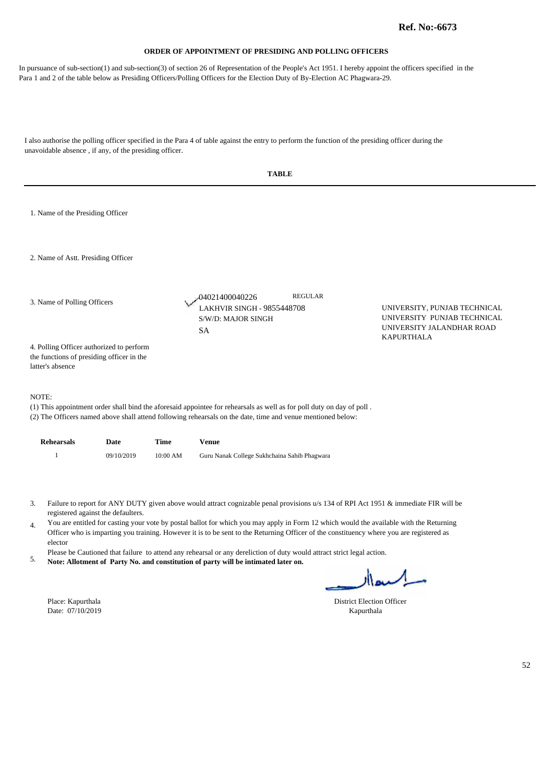In pursuance of sub-section(1) and sub-section(3) of section 26 of Representation of the People's Act 1951. I hereby appoint the officers specified in the Para 1 and 2 of the table below as Presiding Officers/Polling Officers for the Election Duty of By-Election AC Phagwara-29.

|                                                                                                           |                                    |          | <b>TABLE</b>                                                                                                                                                                                                                                                                                                                                                                                                                                                                                                                                                                                                                                |                                                                                          |    |
|-----------------------------------------------------------------------------------------------------------|------------------------------------|----------|---------------------------------------------------------------------------------------------------------------------------------------------------------------------------------------------------------------------------------------------------------------------------------------------------------------------------------------------------------------------------------------------------------------------------------------------------------------------------------------------------------------------------------------------------------------------------------------------------------------------------------------------|------------------------------------------------------------------------------------------|----|
| 1. Name of the Presiding Officer                                                                          |                                    |          |                                                                                                                                                                                                                                                                                                                                                                                                                                                                                                                                                                                                                                             |                                                                                          |    |
| 2. Name of Astt. Presiding Officer                                                                        |                                    |          |                                                                                                                                                                                                                                                                                                                                                                                                                                                                                                                                                                                                                                             |                                                                                          |    |
| 3. Name of Polling Officers                                                                               |                                    |          | <b>REGULAR</b><br>-04021400040226<br><b>LAKHVIR SINGH - 9855448708</b><br>S/W/D: MAJOR SINGH<br><b>SA</b>                                                                                                                                                                                                                                                                                                                                                                                                                                                                                                                                   | UNIVERSITY, PUNJAB TECHNICAL<br>UNIVERSITY PUNJAB TECHNICAL<br>UNIVERSITY JALANDHAR ROAD |    |
| 4. Polling Officer authorized to perform<br>the functions of presiding officer in the<br>latter's absence |                                    |          |                                                                                                                                                                                                                                                                                                                                                                                                                                                                                                                                                                                                                                             | KAPURTHALA                                                                               |    |
| NOTE:                                                                                                     |                                    |          | (1) This appointment order shall bind the aforesaid appointee for rehearsals as well as for poll duty on day of poll.<br>(2) The Officers named above shall attend following rehearsals on the date, time and venue mentioned below:                                                                                                                                                                                                                                                                                                                                                                                                        |                                                                                          |    |
| <b>Rehearsals</b>                                                                                         | Date                               | Time     | <b>Venue</b>                                                                                                                                                                                                                                                                                                                                                                                                                                                                                                                                                                                                                                |                                                                                          |    |
| $\mathbf{1}$                                                                                              | 09/10/2019                         | 10:00 AM | Guru Nanak College Sukhchaina Sahib Phagwara                                                                                                                                                                                                                                                                                                                                                                                                                                                                                                                                                                                                |                                                                                          |    |
| 3.<br>4.<br>elector<br>5.                                                                                 | registered against the defaulters. |          | Failure to report for ANY DUTY given above would attract cognizable penal provisions u/s 134 of RPI Act 1951 & immediate FIR will be<br>You are entitled for casting your vote by postal ballot for which you may apply in Form 12 which would the available with the Returning<br>Officer who is imparting you training. However it is to be sent to the Returning Officer of the constituency where you are registered as<br>Please be Cautioned that failure to attend any rehearsal or any dereliction of duty would attract strict legal action.<br>Note: Allotment of Party No. and constitution of party will be intimated later on. | لسلهاار                                                                                  |    |
| Place: Kapurthala<br>Date: 07/10/2019                                                                     |                                    |          |                                                                                                                                                                                                                                                                                                                                                                                                                                                                                                                                                                                                                                             | District Election Officer<br>Kapurthala                                                  |    |
|                                                                                                           |                                    |          |                                                                                                                                                                                                                                                                                                                                                                                                                                                                                                                                                                                                                                             |                                                                                          | 52 |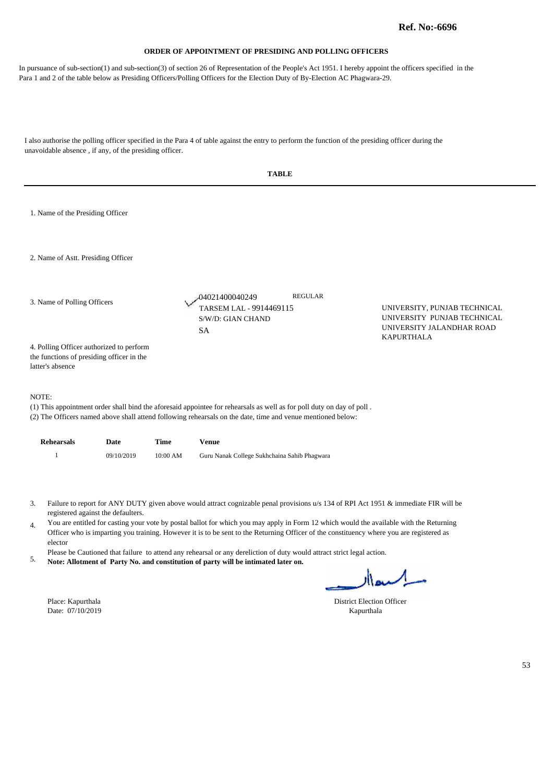In pursuance of sub-section(1) and sub-section(3) of section 26 of Representation of the People's Act 1951. I hereby appoint the officers specified in the Para 1 and 2 of the table below as Presiding Officers/Polling Officers for the Election Duty of By-Election AC Phagwara-29.

| <b>TABLE</b>                                                                                                                                                                                                                                                                                                                                                                                                                                                                                                                                                                                                                                                                                                   |  |
|----------------------------------------------------------------------------------------------------------------------------------------------------------------------------------------------------------------------------------------------------------------------------------------------------------------------------------------------------------------------------------------------------------------------------------------------------------------------------------------------------------------------------------------------------------------------------------------------------------------------------------------------------------------------------------------------------------------|--|
| 1. Name of the Presiding Officer                                                                                                                                                                                                                                                                                                                                                                                                                                                                                                                                                                                                                                                                               |  |
| 2. Name of Astt. Presiding Officer                                                                                                                                                                                                                                                                                                                                                                                                                                                                                                                                                                                                                                                                             |  |
| <b>REGULAR</b><br>04021400040249<br>3. Name of Polling Officers<br>TARSEM LAL - 9914469115<br>UNIVERSITY, PUNJAB TECHNICAL<br>UNIVERSITY PUNJAB TECHNICAL<br>S/W/D: GIAN CHAND<br>UNIVERSITY JALANDHAR ROAD<br><b>SA</b><br><b>KAPURTHALA</b>                                                                                                                                                                                                                                                                                                                                                                                                                                                                  |  |
| 4. Polling Officer authorized to perform<br>the functions of presiding officer in the<br>latter's absence                                                                                                                                                                                                                                                                                                                                                                                                                                                                                                                                                                                                      |  |
| NOTE:<br>(1) This appointment order shall bind the aforesaid appointee for rehearsals as well as for poll duty on day of poll.<br>(2) The Officers named above shall attend following rehearsals on the date, time and venue mentioned below:                                                                                                                                                                                                                                                                                                                                                                                                                                                                  |  |
| <b>Rehearsals</b><br>Date<br>Time<br><b>Venue</b>                                                                                                                                                                                                                                                                                                                                                                                                                                                                                                                                                                                                                                                              |  |
| 09/10/2019<br>10:00 AM<br>1<br>Guru Nanak College Sukhchaina Sahib Phagwara                                                                                                                                                                                                                                                                                                                                                                                                                                                                                                                                                                                                                                    |  |
| Failure to report for ANY DUTY given above would attract cognizable penal provisions u/s 134 of RPI Act 1951 & immediate FIR will be<br>3.<br>registered against the defaulters.<br>You are entitled for casting your vote by postal ballot for which you may apply in Form 12 which would the available with the Returning<br>4.<br>Officer who is imparting you training. However it is to be sent to the Returning Officer of the constituency where you are registered as<br>elector<br>Please be Cautioned that failure to attend any rehearsal or any dereliction of duty would attract strict legal action.<br>5.<br>Note: Allotment of Party No. and constitution of party will be intimated later on. |  |
| اكسدار                                                                                                                                                                                                                                                                                                                                                                                                                                                                                                                                                                                                                                                                                                         |  |
| Place: Kapurthala<br><b>District Election Officer</b><br>Date: 07/10/2019<br>Kapurthala                                                                                                                                                                                                                                                                                                                                                                                                                                                                                                                                                                                                                        |  |
|                                                                                                                                                                                                                                                                                                                                                                                                                                                                                                                                                                                                                                                                                                                |  |
|                                                                                                                                                                                                                                                                                                                                                                                                                                                                                                                                                                                                                                                                                                                |  |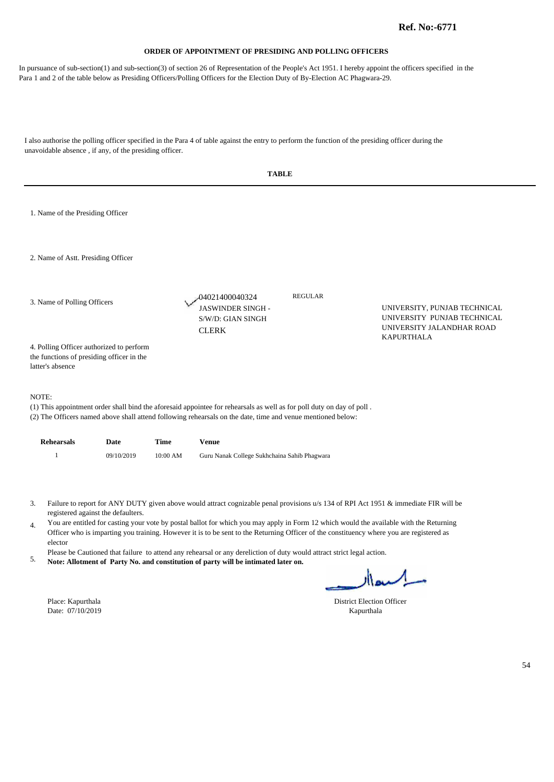In pursuance of sub-section(1) and sub-section(3) of section 26 of Representation of the People's Act 1951. I hereby appoint the officers specified in the Para 1 and 2 of the table below as Presiding Officers/Polling Officers for the Election Duty of By-Election AC Phagwara-29.

| <b>TABLE</b>                                                                                                                                                                                                                                                                                                                                                                                                                                                                                                                                                                                                                                                                                                                                                                                                                      |            |             |                                                                                                                                                                                                                                      |                |                                                                                          |  |  |  |
|-----------------------------------------------------------------------------------------------------------------------------------------------------------------------------------------------------------------------------------------------------------------------------------------------------------------------------------------------------------------------------------------------------------------------------------------------------------------------------------------------------------------------------------------------------------------------------------------------------------------------------------------------------------------------------------------------------------------------------------------------------------------------------------------------------------------------------------|------------|-------------|--------------------------------------------------------------------------------------------------------------------------------------------------------------------------------------------------------------------------------------|----------------|------------------------------------------------------------------------------------------|--|--|--|
| 1. Name of the Presiding Officer                                                                                                                                                                                                                                                                                                                                                                                                                                                                                                                                                                                                                                                                                                                                                                                                  |            |             |                                                                                                                                                                                                                                      |                |                                                                                          |  |  |  |
| 2. Name of Astt. Presiding Officer                                                                                                                                                                                                                                                                                                                                                                                                                                                                                                                                                                                                                                                                                                                                                                                                |            |             |                                                                                                                                                                                                                                      |                |                                                                                          |  |  |  |
| 3. Name of Polling Officers                                                                                                                                                                                                                                                                                                                                                                                                                                                                                                                                                                                                                                                                                                                                                                                                       |            |             | -04021400040324<br>JASWINDER SINGH -<br>S/W/D: GIAN SINGH<br><b>CLERK</b>                                                                                                                                                            | <b>REGULAR</b> | UNIVERSITY, PUNJAB TECHNICAL<br>UNIVERSITY PUNJAB TECHNICAL<br>UNIVERSITY JALANDHAR ROAD |  |  |  |
| 4. Polling Officer authorized to perform<br>the functions of presiding officer in the<br>latter's absence                                                                                                                                                                                                                                                                                                                                                                                                                                                                                                                                                                                                                                                                                                                         |            |             |                                                                                                                                                                                                                                      |                | <b>KAPURTHALA</b>                                                                        |  |  |  |
| NOTE:                                                                                                                                                                                                                                                                                                                                                                                                                                                                                                                                                                                                                                                                                                                                                                                                                             |            |             | (1) This appointment order shall bind the aforesaid appointee for rehearsals as well as for poll duty on day of poll.<br>(2) The Officers named above shall attend following rehearsals on the date, time and venue mentioned below: |                |                                                                                          |  |  |  |
| <b>Rehearsals</b>                                                                                                                                                                                                                                                                                                                                                                                                                                                                                                                                                                                                                                                                                                                                                                                                                 | Date       | <b>Time</b> | <b>Venue</b>                                                                                                                                                                                                                         |                |                                                                                          |  |  |  |
| $\mathbf{1}$                                                                                                                                                                                                                                                                                                                                                                                                                                                                                                                                                                                                                                                                                                                                                                                                                      | 09/10/2019 | 10:00 AM    | Guru Nanak College Sukhchaina Sahib Phagwara                                                                                                                                                                                         |                |                                                                                          |  |  |  |
| 3.<br>Failure to report for ANY DUTY given above would attract cognizable penal provisions u/s 134 of RPI Act 1951 & immediate FIR will be<br>registered against the defaulters.<br>You are entitled for casting your vote by postal ballot for which you may apply in Form 12 which would the available with the Returning<br>$\overline{4}$ .<br>Officer who is imparting you training. However it is to be sent to the Returning Officer of the constituency where you are registered as<br>elector<br>Please be Cautioned that failure to attend any rehearsal or any dereliction of duty would attract strict legal action.<br>5.<br>Note: Allotment of Party No. and constitution of party will be intimated later on.<br>اسه ار<br><b>District Election Officer</b><br>Place: Kapurthala<br>Date: 07/10/2019<br>Kapurthala |            |             |                                                                                                                                                                                                                                      |                |                                                                                          |  |  |  |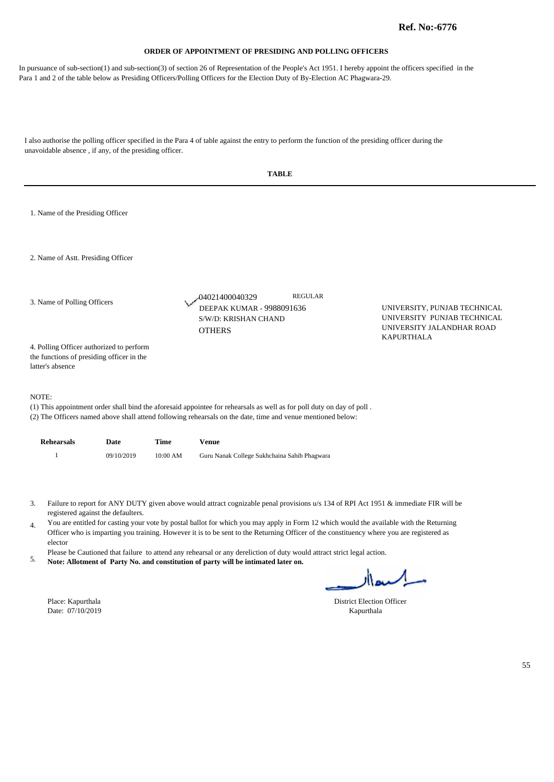In pursuance of sub-section(1) and sub-section(3) of section 26 of Representation of the People's Act 1951. I hereby appoint the officers specified in the Para 1 and 2 of the table below as Presiding Officers/Polling Officers for the Election Duty of By-Election AC Phagwara-29.

| <b>TABLE</b>                                                                                                                                                                                                                                                                                                                                                                                                                                                                                                                                                                                                                                                                                                                                                                                                         |            |             |                                                                                                                                                                                                                                      |                                                                                          |  |  |  |
|----------------------------------------------------------------------------------------------------------------------------------------------------------------------------------------------------------------------------------------------------------------------------------------------------------------------------------------------------------------------------------------------------------------------------------------------------------------------------------------------------------------------------------------------------------------------------------------------------------------------------------------------------------------------------------------------------------------------------------------------------------------------------------------------------------------------|------------|-------------|--------------------------------------------------------------------------------------------------------------------------------------------------------------------------------------------------------------------------------------|------------------------------------------------------------------------------------------|--|--|--|
| 1. Name of the Presiding Officer                                                                                                                                                                                                                                                                                                                                                                                                                                                                                                                                                                                                                                                                                                                                                                                     |            |             |                                                                                                                                                                                                                                      |                                                                                          |  |  |  |
| 2. Name of Astt. Presiding Officer                                                                                                                                                                                                                                                                                                                                                                                                                                                                                                                                                                                                                                                                                                                                                                                   |            |             |                                                                                                                                                                                                                                      |                                                                                          |  |  |  |
| 3. Name of Polling Officers                                                                                                                                                                                                                                                                                                                                                                                                                                                                                                                                                                                                                                                                                                                                                                                          |            |             | <b>REGULAR</b><br>-04021400040329<br>DEEPAK KUMAR - 9988091636<br>S/W/D: KRISHAN CHAND<br><b>OTHERS</b>                                                                                                                              | UNIVERSITY, PUNJAB TECHNICAL<br>UNIVERSITY PUNJAB TECHNICAL<br>UNIVERSITY JALANDHAR ROAD |  |  |  |
| 4. Polling Officer authorized to perform<br>the functions of presiding officer in the<br>latter's absence                                                                                                                                                                                                                                                                                                                                                                                                                                                                                                                                                                                                                                                                                                            |            |             |                                                                                                                                                                                                                                      | <b>KAPURTHALA</b>                                                                        |  |  |  |
| NOTE:                                                                                                                                                                                                                                                                                                                                                                                                                                                                                                                                                                                                                                                                                                                                                                                                                |            |             | (1) This appointment order shall bind the aforesaid appointee for rehearsals as well as for poll duty on day of poll.<br>(2) The Officers named above shall attend following rehearsals on the date, time and venue mentioned below: |                                                                                          |  |  |  |
| <b>Rehearsals</b>                                                                                                                                                                                                                                                                                                                                                                                                                                                                                                                                                                                                                                                                                                                                                                                                    | Date       | <b>Time</b> | <b>Venue</b>                                                                                                                                                                                                                         |                                                                                          |  |  |  |
| $\mathbf{1}$                                                                                                                                                                                                                                                                                                                                                                                                                                                                                                                                                                                                                                                                                                                                                                                                         | 09/10/2019 | 10:00 AM    | Guru Nanak College Sukhchaina Sahib Phagwara                                                                                                                                                                                         |                                                                                          |  |  |  |
| Failure to report for ANY DUTY given above would attract cognizable penal provisions u/s 134 of RPI Act 1951 & immediate FIR will be<br>3.<br>registered against the defaulters.<br>You are entitled for casting your vote by postal ballot for which you may apply in Form 12 which would the available with the Returning<br>4.<br>Officer who is imparting you training. However it is to be sent to the Returning Officer of the constituency where you are registered as<br>elector<br>Please be Cautioned that failure to attend any rehearsal or any dereliction of duty would attract strict legal action.<br>5.<br>Note: Allotment of Party No. and constitution of party will be intimated later on.<br>السعاار<br><b>District Election Officer</b><br>Place: Kapurthala<br>Date: 07/10/2019<br>Kapurthala |            |             |                                                                                                                                                                                                                                      |                                                                                          |  |  |  |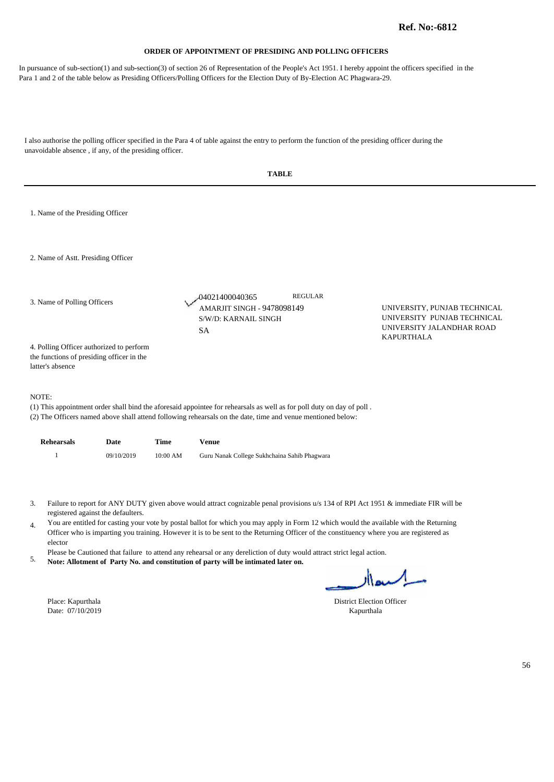In pursuance of sub-section(1) and sub-section(3) of section 26 of Representation of the People's Act 1951. I hereby appoint the officers specified in the Para 1 and 2 of the table below as Presiding Officers/Polling Officers for the Election Duty of By-Election AC Phagwara-29.

|                                                                                                           |                                    |          | <b>TABLE</b>                                                                                                                                                                                                                                                                                                                                                                                                                                                                                                                                                                                                                                |                                                                                                               |    |
|-----------------------------------------------------------------------------------------------------------|------------------------------------|----------|---------------------------------------------------------------------------------------------------------------------------------------------------------------------------------------------------------------------------------------------------------------------------------------------------------------------------------------------------------------------------------------------------------------------------------------------------------------------------------------------------------------------------------------------------------------------------------------------------------------------------------------------|---------------------------------------------------------------------------------------------------------------|----|
| 1. Name of the Presiding Officer                                                                          |                                    |          |                                                                                                                                                                                                                                                                                                                                                                                                                                                                                                                                                                                                                                             |                                                                                                               |    |
| 2. Name of Astt. Presiding Officer                                                                        |                                    |          |                                                                                                                                                                                                                                                                                                                                                                                                                                                                                                                                                                                                                                             |                                                                                                               |    |
| 3. Name of Polling Officers                                                                               |                                    |          | <b>REGULAR</b><br>04021400040365<br>AMARJIT SINGH - 9478098149<br>S/W/D: KARNAIL SINGH<br><b>SA</b>                                                                                                                                                                                                                                                                                                                                                                                                                                                                                                                                         | UNIVERSITY, PUNJAB TECHNICAL<br>UNIVERSITY PUNJAB TECHNICAL<br>UNIVERSITY JALANDHAR ROAD<br><b>KAPURTHALA</b> |    |
| 4. Polling Officer authorized to perform<br>the functions of presiding officer in the<br>latter's absence |                                    |          |                                                                                                                                                                                                                                                                                                                                                                                                                                                                                                                                                                                                                                             |                                                                                                               |    |
| NOTE:                                                                                                     |                                    |          | (1) This appointment order shall bind the aforesaid appointee for rehearsals as well as for poll duty on day of poll.<br>(2) The Officers named above shall attend following rehearsals on the date, time and venue mentioned below:                                                                                                                                                                                                                                                                                                                                                                                                        |                                                                                                               |    |
| <b>Rehearsals</b>                                                                                         | Date                               | Time     | <b>Venue</b>                                                                                                                                                                                                                                                                                                                                                                                                                                                                                                                                                                                                                                |                                                                                                               |    |
| $\mathbf{1}$                                                                                              | 09/10/2019                         | 10:00 AM | Guru Nanak College Sukhchaina Sahib Phagwara                                                                                                                                                                                                                                                                                                                                                                                                                                                                                                                                                                                                |                                                                                                               |    |
| 3.<br>4.<br>elector<br>5.<br>Place: Kapurthala                                                            | registered against the defaulters. |          | Failure to report for ANY DUTY given above would attract cognizable penal provisions u/s 134 of RPI Act 1951 & immediate FIR will be<br>You are entitled for casting your vote by postal ballot for which you may apply in Form 12 which would the available with the Returning<br>Officer who is imparting you training. However it is to be sent to the Returning Officer of the constituency where you are registered as<br>Please be Cautioned that failure to attend any rehearsal or any dereliction of duty would attract strict legal action.<br>Note: Allotment of Party No. and constitution of party will be intimated later on. | اكسدار<br><b>District Election Officer</b>                                                                    |    |
| Date: 07/10/2019                                                                                          |                                    |          |                                                                                                                                                                                                                                                                                                                                                                                                                                                                                                                                                                                                                                             | Kapurthala                                                                                                    | 56 |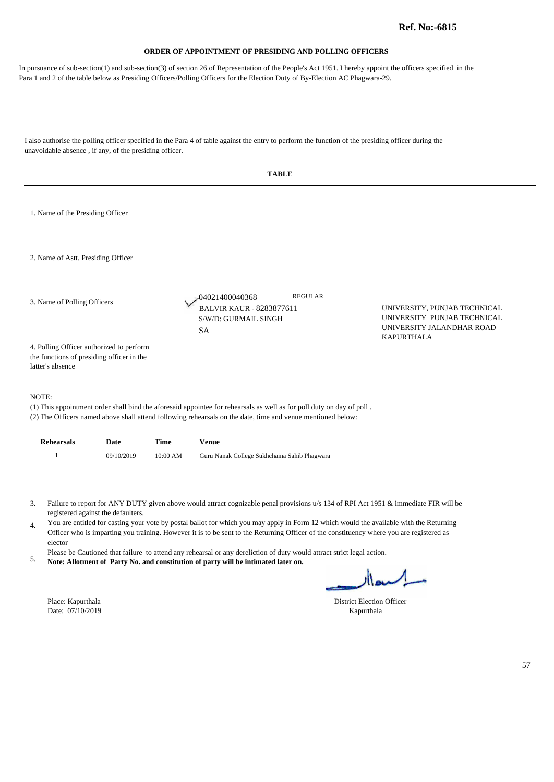In pursuance of sub-section(1) and sub-section(3) of section 26 of Representation of the People's Act 1951. I hereby appoint the officers specified in the Para 1 and 2 of the table below as Presiding Officers/Polling Officers for the Election Duty of By-Election AC Phagwara-29.

| <b>TABLE</b>                                                                                                                                                                                                                                                                                                                                                                                                                                                                                                                                                                                                                                                                                                                                                                                                 |            |          |                                                                                                                                                                                                                                      |                                                                                          |    |  |
|--------------------------------------------------------------------------------------------------------------------------------------------------------------------------------------------------------------------------------------------------------------------------------------------------------------------------------------------------------------------------------------------------------------------------------------------------------------------------------------------------------------------------------------------------------------------------------------------------------------------------------------------------------------------------------------------------------------------------------------------------------------------------------------------------------------|------------|----------|--------------------------------------------------------------------------------------------------------------------------------------------------------------------------------------------------------------------------------------|------------------------------------------------------------------------------------------|----|--|
| 1. Name of the Presiding Officer                                                                                                                                                                                                                                                                                                                                                                                                                                                                                                                                                                                                                                                                                                                                                                             |            |          |                                                                                                                                                                                                                                      |                                                                                          |    |  |
| 2. Name of Astt. Presiding Officer                                                                                                                                                                                                                                                                                                                                                                                                                                                                                                                                                                                                                                                                                                                                                                           |            |          |                                                                                                                                                                                                                                      |                                                                                          |    |  |
| 3. Name of Polling Officers                                                                                                                                                                                                                                                                                                                                                                                                                                                                                                                                                                                                                                                                                                                                                                                  |            |          | <b>REGULAR</b><br>04021400040368<br>BALVIR KAUR - 8283877611<br>S/W/D: GURMAIL SINGH<br><b>SA</b>                                                                                                                                    | UNIVERSITY, PUNJAB TECHNICAL<br>UNIVERSITY PUNJAB TECHNICAL<br>UNIVERSITY JALANDHAR ROAD |    |  |
| 4. Polling Officer authorized to perform<br>the functions of presiding officer in the<br>latter's absence                                                                                                                                                                                                                                                                                                                                                                                                                                                                                                                                                                                                                                                                                                    |            |          |                                                                                                                                                                                                                                      | <b>KAPURTHALA</b>                                                                        |    |  |
| NOTE:                                                                                                                                                                                                                                                                                                                                                                                                                                                                                                                                                                                                                                                                                                                                                                                                        |            |          | (1) This appointment order shall bind the aforesaid appointee for rehearsals as well as for poll duty on day of poll.<br>(2) The Officers named above shall attend following rehearsals on the date, time and venue mentioned below: |                                                                                          |    |  |
| <b>Rehearsals</b>                                                                                                                                                                                                                                                                                                                                                                                                                                                                                                                                                                                                                                                                                                                                                                                            | Date       | Time     | <b>Venue</b>                                                                                                                                                                                                                         |                                                                                          |    |  |
| $\mathbf{1}$                                                                                                                                                                                                                                                                                                                                                                                                                                                                                                                                                                                                                                                                                                                                                                                                 | 09/10/2019 | 10:00 AM | Guru Nanak College Sukhchaina Sahib Phagwara                                                                                                                                                                                         |                                                                                          |    |  |
| Failure to report for ANY DUTY given above would attract cognizable penal provisions u/s 134 of RPI Act 1951 & immediate FIR will be<br>3.<br>registered against the defaulters.<br>You are entitled for casting your vote by postal ballot for which you may apply in Form 12 which would the available with the Returning<br>4.<br>Officer who is imparting you training. However it is to be sent to the Returning Officer of the constituency where you are registered as<br>elector<br>Please be Cautioned that failure to attend any rehearsal or any dereliction of duty would attract strict legal action.<br>5.<br>Note: Allotment of Party No. and constitution of party will be intimated later on.<br>اكسدار<br>District Election Officer<br>Place: Kapurthala<br>Date: 07/10/2019<br>Kapurthala |            |          |                                                                                                                                                                                                                                      |                                                                                          |    |  |
|                                                                                                                                                                                                                                                                                                                                                                                                                                                                                                                                                                                                                                                                                                                                                                                                              |            |          |                                                                                                                                                                                                                                      |                                                                                          | 57 |  |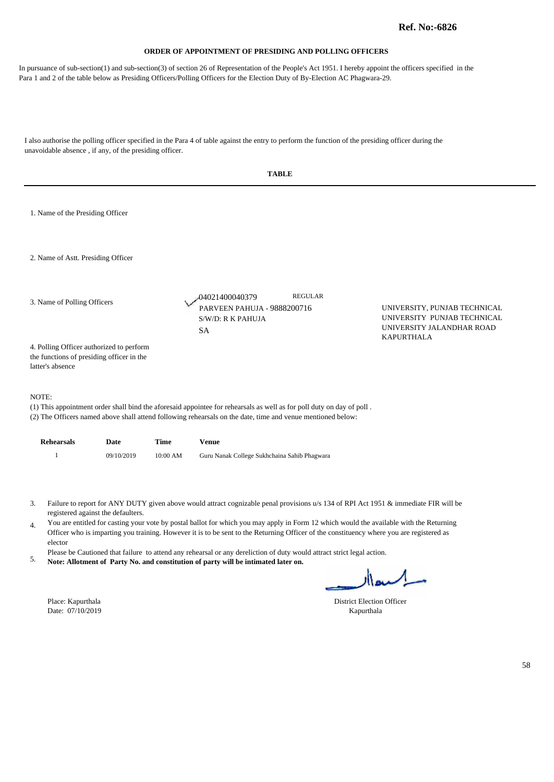In pursuance of sub-section(1) and sub-section(3) of section 26 of Representation of the People's Act 1951. I hereby appoint the officers specified in the Para 1 and 2 of the table below as Presiding Officers/Polling Officers for the Election Duty of By-Election AC Phagwara-29.

|                                                                                                                                                                                                                                                                                                                                                                                                                                                                                                                                                                                                                                                                                                                                                                                                                     | <b>TABLE</b>                                                                                              |            |             |                                                                                                                                                                                                                                      |                                                                                                               |  |  |  |
|---------------------------------------------------------------------------------------------------------------------------------------------------------------------------------------------------------------------------------------------------------------------------------------------------------------------------------------------------------------------------------------------------------------------------------------------------------------------------------------------------------------------------------------------------------------------------------------------------------------------------------------------------------------------------------------------------------------------------------------------------------------------------------------------------------------------|-----------------------------------------------------------------------------------------------------------|------------|-------------|--------------------------------------------------------------------------------------------------------------------------------------------------------------------------------------------------------------------------------------|---------------------------------------------------------------------------------------------------------------|--|--|--|
|                                                                                                                                                                                                                                                                                                                                                                                                                                                                                                                                                                                                                                                                                                                                                                                                                     | 1. Name of the Presiding Officer                                                                          |            |             |                                                                                                                                                                                                                                      |                                                                                                               |  |  |  |
|                                                                                                                                                                                                                                                                                                                                                                                                                                                                                                                                                                                                                                                                                                                                                                                                                     | 2. Name of Astt. Presiding Officer                                                                        |            |             |                                                                                                                                                                                                                                      |                                                                                                               |  |  |  |
|                                                                                                                                                                                                                                                                                                                                                                                                                                                                                                                                                                                                                                                                                                                                                                                                                     | 3. Name of Polling Officers                                                                               |            |             | <b>REGULAR</b><br>-04021400040379<br>PARVEEN PAHUJA - 9888200716<br>S/W/D: R K PAHUJA<br>SA                                                                                                                                          | UNIVERSITY, PUNJAB TECHNICAL<br>UNIVERSITY PUNJAB TECHNICAL<br>UNIVERSITY JALANDHAR ROAD<br><b>KAPURTHALA</b> |  |  |  |
|                                                                                                                                                                                                                                                                                                                                                                                                                                                                                                                                                                                                                                                                                                                                                                                                                     | 4. Polling Officer authorized to perform<br>the functions of presiding officer in the<br>latter's absence |            |             |                                                                                                                                                                                                                                      |                                                                                                               |  |  |  |
|                                                                                                                                                                                                                                                                                                                                                                                                                                                                                                                                                                                                                                                                                                                                                                                                                     | NOTE:                                                                                                     |            |             | (1) This appointment order shall bind the aforesaid appointee for rehearsals as well as for poll duty on day of poll.<br>(2) The Officers named above shall attend following rehearsals on the date, time and venue mentioned below: |                                                                                                               |  |  |  |
|                                                                                                                                                                                                                                                                                                                                                                                                                                                                                                                                                                                                                                                                                                                                                                                                                     | <b>Rehearsals</b>                                                                                         | Date       | <b>Time</b> | <b>Venue</b>                                                                                                                                                                                                                         |                                                                                                               |  |  |  |
|                                                                                                                                                                                                                                                                                                                                                                                                                                                                                                                                                                                                                                                                                                                                                                                                                     | $\mathbf{1}$                                                                                              | 09/10/2019 | 10:00 AM    | Guru Nanak College Sukhchaina Sahib Phagwara                                                                                                                                                                                         |                                                                                                               |  |  |  |
| Failure to report for ANY DUTY given above would attract cognizable penal provisions u/s 134 of RPI Act 1951 & immediate FIR will be<br>3.<br>registered against the defaulters.<br>You are entitled for casting your vote by postal ballot for which you may apply in Form 12 which would the available with the Returning<br>4.<br>Officer who is imparting you training. However it is to be sent to the Returning Officer of the constituency where you are registered as<br>elector<br>Please be Cautioned that failure to attend any rehearsal or any dereliction of duty would attract strict legal action.<br>5.<br>Note: Allotment of Party No. and constitution of party will be intimated later on.<br>السدار<br>Place: Kapurthala<br><b>District Election Officer</b><br>Date: 07/10/2019<br>Kapurthala |                                                                                                           |            |             |                                                                                                                                                                                                                                      |                                                                                                               |  |  |  |
|                                                                                                                                                                                                                                                                                                                                                                                                                                                                                                                                                                                                                                                                                                                                                                                                                     |                                                                                                           |            |             |                                                                                                                                                                                                                                      | 58                                                                                                            |  |  |  |